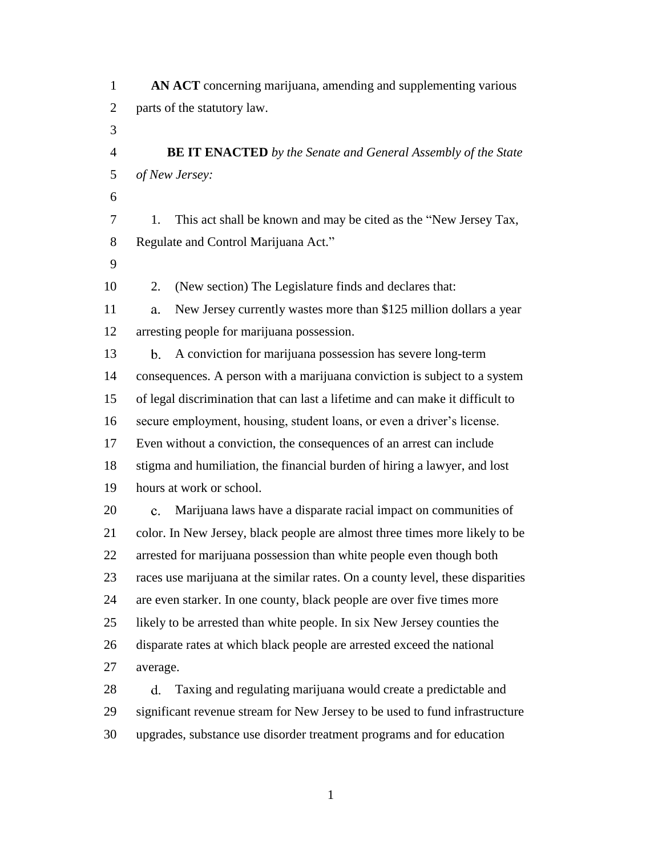| $\mathbf{1}$   | AN ACT concerning marijuana, amending and supplementing various                   |
|----------------|-----------------------------------------------------------------------------------|
| $\overline{2}$ | parts of the statutory law.                                                       |
| 3              |                                                                                   |
| $\overline{4}$ | <b>BE IT ENACTED</b> by the Senate and General Assembly of the State              |
| 5              | of New Jersey:                                                                    |
| 6              |                                                                                   |
| 7              | This act shall be known and may be cited as the "New Jersey Tax,<br>1.            |
| 8              | Regulate and Control Marijuana Act."                                              |
| 9              |                                                                                   |
| 10             | (New section) The Legislature finds and declares that:<br>2.                      |
| 11             | New Jersey currently wastes more than \$125 million dollars a year<br>a.          |
| 12             | arresting people for marijuana possession.                                        |
| 13             | A conviction for marijuana possession has severe long-term<br>b.                  |
| 14             | consequences. A person with a marijuana conviction is subject to a system         |
| 15             | of legal discrimination that can last a lifetime and can make it difficult to     |
| 16             | secure employment, housing, student loans, or even a driver's license.            |
| 17             | Even without a conviction, the consequences of an arrest can include              |
| 18             | stigma and humiliation, the financial burden of hiring a lawyer, and lost         |
| 19             | hours at work or school.                                                          |
| 20             | Marijuana laws have a disparate racial impact on communities of<br>$\mathbf{c}$ . |
| 21             | color. In New Jersey, black people are almost three times more likely to be       |
| 22             | arrested for marijuana possession than white people even though both              |
| 23             | races use marijuana at the similar rates. On a county level, these disparities    |
| 24             | are even starker. In one county, black people are over five times more            |
| 25             | likely to be arrested than white people. In six New Jersey counties the           |
| 26             | disparate rates at which black people are arrested exceed the national            |
| 27             | average.                                                                          |
| 28             | Taxing and regulating marijuana would create a predictable and<br>d.              |
| 29             | significant revenue stream for New Jersey to be used to fund infrastructure       |
| 30             | upgrades, substance use disorder treatment programs and for education             |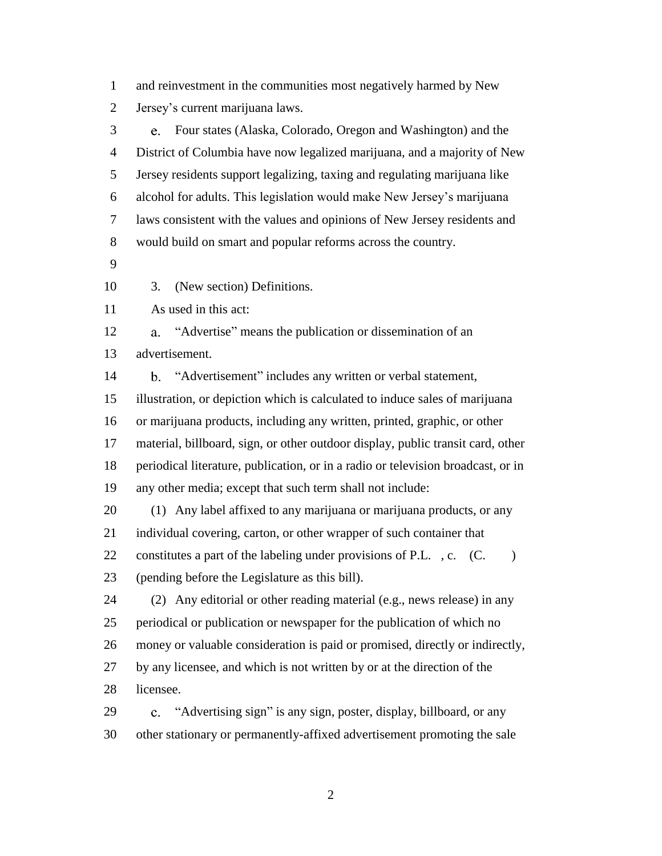- and reinvestment in the communities most negatively harmed by New
- Jersey's current marijuana laws.

 Four states (Alaska, Colorado, Oregon and Washington) and the District of Columbia have now legalized marijuana, and a majority of New Jersey residents support legalizing, taxing and regulating marijuana like alcohol for adults. This legislation would make New Jersey's marijuana laws consistent with the values and opinions of New Jersey residents and would build on smart and popular reforms across the country.

3. (New section) Definitions.

As used in this act:

 "Advertise" means the publication or dissemination of an advertisement.

14 b. "Advertisement" includes any written or verbal statement, illustration, or depiction which is calculated to induce sales of marijuana or marijuana products, including any written, printed, graphic, or other material, billboard, sign, or other outdoor display, public transit card, other periodical literature, publication, or in a radio or television broadcast, or in any other media; except that such term shall not include:

 (1) Any label affixed to any marijuana or marijuana products, or any individual covering, carton, or other wrapper of such container that 22 constitutes a part of the labeling under provisions of P.L., c. (C.) (pending before the Legislature as this bill).

 (2) Any editorial or other reading material (e.g., news release) in any periodical or publication or newspaper for the publication of which no money or valuable consideration is paid or promised, directly or indirectly, by any licensee, and which is not written by or at the direction of the licensee.

29 c. "Advertising sign" is any sign, poster, display, billboard, or any other stationary or permanently-affixed advertisement promoting the sale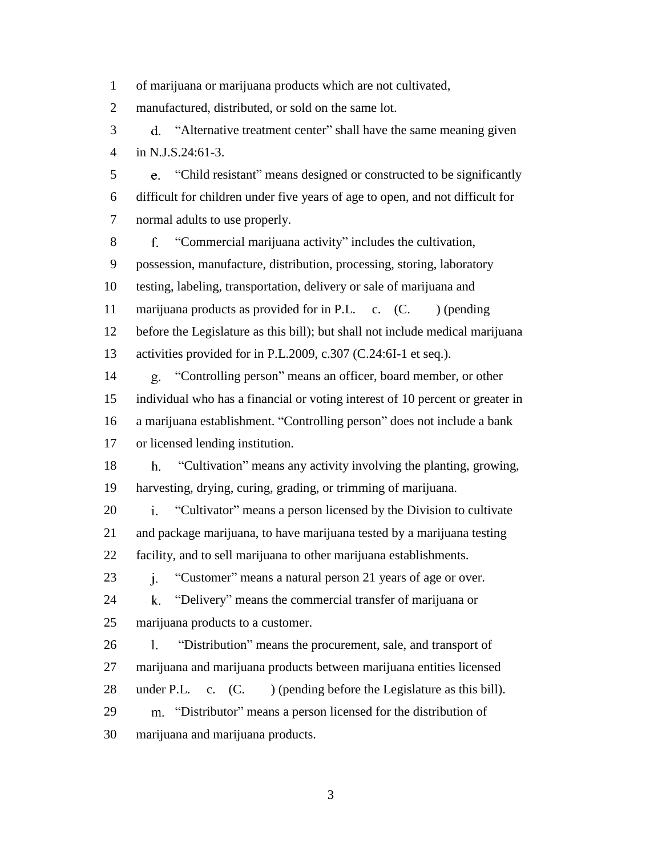of marijuana or marijuana products which are not cultivated,

manufactured, distributed, or sold on the same lot.

 "Alternative treatment center" shall have the same meaning given in N.J.S.24:61-3.

 "Child resistant" means designed or constructed to be significantly difficult for children under five years of age to open, and not difficult for normal adults to use properly.

 "Commercial marijuana activity" includes the cultivation, possession, manufacture, distribution, processing, storing, laboratory testing, labeling, transportation, delivery or sale of marijuana and 11 marijuana products as provided for in P.L. c. (C. ) (pending before the Legislature as this bill); but shall not include medical marijuana

activities provided for in P.L.2009, c.307 (C.24:6I-1 et seq.).

 "Controlling person" means an officer, board member, or other individual who has a financial or voting interest of 10 percent or greater in a marijuana establishment. "Controlling person" does not include a bank or licensed lending institution.

18 h. "Cultivation" means any activity involving the planting, growing, harvesting, drying, curing, grading, or trimming of marijuana.

20 i. "Cultivator" means a person licensed by the Division to cultivate and package marijuana, to have marijuana tested by a marijuana testing facility, and to sell marijuana to other marijuana establishments.

23 i. "Customer" means a natural person 21 years of age or over.

 "Delivery" means the commercial transfer of marijuana or marijuana products to a customer.

 "Distribution" means the procurement, sale, and transport of marijuana and marijuana products between marijuana entities licensed 28 under P.L. c. (C. ) (pending before the Legislature as this bill). 29 m. "Distributor" means a person licensed for the distribution of marijuana and marijuana products.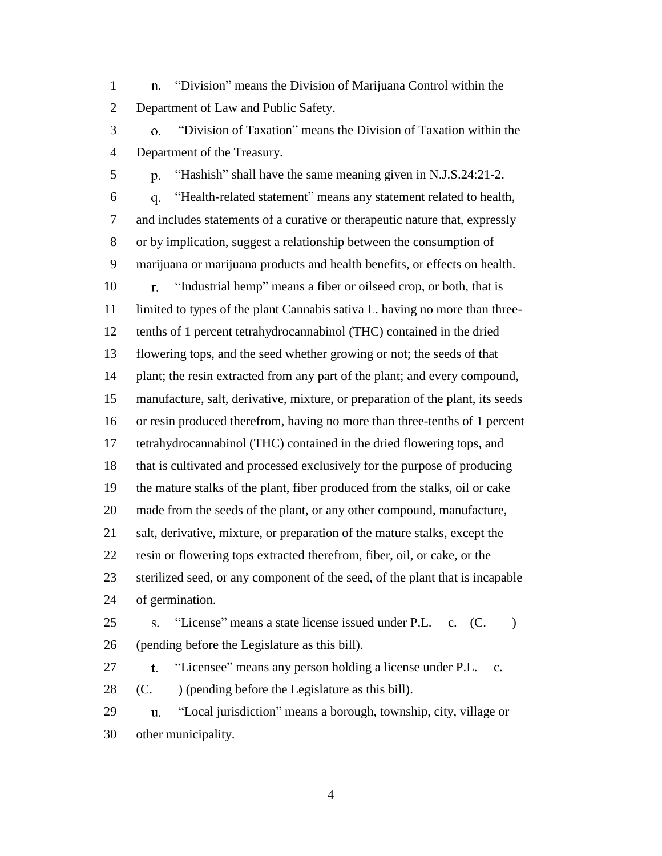"Division" means the Division of Marijuana Control within the Department of Law and Public Safety.

 "Division of Taxation" means the Division of Taxation within the Department of the Treasury.

5 b. "Hashish" shall have the same meaning given in N.J.S.24:21-2. "Health-related statement" means any statement related to health, and includes statements of a curative or therapeutic nature that, expressly or by implication, suggest a relationship between the consumption of marijuana or marijuana products and health benefits, or effects on health. "Industrial hemp" means a fiber or oilseed crop, or both, that is limited to types of the plant Cannabis sativa L. having no more than three- tenths of 1 percent tetrahydrocannabinol (THC) contained in the dried flowering tops, and the seed whether growing or not; the seeds of that plant; the resin extracted from any part of the plant; and every compound, manufacture, salt, derivative, mixture, or preparation of the plant, its seeds or resin produced therefrom, having no more than three-tenths of 1 percent tetrahydrocannabinol (THC) contained in the dried flowering tops, and that is cultivated and processed exclusively for the purpose of producing the mature stalks of the plant, fiber produced from the stalks, oil or cake made from the seeds of the plant, or any other compound, manufacture, salt, derivative, mixture, or preparation of the mature stalks, except the resin or flowering tops extracted therefrom, fiber, oil, or cake, or the sterilized seed, or any component of the seed, of the plant that is incapable of germination.

25 s. "License" means a state license issued under P.L. c. (C. ) (pending before the Legislature as this bill).

27 t. "Licensee" means any person holding a license under P.L. c.

(C. ) (pending before the Legislature as this bill).

29 u. "Local jurisdiction" means a borough, township, city, village or other municipality.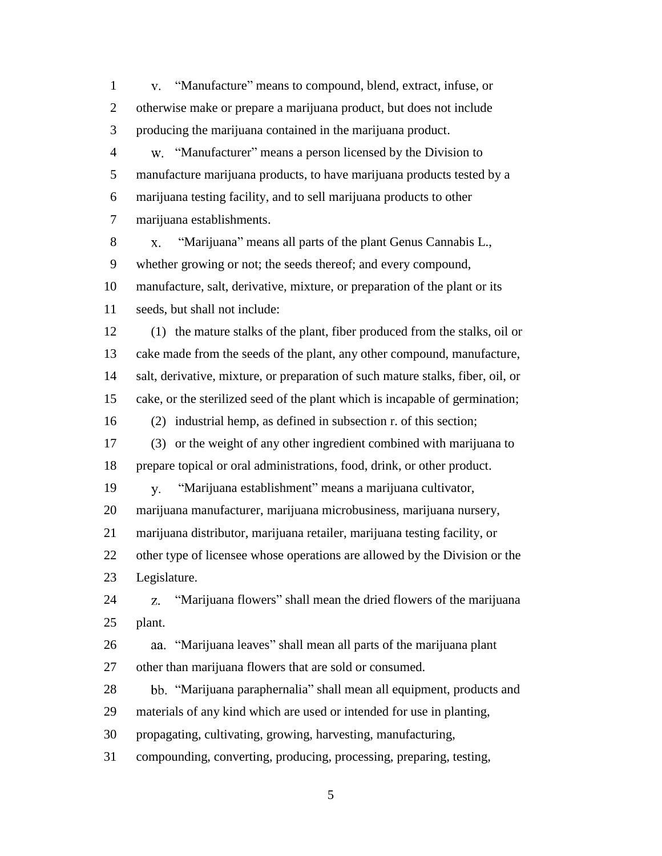"Manufacture" means to compound, blend, extract, infuse, or otherwise make or prepare a marijuana product, but does not include producing the marijuana contained in the marijuana product. "Manufacturer" means a person licensed by the Division to manufacture marijuana products, to have marijuana products tested by a marijuana testing facility, and to sell marijuana products to other marijuana establishments. 8 x. "Marijuana" means all parts of the plant Genus Cannabis L., whether growing or not; the seeds thereof; and every compound, manufacture, salt, derivative, mixture, or preparation of the plant or its seeds, but shall not include: (1) the mature stalks of the plant, fiber produced from the stalks, oil or cake made from the seeds of the plant, any other compound, manufacture, salt, derivative, mixture, or preparation of such mature stalks, fiber, oil, or cake, or the sterilized seed of the plant which is incapable of germination; (2) industrial hemp, as defined in subsection r. of this section; (3) or the weight of any other ingredient combined with marijuana to prepare topical or oral administrations, food, drink, or other product. "Marijuana establishment" means a marijuana cultivator, marijuana manufacturer, marijuana microbusiness, marijuana nursery, marijuana distributor, marijuana retailer, marijuana testing facility, or other type of licensee whose operations are allowed by the Division or the Legislature. 24 z. "Marijuana flowers" shall mean the dried flowers of the marijuana plant. "Marijuana leaves" shall mean all parts of the marijuana plant other than marijuana flowers that are sold or consumed. "Marijuana paraphernalia" shall mean all equipment, products and materials of any kind which are used or intended for use in planting, propagating, cultivating, growing, harvesting, manufacturing, compounding, converting, producing, processing, preparing, testing,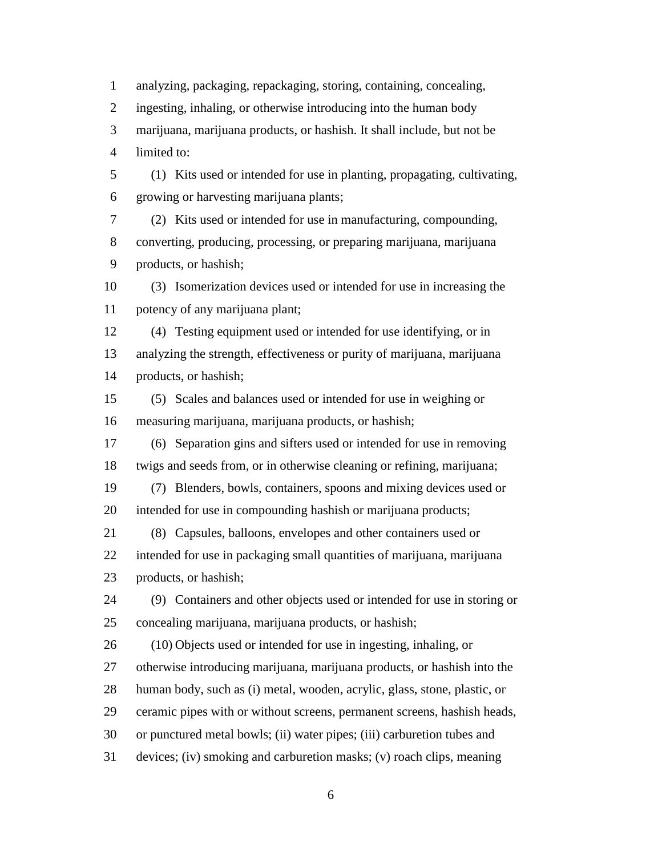analyzing, packaging, repackaging, storing, containing, concealing, ingesting, inhaling, or otherwise introducing into the human body marijuana, marijuana products, or hashish. It shall include, but not be limited to: (1) Kits used or intended for use in planting, propagating, cultivating, growing or harvesting marijuana plants; (2) Kits used or intended for use in manufacturing, compounding, converting, producing, processing, or preparing marijuana, marijuana products, or hashish; (3) Isomerization devices used or intended for use in increasing the potency of any marijuana plant; (4) Testing equipment used or intended for use identifying, or in analyzing the strength, effectiveness or purity of marijuana, marijuana products, or hashish; (5) Scales and balances used or intended for use in weighing or measuring marijuana, marijuana products, or hashish; (6) Separation gins and sifters used or intended for use in removing twigs and seeds from, or in otherwise cleaning or refining, marijuana; (7) Blenders, bowls, containers, spoons and mixing devices used or intended for use in compounding hashish or marijuana products; (8) Capsules, balloons, envelopes and other containers used or intended for use in packaging small quantities of marijuana, marijuana products, or hashish; (9) Containers and other objects used or intended for use in storing or concealing marijuana, marijuana products, or hashish; (10) Objects used or intended for use in ingesting, inhaling, or otherwise introducing marijuana, marijuana products, or hashish into the human body, such as (i) metal, wooden, acrylic, glass, stone, plastic, or ceramic pipes with or without screens, permanent screens, hashish heads, or punctured metal bowls; (ii) water pipes; (iii) carburetion tubes and devices; (iv) smoking and carburetion masks; (v) roach clips, meaning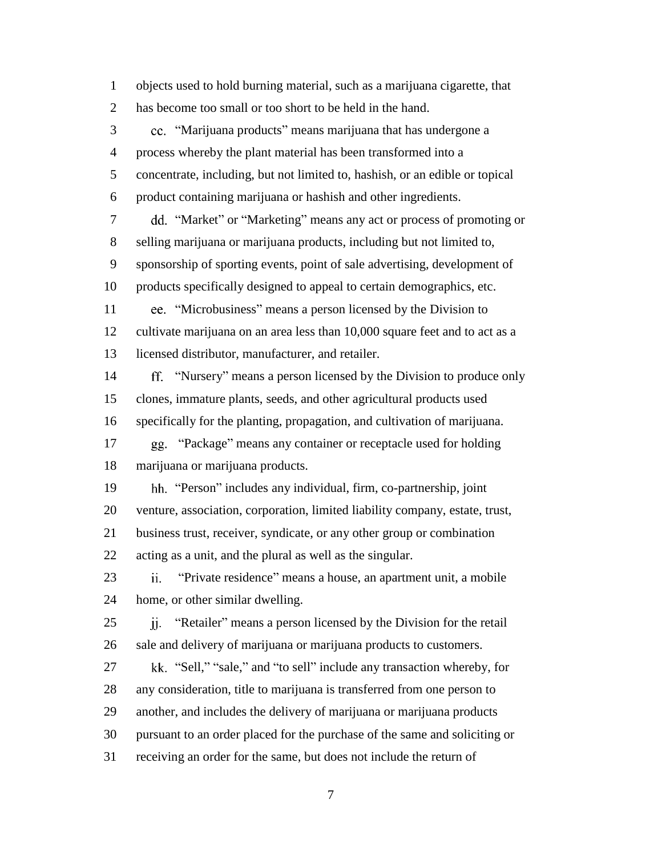objects used to hold burning material, such as a marijuana cigarette, that has become too small or too short to be held in the hand. "Marijuana products" means marijuana that has undergone a process whereby the plant material has been transformed into a concentrate, including, but not limited to, hashish, or an edible or topical product containing marijuana or hashish and other ingredients. "Market" or "Marketing" means any act or process of promoting or selling marijuana or marijuana products, including but not limited to, sponsorship of sporting events, point of sale advertising, development of products specifically designed to appeal to certain demographics, etc. 11 ee. "Microbusiness" means a person licensed by the Division to cultivate marijuana on an area less than 10,000 square feet and to act as a licensed distributor, manufacturer, and retailer. "Nursery" means a person licensed by the Division to produce only clones, immature plants, seeds, and other agricultural products used specifically for the planting, propagation, and cultivation of marijuana. 17 gg. "Package" means any container or receptacle used for holding marijuana or marijuana products. "Person" includes any individual, firm, co-partnership, joint venture, association, corporation, limited liability company, estate, trust, business trust, receiver, syndicate, or any other group or combination acting as a unit, and the plural as well as the singular. "Private residence" means a house, an apartment unit, a mobile home, or other similar dwelling. 25 ii. "Retailer" means a person licensed by the Division for the retail sale and delivery of marijuana or marijuana products to customers. 27 kk. "Sell," "sale," and "to sell" include any transaction whereby, for any consideration, title to marijuana is transferred from one person to another, and includes the delivery of marijuana or marijuana products pursuant to an order placed for the purchase of the same and soliciting or receiving an order for the same, but does not include the return of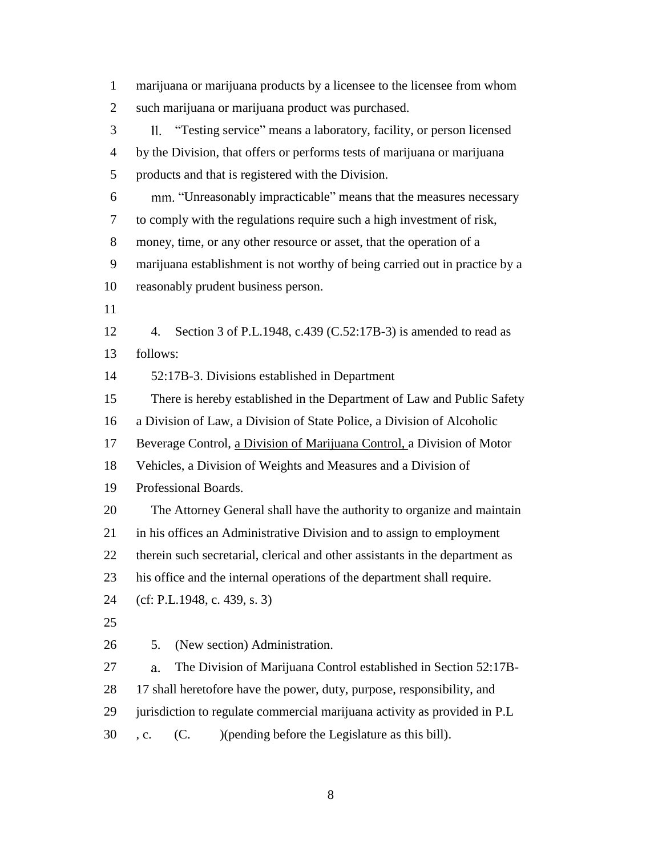| $\mathbf{1}$   | marijuana or marijuana products by a licensee to the licensee from whom      |
|----------------|------------------------------------------------------------------------------|
| $\overline{2}$ | such marijuana or marijuana product was purchased.                           |
| 3              | "Testing service" means a laboratory, facility, or person licensed<br>11.    |
| $\overline{4}$ | by the Division, that offers or performs tests of marijuana or marijuana     |
| 5              | products and that is registered with the Division.                           |
| 6              | mm. "Unreasonably impracticable" means that the measures necessary           |
| 7              | to comply with the regulations require such a high investment of risk,       |
| 8              | money, time, or any other resource or asset, that the operation of a         |
| 9              | marijuana establishment is not worthy of being carried out in practice by a  |
| 10             | reasonably prudent business person.                                          |
| 11             |                                                                              |
| 12             | Section 3 of P.L.1948, c.439 (C.52:17B-3) is amended to read as<br>4.        |
| 13             | follows:                                                                     |
| 14             | 52:17B-3. Divisions established in Department                                |
| 15             | There is hereby established in the Department of Law and Public Safety       |
| 16             | a Division of Law, a Division of State Police, a Division of Alcoholic       |
| 17             | Beverage Control, a Division of Marijuana Control, a Division of Motor       |
| 18             | Vehicles, a Division of Weights and Measures and a Division of               |
| 19             | Professional Boards.                                                         |
| 20             | The Attorney General shall have the authority to organize and maintain       |
| 21             | in his offices an Administrative Division and to assign to employment        |
| 22             | therein such secretarial, clerical and other assistants in the department as |
| 23             | his office and the internal operations of the department shall require.      |
| 24             | (cf: P.L.1948, c. 439, s. 3)                                                 |
| 25             |                                                                              |
| 26             | (New section) Administration.<br>5.                                          |
| 27             | The Division of Marijuana Control established in Section 52:17B-<br>a.       |
| 28             | 17 shall heretofore have the power, duty, purpose, responsibility, and       |
| 29             | jurisdiction to regulate commercial marijuana activity as provided in P.L.   |
| 30             | )(pending before the Legislature as this bill).<br>(C.<br>, c.               |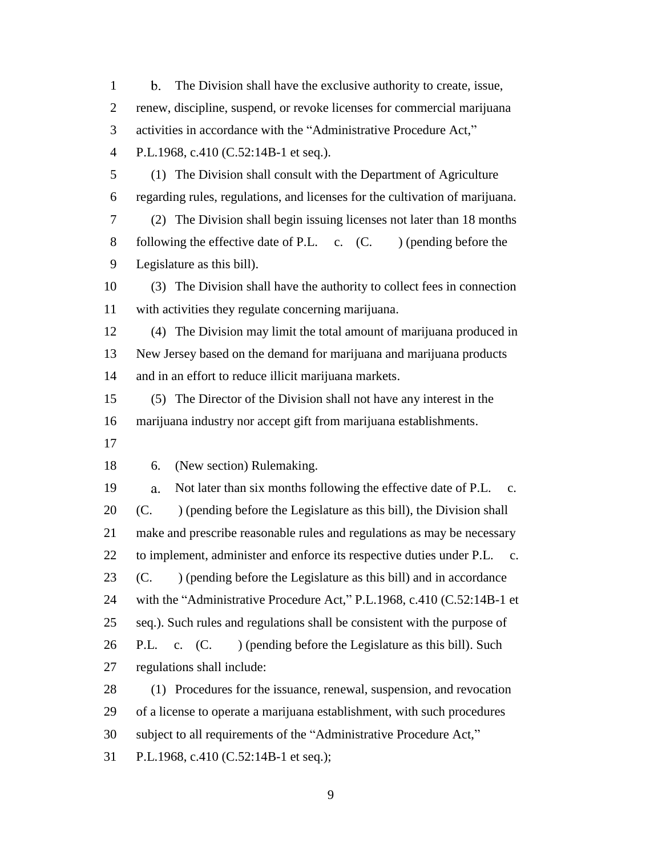The Division shall have the exclusive authority to create, issue, renew, discipline, suspend, or revoke licenses for commercial marijuana activities in accordance with the "Administrative Procedure Act," P.L.1968, c.410 (C.52:14B-1 et seq.). (1) The Division shall consult with the Department of Agriculture regarding rules, regulations, and licenses for the cultivation of marijuana. (2) The Division shall begin issuing licenses not later than 18 months 8 following the effective date of P.L. c. (C. ) (pending before the Legislature as this bill). (3) The Division shall have the authority to collect fees in connection with activities they regulate concerning marijuana. (4) The Division may limit the total amount of marijuana produced in New Jersey based on the demand for marijuana and marijuana products and in an effort to reduce illicit marijuana markets. (5) The Director of the Division shall not have any interest in the marijuana industry nor accept gift from marijuana establishments. 6. (New section) Rulemaking. 19 a. Not later than six months following the effective date of P.L. c. (C. ) (pending before the Legislature as this bill), the Division shall make and prescribe reasonable rules and regulations as may be necessary 22 to implement, administer and enforce its respective duties under P.L. c. (C. ) (pending before the Legislature as this bill) and in accordance with the "Administrative Procedure Act," P.L.1968, c.410 (C.52:14B-1 et seq.). Such rules and regulations shall be consistent with the purpose of 26 P.L. c.  $(C.$  ) (pending before the Legislature as this bill). Such regulations shall include: (1) Procedures for the issuance, renewal, suspension, and revocation of a license to operate a marijuana establishment, with such procedures subject to all requirements of the "Administrative Procedure Act," P.L.1968, c.410 (C.52:14B-1 et seq.);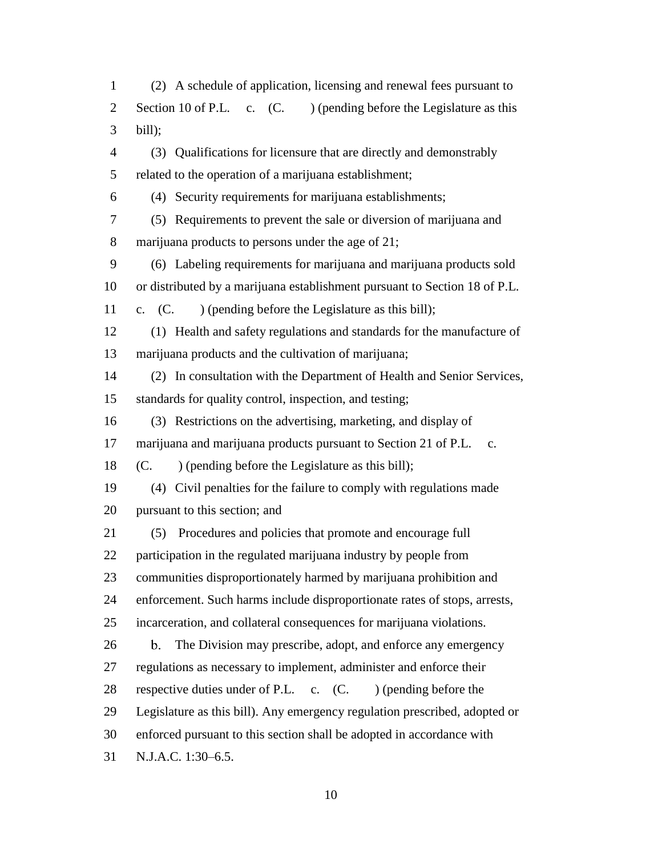(2) A schedule of application, licensing and renewal fees pursuant to 2 Section 10 of P.L. c. (C. ) (pending before the Legislature as this bill); (3) Qualifications for licensure that are directly and demonstrably related to the operation of a marijuana establishment; (4) Security requirements for marijuana establishments; (5) Requirements to prevent the sale or diversion of marijuana and 8 marijuana products to persons under the age of 21; (6) Labeling requirements for marijuana and marijuana products sold or distributed by a marijuana establishment pursuant to Section 18 of P.L. c. (C. ) (pending before the Legislature as this bill); (1) Health and safety regulations and standards for the manufacture of marijuana products and the cultivation of marijuana; (2) In consultation with the Department of Health and Senior Services, standards for quality control, inspection, and testing; (3) Restrictions on the advertising, marketing, and display of marijuana and marijuana products pursuant to Section 21 of P.L. c. (C. ) (pending before the Legislature as this bill); (4) Civil penalties for the failure to comply with regulations made pursuant to this section; and (5) Procedures and policies that promote and encourage full participation in the regulated marijuana industry by people from communities disproportionately harmed by marijuana prohibition and enforcement. Such harms include disproportionate rates of stops, arrests, incarceration, and collateral consequences for marijuana violations. 26 b. The Division may prescribe, adopt, and enforce any emergency regulations as necessary to implement, administer and enforce their 28 respective duties under of P.L. c. (C. ) (pending before the Legislature as this bill). Any emergency regulation prescribed, adopted or enforced pursuant to this section shall be adopted in accordance with N.J.A.C. 1:30–6.5.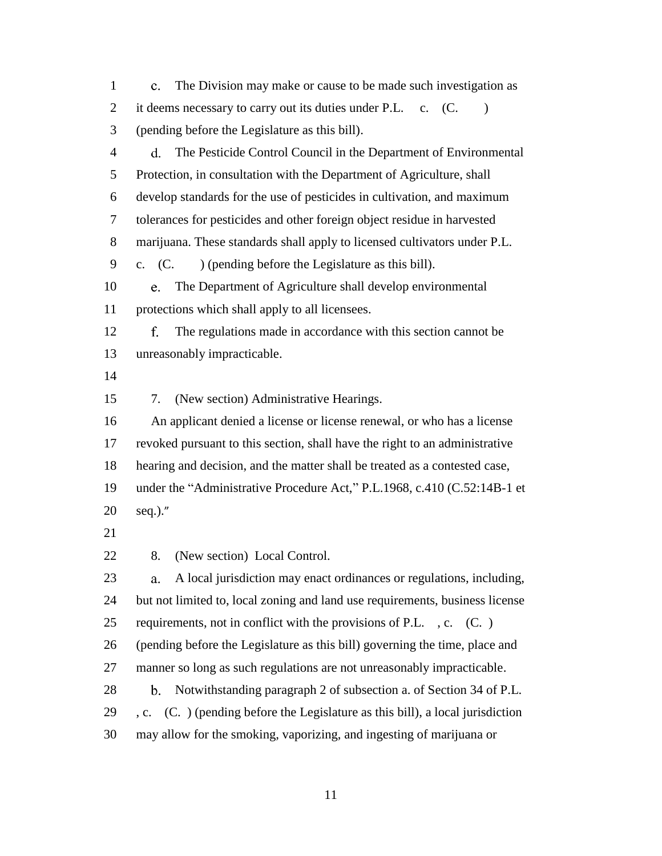| $\mathbf{1}$   | The Division may make or cause to be made such investigation as<br>$\mathbf{c}$ . |
|----------------|-----------------------------------------------------------------------------------|
| $\overline{2}$ | it deems necessary to carry out its duties under P.L. c. (C.                      |
| 3              | (pending before the Legislature as this bill).                                    |
| $\overline{4}$ | The Pesticide Control Council in the Department of Environmental<br>d.            |
| 5              | Protection, in consultation with the Department of Agriculture, shall             |
| 6              | develop standards for the use of pesticides in cultivation, and maximum           |
| 7              | tolerances for pesticides and other foreign object residue in harvested           |
| $8\,$          | marijuana. These standards shall apply to licensed cultivators under P.L.         |
| 9              | ) (pending before the Legislature as this bill).<br>c. $(C.$                      |
| 10             | The Department of Agriculture shall develop environmental<br>e.                   |
| 11             | protections which shall apply to all licensees.                                   |
| 12             | The regulations made in accordance with this section cannot be<br>f.              |
| 13             | unreasonably impracticable.                                                       |
| 14             |                                                                                   |
| 15             | (New section) Administrative Hearings.<br>7.                                      |
| 16             | An applicant denied a license or license renewal, or who has a license            |
| 17             | revoked pursuant to this section, shall have the right to an administrative       |
| 18             | hearing and decision, and the matter shall be treated as a contested case,        |
| 19             | under the "Administrative Procedure Act," P.L.1968, c.410 (C.52:14B-1 et          |
| 20             | $seq.$ ."                                                                         |
| 21             |                                                                                   |
| 22             | (New section) Local Control.<br>8.                                                |
| 23             | A local jurisdiction may enact ordinances or regulations, including,<br>a.        |
| 24             | but not limited to, local zoning and land use requirements, business license      |
| 25             | requirements, not in conflict with the provisions of P.L. $, c. (C.)$             |
| 26             | (pending before the Legislature as this bill) governing the time, place and       |
| 27             | manner so long as such regulations are not unreasonably impracticable.            |
| 28             | Notwithstanding paragraph 2 of subsection a. of Section 34 of P.L.<br>$b_{\cdot}$ |
| 29             | , c. (C.) (pending before the Legislature as this bill), a local jurisdiction     |
| 30             | may allow for the smoking, vaporizing, and ingesting of marijuana or              |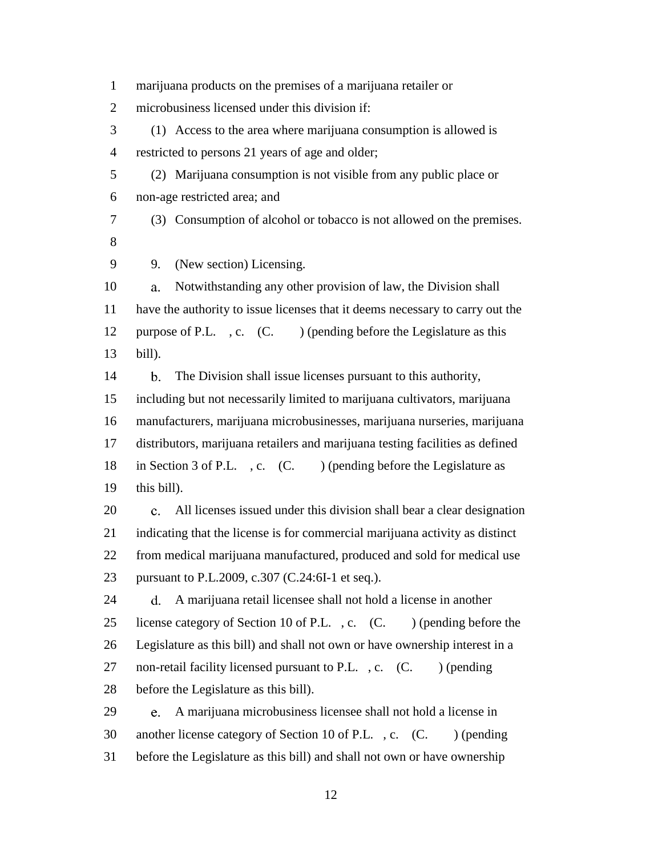marijuana products on the premises of a marijuana retailer or microbusiness licensed under this division if: (1) Access to the area where marijuana consumption is allowed is restricted to persons 21 years of age and older; (2) Marijuana consumption is not visible from any public place or non-age restricted area; and (3) Consumption of alcohol or tobacco is not allowed on the premises. 9. (New section) Licensing. 10 a. Notwithstanding any other provision of law, the Division shall have the authority to issue licenses that it deems necessary to carry out the 12 purpose of P.L., c. (C.) (pending before the Legislature as this bill). 14 b. The Division shall issue licenses pursuant to this authority, including but not necessarily limited to marijuana cultivators, marijuana manufacturers, marijuana microbusinesses, marijuana nurseries, marijuana distributors, marijuana retailers and marijuana testing facilities as defined 18 in Section 3 of P.L., c. (C.) (pending before the Legislature as this bill). All licenses issued under this division shall bear a clear designation indicating that the license is for commercial marijuana activity as distinct from medical marijuana manufactured, produced and sold for medical use pursuant to P.L.2009, c.307 (C.24:6I-1 et seq.). A marijuana retail licensee shall not hold a license in another 25 license category of Section 10 of P.L., c. (C. ) (pending before the Legislature as this bill) and shall not own or have ownership interest in a 27 non-retail facility licensed pursuant to P.L., c.  $(C.$  (pending before the Legislature as this bill). A marijuana microbusiness licensee shall not hold a license in 30 another license category of Section 10 of P.L., c. (C. ) (pending before the Legislature as this bill) and shall not own or have ownership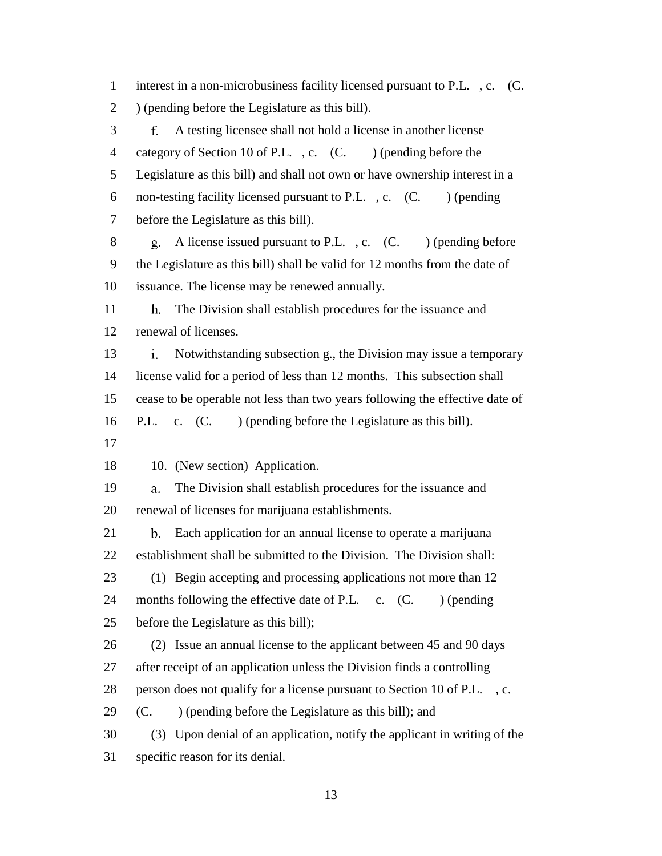interest in a non-microbusiness facility licensed pursuant to P.L. , c. (C. ) (pending before the Legislature as this bill). A testing licensee shall not hold a license in another license 4 category of Section 10 of P.L., c. (C. ) (pending before the Legislature as this bill) and shall not own or have ownership interest in a non-testing facility licensed pursuant to P.L. , c. (C. ) (pending before the Legislature as this bill). A license issued pursuant to P.L. , c. (C. ) (pending before the Legislature as this bill) shall be valid for 12 months from the date of issuance. The license may be renewed annually. 11 h. The Division shall establish procedures for the issuance and renewal of licenses. 13 i. Notwithstanding subsection g., the Division may issue a temporary license valid for a period of less than 12 months. This subsection shall cease to be operable not less than two years following the effective date of P.L. c. (C. ) (pending before the Legislature as this bill). 18 10. (New section) Application. The Division shall establish procedures for the issuance and renewal of licenses for marijuana establishments. 21 b. Each application for an annual license to operate a marijuana establishment shall be submitted to the Division. The Division shall: (1) Begin accepting and processing applications not more than 12 24 months following the effective date of P.L. c. (C. ) (pending before the Legislature as this bill); (2) Issue an annual license to the applicant between 45 and 90 days after receipt of an application unless the Division finds a controlling person does not qualify for a license pursuant to Section 10 of P.L. , c.  $(C.$  ) (pending before the Legislature as this bill); and (3) Upon denial of an application, notify the applicant in writing of the specific reason for its denial.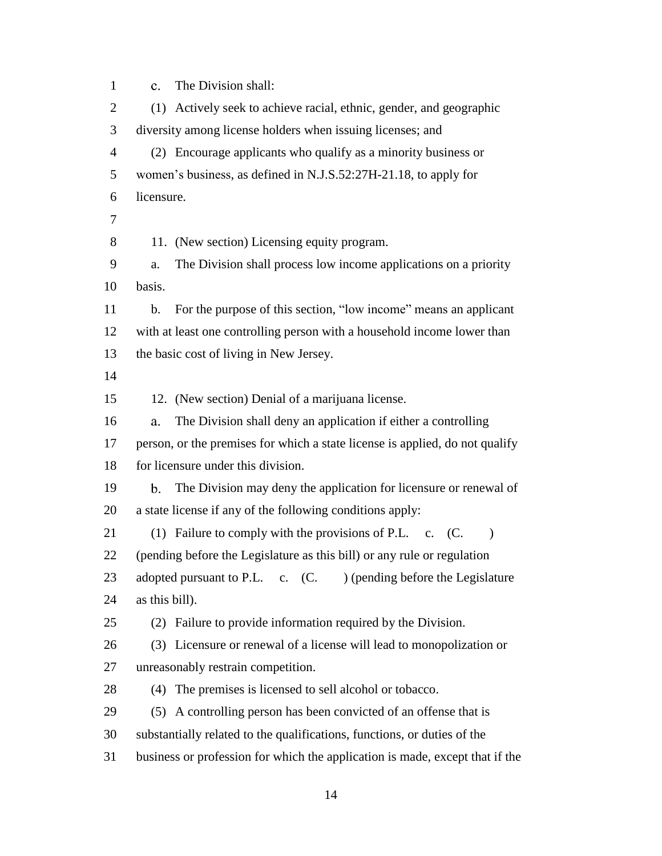|  | The Division shall: |
|--|---------------------|
|--|---------------------|

| $\overline{2}$ |                | (1) Actively seek to achieve racial, ethnic, gender, and geographic          |
|----------------|----------------|------------------------------------------------------------------------------|
| 3              |                | diversity among license holders when issuing licenses; and                   |
| 4              |                | (2) Encourage applicants who qualify as a minority business or               |
| 5              |                | women's business, as defined in N.J.S.52:27H-21.18, to apply for             |
| 6              | licensure.     |                                                                              |
| 7              |                |                                                                              |
| $8\,$          |                | 11. (New section) Licensing equity program.                                  |
| 9              | a.             | The Division shall process low income applications on a priority             |
| 10             | basis.         |                                                                              |
| 11             | $\mathbf b$ .  | For the purpose of this section, "low income" means an applicant             |
| 12             |                | with at least one controlling person with a household income lower than      |
| 13             |                | the basic cost of living in New Jersey.                                      |
| 14             |                |                                                                              |
| 15             |                | 12. (New section) Denial of a marijuana license.                             |
| 16             | a.             | The Division shall deny an application if either a controlling               |
| 17             |                | person, or the premises for which a state license is applied, do not qualify |
| 18             |                | for licensure under this division.                                           |
| 19             | b.             | The Division may deny the application for licensure or renewal of            |
| 20             |                | a state license if any of the following conditions apply:                    |
| 21             |                | (1) Failure to comply with the provisions of P.L. c. $(C.$                   |
| 22             |                | (pending before the Legislature as this bill) or any rule or regulation      |
| 23             |                | adopted pursuant to P.L. c. (C.<br>) (pending before the Legislature         |
| 24             | as this bill). |                                                                              |
| 25             | (2)            | Failure to provide information required by the Division.                     |
| 26             |                | (3) Licensure or renewal of a license will lead to monopolization or         |
| 27             |                | unreasonably restrain competition.                                           |
| 28             | (4)            | The premises is licensed to sell alcohol or tobacco.                         |
| 29             | (5)            | A controlling person has been convicted of an offense that is                |
| 30             |                | substantially related to the qualifications, functions, or duties of the     |
| 31             |                | business or profession for which the application is made, except that if the |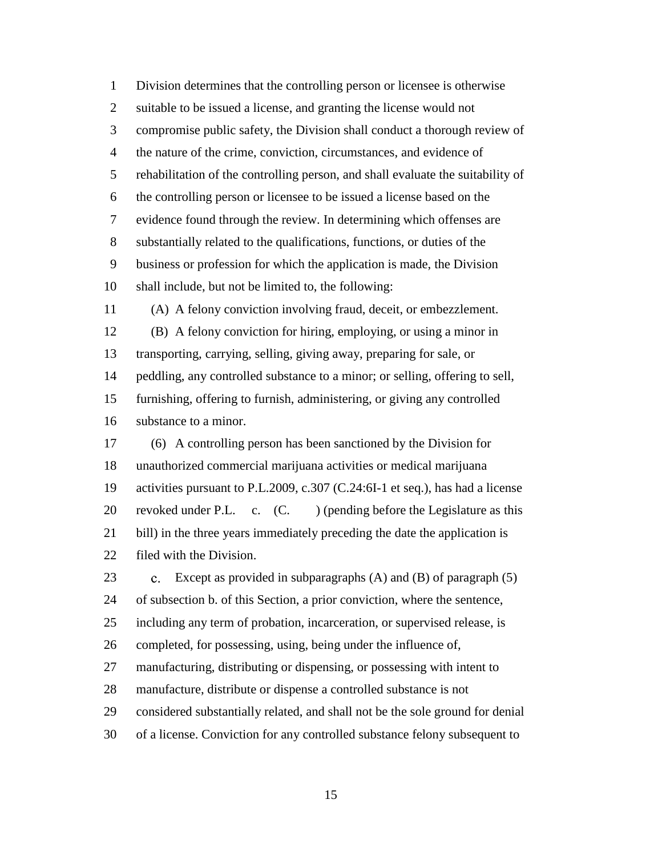Division determines that the controlling person or licensee is otherwise suitable to be issued a license, and granting the license would not compromise public safety, the Division shall conduct a thorough review of 4 the nature of the crime, conviction, circumstances, and evidence of rehabilitation of the controlling person, and shall evaluate the suitability of the controlling person or licensee to be issued a license based on the evidence found through the review. In determining which offenses are substantially related to the qualifications, functions, or duties of the business or profession for which the application is made, the Division shall include, but not be limited to, the following: (A) A felony conviction involving fraud, deceit, or embezzlement. (B) A felony conviction for hiring, employing, or using a minor in transporting, carrying, selling, giving away, preparing for sale, or peddling, any controlled substance to a minor; or selling, offering to sell, furnishing, offering to furnish, administering, or giving any controlled substance to a minor. (6) A controlling person has been sanctioned by the Division for unauthorized commercial marijuana activities or medical marijuana activities pursuant to P.L.2009, c.307 (C.24:6I-1 et seq.), has had a license 20 revoked under P.L. c. (C. ) (pending before the Legislature as this bill) in the three years immediately preceding the date the application is filed with the Division. Except as provided in subparagraphs (A) and (B) of paragraph (5) of subsection b. of this Section, a prior conviction, where the sentence, including any term of probation, incarceration, or supervised release, is completed, for possessing, using, being under the influence of, manufacturing, distributing or dispensing, or possessing with intent to manufacture, distribute or dispense a controlled substance is not considered substantially related, and shall not be the sole ground for denial of a license. Conviction for any controlled substance felony subsequent to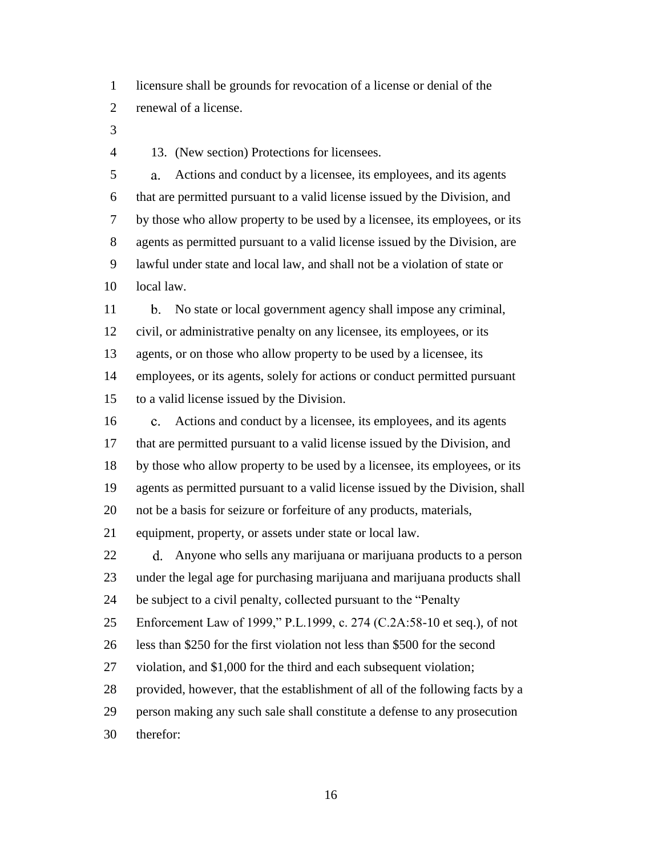licensure shall be grounds for revocation of a license or denial of the renewal of a license.

13. (New section) Protections for licensees.

5 a. Actions and conduct by a licensee, its employees, and its agents that are permitted pursuant to a valid license issued by the Division, and by those who allow property to be used by a licensee, its employees, or its agents as permitted pursuant to a valid license issued by the Division, are lawful under state and local law, and shall not be a violation of state or local law.

11 b. No state or local government agency shall impose any criminal, civil, or administrative penalty on any licensee, its employees, or its agents, or on those who allow property to be used by a licensee, its employees, or its agents, solely for actions or conduct permitted pursuant to a valid license issued by the Division.

**c.** Actions and conduct by a licensee, its employees, and its agents that are permitted pursuant to a valid license issued by the Division, and by those who allow property to be used by a licensee, its employees, or its agents as permitted pursuant to a valid license issued by the Division, shall not be a basis for seizure or forfeiture of any products, materials, equipment, property, or assets under state or local law. 22 d. Anyone who sells any marijuana or marijuana products to a person under the legal age for purchasing marijuana and marijuana products shall be subject to a civil penalty, collected pursuant to the "Penalty Enforcement Law of 1999," P.L.1999, c. 274 (C.2A:58-10 et seq.), of not less than \$250 for the first violation not less than \$500 for the second

violation, and \$1,000 for the third and each subsequent violation;

provided, however, that the establishment of all of the following facts by a

person making any such sale shall constitute a defense to any prosecution

therefor: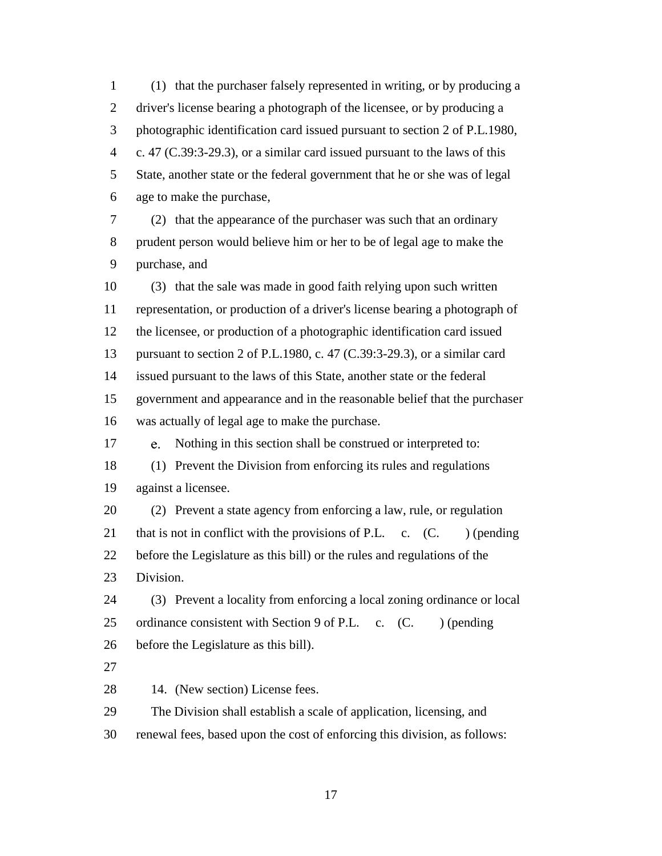(1) that the purchaser falsely represented in writing, or by producing a driver's license bearing a photograph of the licensee, or by producing a photographic identification card issued pursuant to section 2 of P.L.1980, c. 47 (C.39:3-29.3), or a similar card issued pursuant to the laws of this State, another state or the federal government that he or she was of legal age to make the purchase, (2) that the appearance of the purchaser was such that an ordinary

 prudent person would believe him or her to be of legal age to make the purchase, and

 (3) that the sale was made in good faith relying upon such written representation, or production of a driver's license bearing a photograph of the licensee, or production of a photographic identification card issued pursuant to section 2 of P.L.1980, c. 47 (C.39:3-29.3), or a similar card issued pursuant to the laws of this State, another state or the federal government and appearance and in the reasonable belief that the purchaser was actually of legal age to make the purchase.

17 e. Nothing in this section shall be construed or interpreted to:

 (1) Prevent the Division from enforcing its rules and regulations against a licensee.

 (2) Prevent a state agency from enforcing a law, rule, or regulation 21 that is not in conflict with the provisions of P.L. c.  $(C.$  (pending before the Legislature as this bill) or the rules and regulations of the Division.

 (3) Prevent a locality from enforcing a local zoning ordinance or local 25 ordinance consistent with Section 9 of P.L. c. (C. ) (pending before the Legislature as this bill).

28 14. (New section) License fees.

The Division shall establish a scale of application, licensing, and

renewal fees, based upon the cost of enforcing this division, as follows: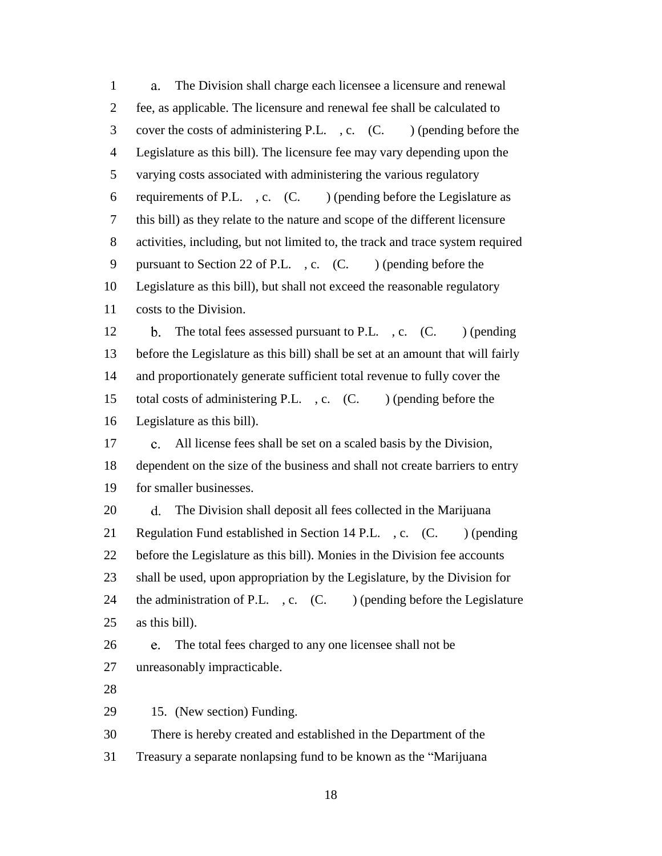The Division shall charge each licensee a licensure and renewal fee, as applicable. The licensure and renewal fee shall be calculated to cover the costs of administering P.L. , c. (C. ) (pending before the Legislature as this bill). The licensure fee may vary depending upon the varying costs associated with administering the various regulatory 6 requirements of P.L., c.  $(C.$  ) (pending before the Legislature as this bill) as they relate to the nature and scope of the different licensure activities, including, but not limited to, the track and trace system required 9 pursuant to Section 22 of P.L., c. (C. ) (pending before the Legislature as this bill), but shall not exceed the reasonable regulatory costs to the Division. 12 b. The total fees assessed pursuant to P.L., c. (C. ) (pending before the Legislature as this bill) shall be set at an amount that will fairly and proportionately generate sufficient total revenue to fully cover the total costs of administering P.L. , c. (C. ) (pending before the Legislature as this bill). All license fees shall be set on a scaled basis by the Division, dependent on the size of the business and shall not create barriers to entry for smaller businesses. 20 d. The Division shall deposit all fees collected in the Marijuana 21 Regulation Fund established in Section 14 P.L., c. (C. ) (pending before the Legislature as this bill). Monies in the Division fee accounts shall be used, upon appropriation by the Legislature, by the Division for 24 the administration of P.L., c. (C.) (pending before the Legislature as this bill). The total fees charged to any one licensee shall not be unreasonably impracticable. 15. (New section) Funding. There is hereby created and established in the Department of the Treasury a separate nonlapsing fund to be known as the "Marijuana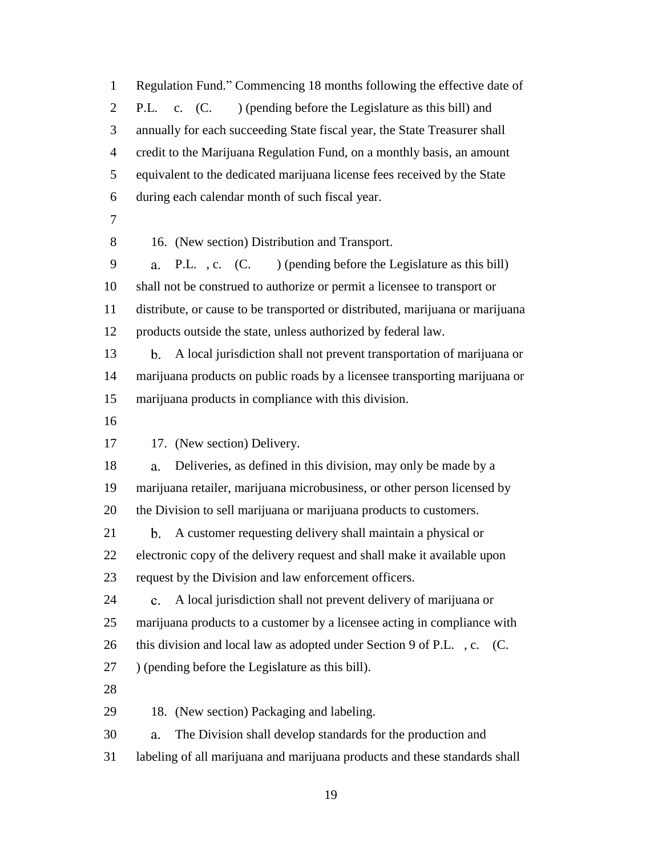Regulation Fund." Commencing 18 months following the effective date of P.L. c. (C. ) (pending before the Legislature as this bill) and annually for each succeeding State fiscal year, the State Treasurer shall credit to the Marijuana Regulation Fund, on a monthly basis, an amount equivalent to the dedicated marijuana license fees received by the State during each calendar month of such fiscal year. 16. (New section) Distribution and Transport. 9 a. P.L., c. (C. ) (pending before the Legislature as this bill) shall not be construed to authorize or permit a licensee to transport or distribute, or cause to be transported or distributed, marijuana or marijuana products outside the state, unless authorized by federal law. A local jurisdiction shall not prevent transportation of marijuana or marijuana products on public roads by a licensee transporting marijuana or marijuana products in compliance with this division. 17. (New section) Delivery. Deliveries, as defined in this division, may only be made by a marijuana retailer, marijuana microbusiness, or other person licensed by the Division to sell marijuana or marijuana products to customers. 21 b. A customer requesting delivery shall maintain a physical or electronic copy of the delivery request and shall make it available upon request by the Division and law enforcement officers. A local jurisdiction shall not prevent delivery of marijuana or marijuana products to a customer by a licensee acting in compliance with 26 this division and local law as adopted under Section 9 of P.L., c. (C. ) (pending before the Legislature as this bill). 18. (New section) Packaging and labeling. The Division shall develop standards for the production and labeling of all marijuana and marijuana products and these standards shall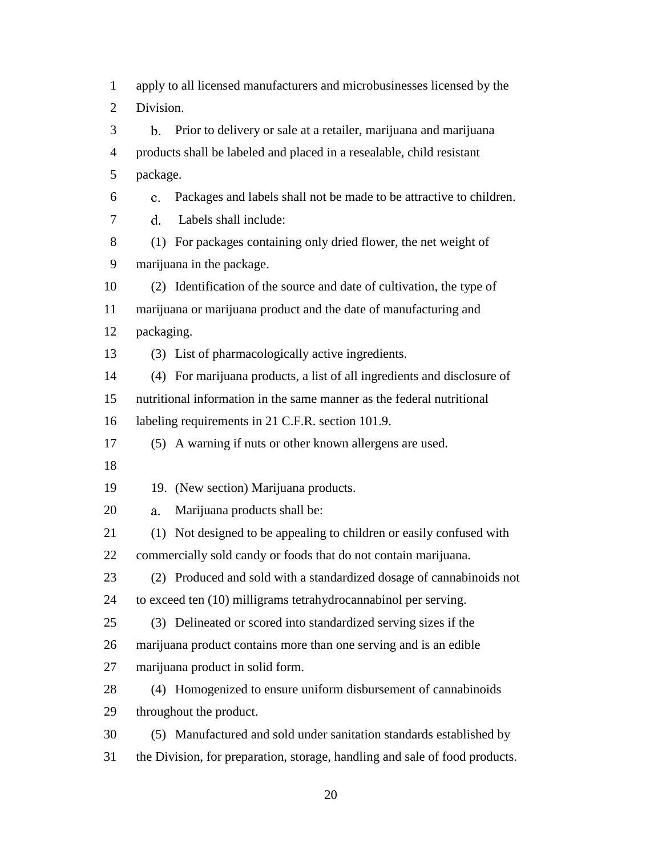| $\mathbf{1}$   |                | apply to all licensed manufacturers and microbusinesses licensed by the     |
|----------------|----------------|-----------------------------------------------------------------------------|
| $\overline{2}$ | Division.      |                                                                             |
| 3              | b.             | Prior to delivery or sale at a retailer, marijuana and marijuana            |
| $\overline{4}$ |                | products shall be labeled and placed in a resealable, child resistant       |
| 5              | package.       |                                                                             |
| 6              | $\mathbf{c}$ . | Packages and labels shall not be made to be attractive to children.         |
| 7              | d.             | Labels shall include:                                                       |
| 8              |                | (1) For packages containing only dried flower, the net weight of            |
| 9              |                | marijuana in the package.                                                   |
| 10             |                | (2) Identification of the source and date of cultivation, the type of       |
| 11             |                | marijuana or marijuana product and the date of manufacturing and            |
| 12             | packaging.     |                                                                             |
| 13             |                | (3) List of pharmacologically active ingredients.                           |
| 14             |                | (4) For marijuana products, a list of all ingredients and disclosure of     |
| 15             |                | nutritional information in the same manner as the federal nutritional       |
| 16             |                | labeling requirements in 21 C.F.R. section 101.9.                           |
| 17             |                | (5) A warning if nuts or other known allergens are used.                    |
| 18             |                |                                                                             |
| 19             |                | 19. (New section) Marijuana products.                                       |
| 20             | a.             | Marijuana products shall be:                                                |
| 21             |                | (1) Not designed to be appealing to children or easily confused with        |
| 22             |                | commercially sold candy or foods that do not contain marijuana.             |
| 23             |                | (2) Produced and sold with a standardized dosage of cannabinoids not        |
| 24             |                | to exceed ten (10) milligrams tetrahydrocannabinol per serving.             |
| 25             |                | (3) Delineated or scored into standardized serving sizes if the             |
| 26             |                | marijuana product contains more than one serving and is an edible           |
| 27             |                | marijuana product in solid form.                                            |
| 28             |                | (4) Homogenized to ensure uniform disbursement of cannabinoids              |
| 29             |                | throughout the product.                                                     |
| 30             |                | (5) Manufactured and sold under sanitation standards established by         |
| 31             |                | the Division, for preparation, storage, handling and sale of food products. |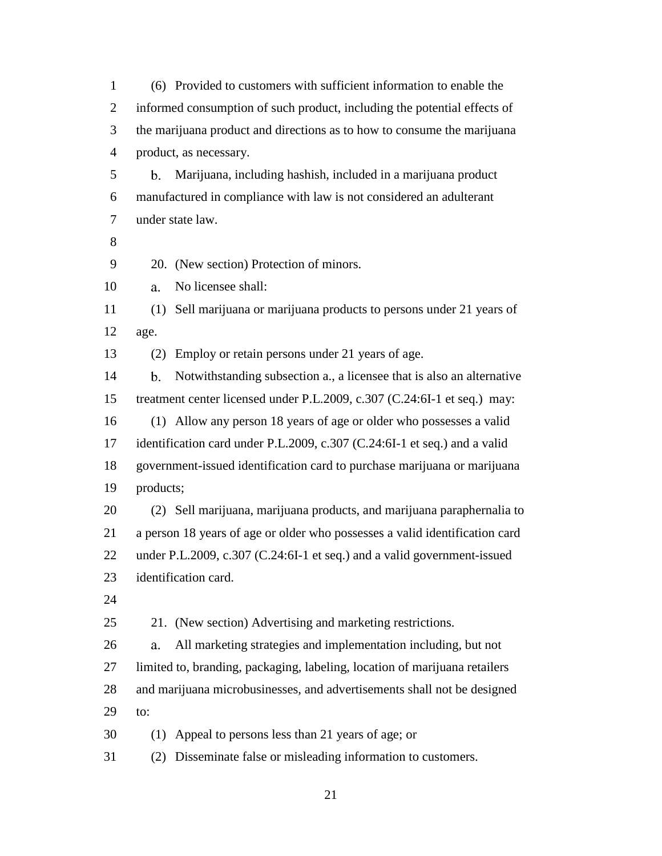(6) Provided to customers with sufficient information to enable the informed consumption of such product, including the potential effects of the marijuana product and directions as to how to consume the marijuana product, as necessary. Marijuana, including hashish, included in a marijuana product manufactured in compliance with law is not considered an adulterant under state law. 20. (New section) Protection of minors. No licensee shall: (1) Sell marijuana or marijuana products to persons under 21 years of age. (2) Employ or retain persons under 21 years of age. 14 b. Notwithstanding subsection a., a licensee that is also an alternative treatment center licensed under P.L.2009, c.307 (C.24:6I-1 et seq.) may: (1) Allow any person 18 years of age or older who possesses a valid identification card under P.L.2009, c.307 (C.24:6I-1 et seq.) and a valid government-issued identification card to purchase marijuana or marijuana products; (2) Sell marijuana, marijuana products, and marijuana paraphernalia to a person 18 years of age or older who possesses a valid identification card under P.L.2009, c.307 (C.24:6I-1 et seq.) and a valid government-issued identification card. 21. (New section) Advertising and marketing restrictions. All marketing strategies and implementation including, but not limited to, branding, packaging, labeling, location of marijuana retailers and marijuana microbusinesses, and advertisements shall not be designed to: (1) Appeal to persons less than 21 years of age; or (2) Disseminate false or misleading information to customers.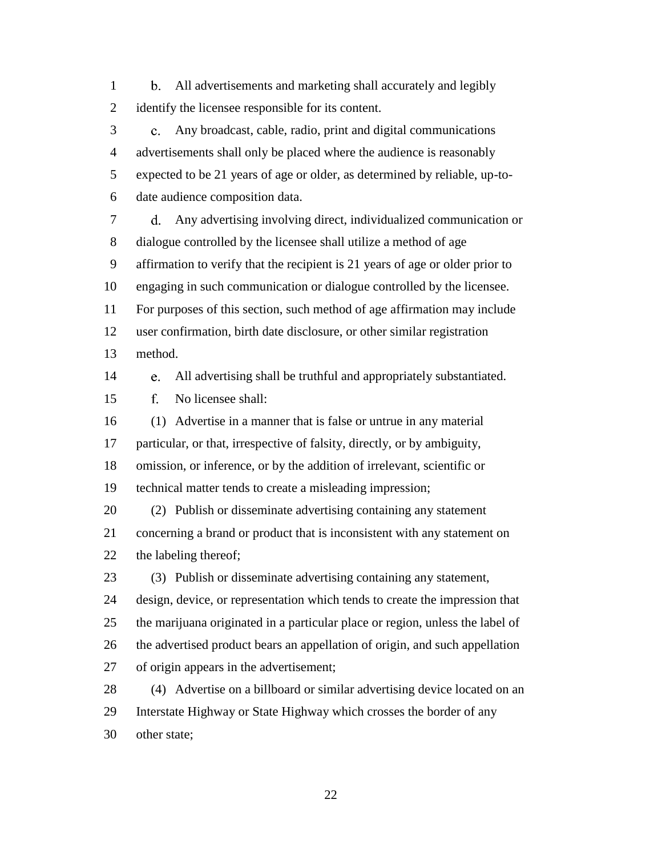All advertisements and marketing shall accurately and legibly identify the licensee responsible for its content.

3 c. Any broadcast, cable, radio, print and digital communications advertisements shall only be placed where the audience is reasonably expected to be 21 years of age or older, as determined by reliable, up-to-date audience composition data.

 Any advertising involving direct, individualized communication or dialogue controlled by the licensee shall utilize a method of age affirmation to verify that the recipient is 21 years of age or older prior to engaging in such communication or dialogue controlled by the licensee. For purposes of this section, such method of age affirmation may include user confirmation, birth date disclosure, or other similar registration

method.

All advertising shall be truthful and appropriately substantiated.

No licensee shall:

(1) Advertise in a manner that is false or untrue in any material

particular, or that, irrespective of falsity, directly, or by ambiguity,

omission, or inference, or by the addition of irrelevant, scientific or

technical matter tends to create a misleading impression;

 (2) Publish or disseminate advertising containing any statement concerning a brand or product that is inconsistent with any statement on the labeling thereof;

 (3) Publish or disseminate advertising containing any statement, design, device, or representation which tends to create the impression that the marijuana originated in a particular place or region, unless the label of the advertised product bears an appellation of origin, and such appellation

of origin appears in the advertisement;

 (4) Advertise on a billboard or similar advertising device located on an Interstate Highway or State Highway which crosses the border of any other state;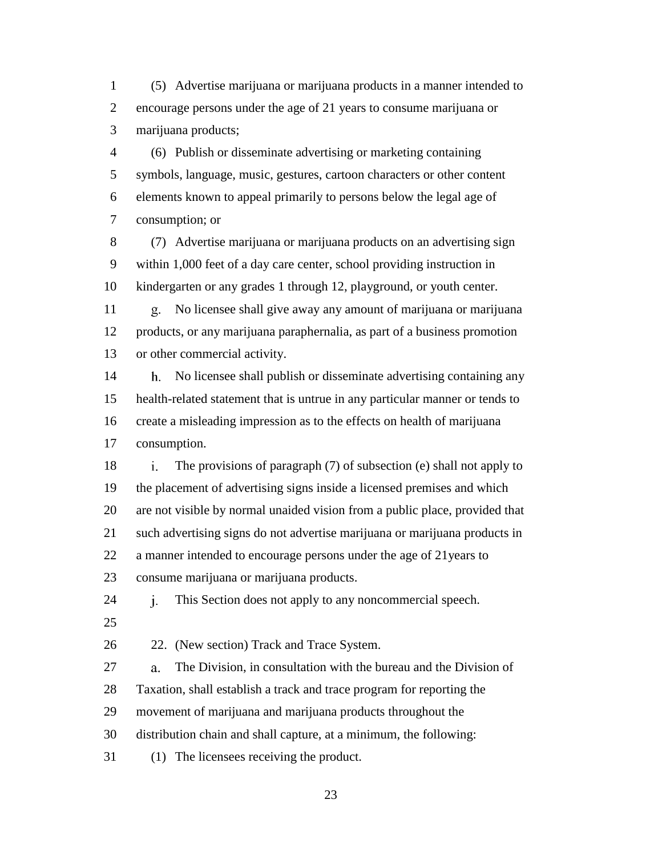(5) Advertise marijuana or marijuana products in a manner intended to encourage persons under the age of 21 years to consume marijuana or marijuana products;

 (6) Publish or disseminate advertising or marketing containing symbols, language, music, gestures, cartoon characters or other content elements known to appeal primarily to persons below the legal age of consumption; or

 (7) Advertise marijuana or marijuana products on an advertising sign within 1,000 feet of a day care center, school providing instruction in kindergarten or any grades 1 through 12, playground, or youth center.

 No licensee shall give away any amount of marijuana or marijuana products, or any marijuana paraphernalia, as part of a business promotion or other commercial activity.

14 h. No licensee shall publish or disseminate advertising containing any health-related statement that is untrue in any particular manner or tends to create a misleading impression as to the effects on health of marijuana consumption.

 The provisions of paragraph (7) of subsection (e) shall not apply to the placement of advertising signs inside a licensed premises and which are not visible by normal unaided vision from a public place, provided that such advertising signs do not advertise marijuana or marijuana products in a manner intended to encourage persons under the age of 21years to consume marijuana or marijuana products.

This Section does not apply to any noncommercial speech.

22. (New section) Track and Trace System.

The Division, in consultation with the bureau and the Division of

Taxation, shall establish a track and trace program for reporting the

movement of marijuana and marijuana products throughout the

distribution chain and shall capture, at a minimum, the following:

(1) The licensees receiving the product.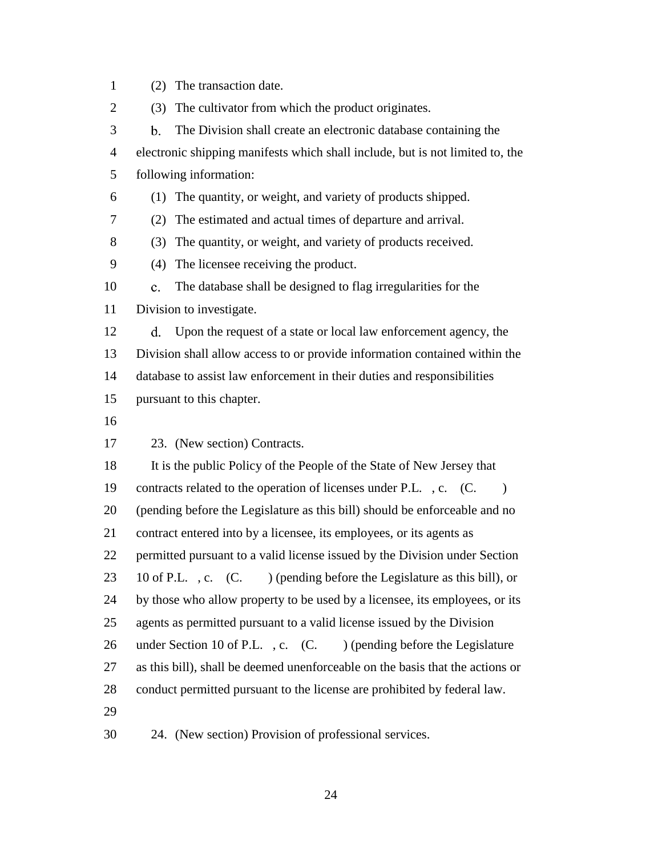(2) The transaction date.

(3) The cultivator from which the product originates.

- The Division shall create an electronic database containing the electronic shipping manifests which shall include, but is not limited to, the following information:
- (1) The quantity, or weight, and variety of products shipped.
- (2) The estimated and actual times of departure and arrival.
- (3) The quantity, or weight, and variety of products received.
- (4) The licensee receiving the product.
- 10 c. The database shall be designed to flag irregularities for the
- Division to investigate.
- Upon the request of a state or local law enforcement agency, the Division shall allow access to or provide information contained within the database to assist law enforcement in their duties and responsibilities
- pursuant to this chapter.
- 
- 23. (New section) Contracts.

 It is the public Policy of the People of the State of New Jersey that 19 contracts related to the operation of licenses under P.L., c. (C. ) (pending before the Legislature as this bill) should be enforceable and no contract entered into by a licensee, its employees, or its agents as permitted pursuant to a valid license issued by the Division under Section 23 10 of P.L., c. (C. ) (pending before the Legislature as this bill), or by those who allow property to be used by a licensee, its employees, or its agents as permitted pursuant to a valid license issued by the Division 26 under Section 10 of P.L., c. (C.) (pending before the Legislature as this bill), shall be deemed unenforceable on the basis that the actions or conduct permitted pursuant to the license are prohibited by federal law. 

24. (New section) Provision of professional services.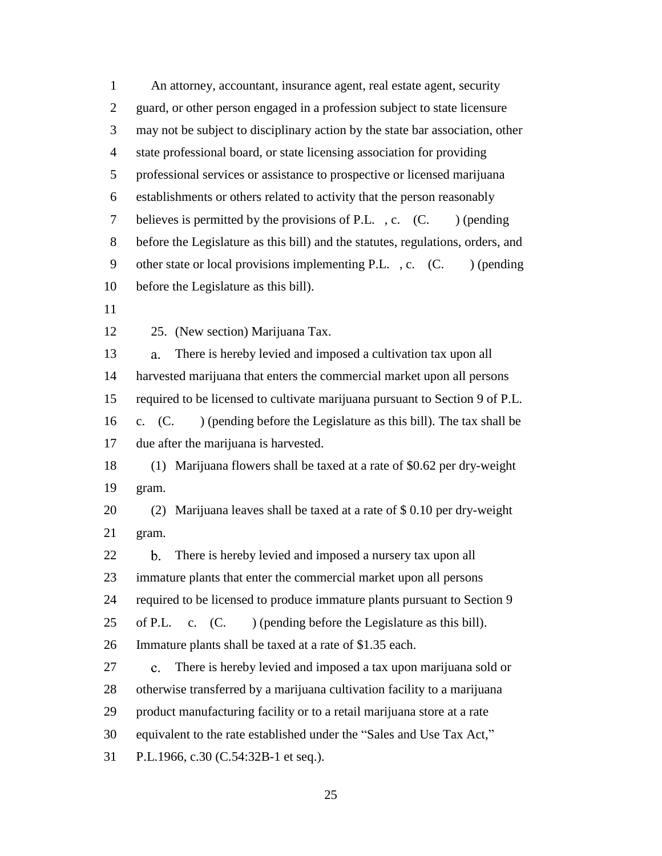An attorney, accountant, insurance agent, real estate agent, security guard, or other person engaged in a profession subject to state licensure may not be subject to disciplinary action by the state bar association, other state professional board, or state licensing association for providing professional services or assistance to prospective or licensed marijuana establishments or others related to activity that the person reasonably 7 believes is permitted by the provisions of P.L., c. (C. ) (pending before the Legislature as this bill) and the statutes, regulations, orders, and 9 other state or local provisions implementing P.L., c. (C. ) (pending before the Legislature as this bill). 25. (New section) Marijuana Tax. There is hereby levied and imposed a cultivation tax upon all harvested marijuana that enters the commercial market upon all persons required to be licensed to cultivate marijuana pursuant to Section 9 of P.L. c. (C. ) (pending before the Legislature as this bill). The tax shall be due after the marijuana is harvested. (1) Marijuana flowers shall be taxed at a rate of \$0.62 per dry-weight gram. (2) Marijuana leaves shall be taxed at a rate of \$ 0.10 per dry-weight gram. 22 b. There is hereby levied and imposed a nursery tax upon all immature plants that enter the commercial market upon all persons required to be licensed to produce immature plants pursuant to Section 9 of P.L. c. (C. ) (pending before the Legislature as this bill). Immature plants shall be taxed at a rate of \$1.35 each. There is hereby levied and imposed a tax upon marijuana sold or otherwise transferred by a marijuana cultivation facility to a marijuana product manufacturing facility or to a retail marijuana store at a rate equivalent to the rate established under the "Sales and Use Tax Act," P.L.1966, c.30 (C.54:32B-1 et seq.).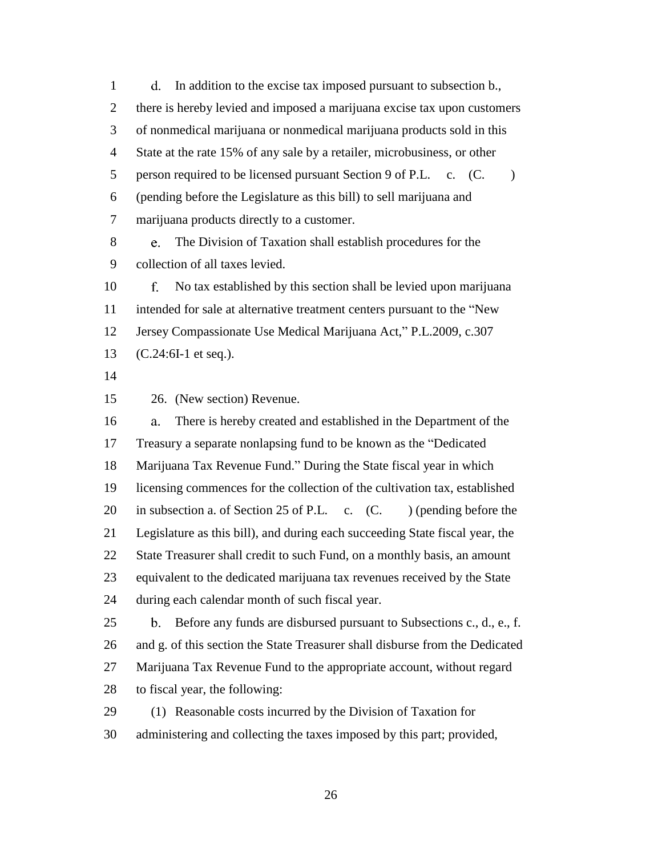1 d. In addition to the excise tax imposed pursuant to subsection b., there is hereby levied and imposed a marijuana excise tax upon customers of nonmedical marijuana or nonmedical marijuana products sold in this State at the rate 15% of any sale by a retailer, microbusiness, or other 5 person required to be licensed pursuant Section 9 of P.L. c. (C. ) (pending before the Legislature as this bill) to sell marijuana and marijuana products directly to a customer. The Division of Taxation shall establish procedures for the collection of all taxes levied. 10 f. No tax established by this section shall be levied upon marijuana intended for sale at alternative treatment centers pursuant to the "New Jersey Compassionate Use Medical Marijuana Act," P.L.2009, c.307 (C.24:6I-1 et seq.). 26. (New section) Revenue. There is hereby created and established in the Department of the Treasury a separate nonlapsing fund to be known as the "Dedicated Marijuana Tax Revenue Fund." During the State fiscal year in which licensing commences for the collection of the cultivation tax, established 20 in subsection a. of Section 25 of P.L. c. (C. ) (pending before the Legislature as this bill), and during each succeeding State fiscal year, the 22 State Treasurer shall credit to such Fund, on a monthly basis, an amount equivalent to the dedicated marijuana tax revenues received by the State during each calendar month of such fiscal year. 25 b. Before any funds are disbursed pursuant to Subsections c., d., e., f. and g. of this section the State Treasurer shall disburse from the Dedicated Marijuana Tax Revenue Fund to the appropriate account, without regard to fiscal year, the following: (1) Reasonable costs incurred by the Division of Taxation for administering and collecting the taxes imposed by this part; provided,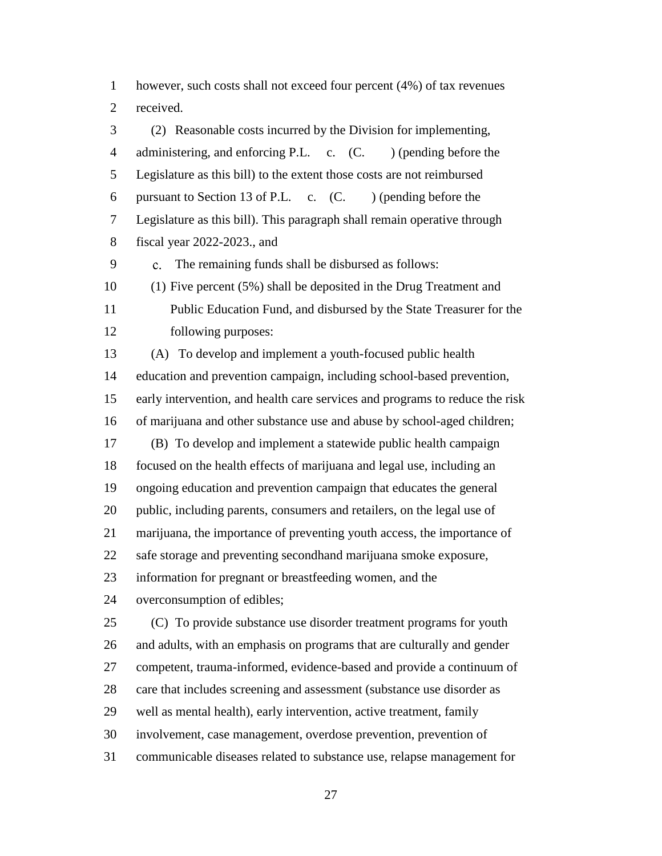however, such costs shall not exceed four percent (4%) of tax revenues received.

 (2) Reasonable costs incurred by the Division for implementing, 4 administering, and enforcing P.L. c. (C. ) (pending before the Legislature as this bill) to the extent those costs are not reimbursed pursuant to Section 13 of P.L. c. (C. ) (pending before the Legislature as this bill). This paragraph shall remain operative through fiscal year 2022-2023., and

The remaining funds shall be disbursed as follows:

(1) Five percent (5%) shall be deposited in the Drug Treatment and

 Public Education Fund, and disbursed by the State Treasurer for the following purposes:

(A) To develop and implement a youth-focused public health

 education and prevention campaign, including school-based prevention, early intervention, and health care services and programs to reduce the risk

of marijuana and other substance use and abuse by school-aged children;

(B) To develop and implement a statewide public health campaign

focused on the health effects of marijuana and legal use, including an

ongoing education and prevention campaign that educates the general

public, including parents, consumers and retailers, on the legal use of

marijuana, the importance of preventing youth access, the importance of

safe storage and preventing secondhand marijuana smoke exposure,

information for pregnant or breastfeeding women, and the

overconsumption of edibles;

 (C) To provide substance use disorder treatment programs for youth and adults, with an emphasis on programs that are culturally and gender competent, trauma-informed, evidence-based and provide a continuum of care that includes screening and assessment (substance use disorder as well as mental health), early intervention, active treatment, family involvement, case management, overdose prevention, prevention of

communicable diseases related to substance use, relapse management for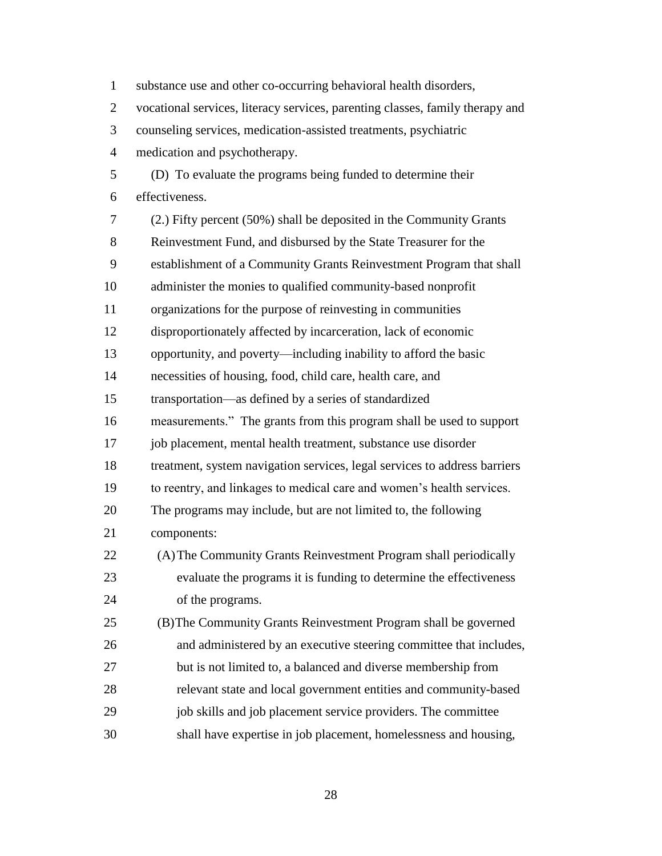substance use and other co-occurring behavioral health disorders, vocational services, literacy services, parenting classes, family therapy and counseling services, medication-assisted treatments, psychiatric medication and psychotherapy. (D) To evaluate the programs being funded to determine their effectiveness. (2.) Fifty percent (50%) shall be deposited in the Community Grants Reinvestment Fund, and disbursed by the State Treasurer for the establishment of a Community Grants Reinvestment Program that shall administer the monies to qualified community-based nonprofit organizations for the purpose of reinvesting in communities disproportionately affected by incarceration, lack of economic opportunity, and poverty—including inability to afford the basic necessities of housing, food, child care, health care, and transportation—as defined by a series of standardized measurements." The grants from this program shall be used to support 17 job placement, mental health treatment, substance use disorder treatment, system navigation services, legal services to address barriers to reentry, and linkages to medical care and women's health services. The programs may include, but are not limited to, the following components: (A)The Community Grants Reinvestment Program shall periodically evaluate the programs it is funding to determine the effectiveness of the programs. (B)The Community Grants Reinvestment Program shall be governed and administered by an executive steering committee that includes, but is not limited to, a balanced and diverse membership from relevant state and local government entities and community-based job skills and job placement service providers. The committee shall have expertise in job placement, homelessness and housing,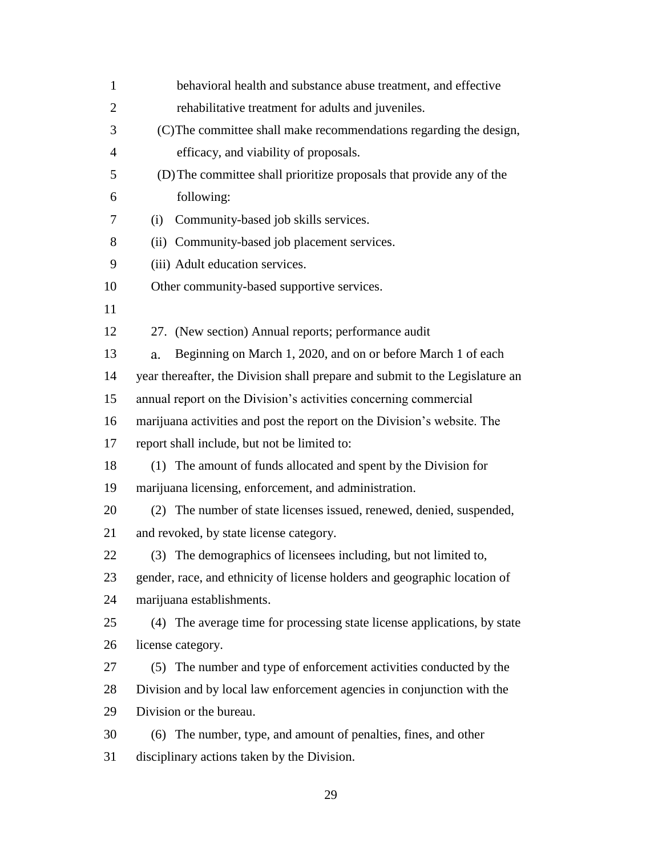| $\mathbf{1}$   | behavioral health and substance abuse treatment, and effective               |  |
|----------------|------------------------------------------------------------------------------|--|
| $\overline{2}$ | rehabilitative treatment for adults and juveniles.                           |  |
| 3              | (C) The committee shall make recommendations regarding the design,           |  |
| $\overline{4}$ | efficacy, and viability of proposals.                                        |  |
| 5              | (D) The committee shall prioritize proposals that provide any of the         |  |
| 6              | following:                                                                   |  |
| 7              | Community-based job skills services.<br>(i)                                  |  |
| 8              | (ii) Community-based job placement services.                                 |  |
| 9              | (iii) Adult education services.                                              |  |
| 10             | Other community-based supportive services.                                   |  |
| 11             |                                                                              |  |
| 12             | 27. (New section) Annual reports; performance audit                          |  |
| 13             | Beginning on March 1, 2020, and on or before March 1 of each<br>a.           |  |
| 14             | year thereafter, the Division shall prepare and submit to the Legislature an |  |
| 15             | annual report on the Division's activities concerning commercial             |  |
| 16             | marijuana activities and post the report on the Division's website. The      |  |
| 17             | report shall include, but not be limited to:                                 |  |
| 18             | (1) The amount of funds allocated and spent by the Division for              |  |
| 19             | marijuana licensing, enforcement, and administration.                        |  |
| 20             | (2) The number of state licenses issued, renewed, denied, suspended,         |  |
| 21             | and revoked, by state license category.                                      |  |
| 22             | (3) The demographics of licensees including, but not limited to,             |  |
| 23             | gender, race, and ethnicity of license holders and geographic location of    |  |
| 24             | marijuana establishments.                                                    |  |
| 25             | (4) The average time for processing state license applications, by state     |  |
| 26             | license category.                                                            |  |
| 27             | (5) The number and type of enforcement activities conducted by the           |  |
| 28             | Division and by local law enforcement agencies in conjunction with the       |  |
| 29             | Division or the bureau.                                                      |  |
| 30             | The number, type, and amount of penalties, fines, and other<br>(6)           |  |
| 31             | disciplinary actions taken by the Division.                                  |  |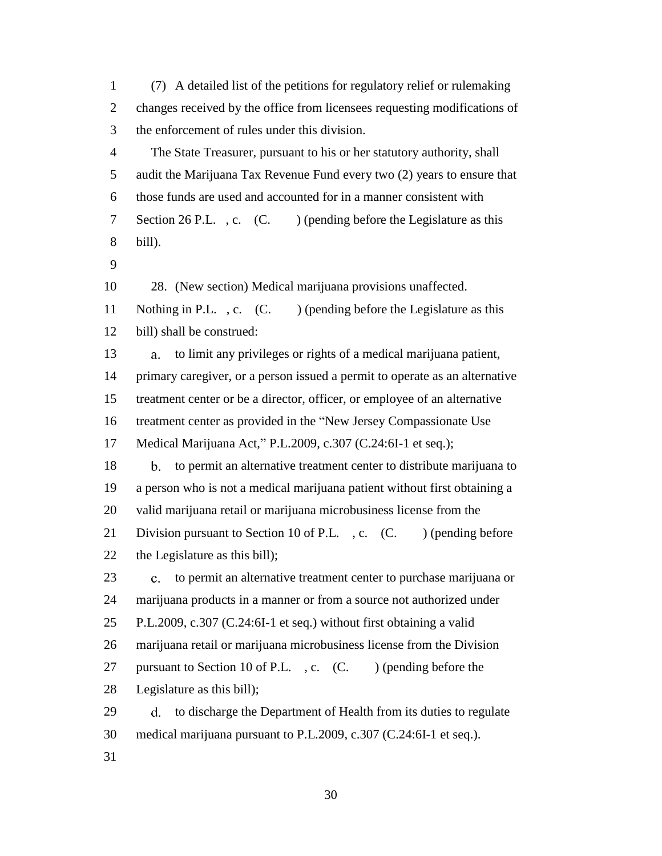(7) A detailed list of the petitions for regulatory relief or rulemaking changes received by the office from licensees requesting modifications of the enforcement of rules under this division.

 The State Treasurer, pursuant to his or her statutory authority, shall audit the Marijuana Tax Revenue Fund every two (2) years to ensure that those funds are used and accounted for in a manner consistent with 7 Section 26 P.L., c. (C. ) (pending before the Legislature as this bill).

28. (New section) Medical marijuana provisions unaffected.

11 Nothing in P.L., c. (C. ) (pending before the Legislature as this bill) shall be construed:

13 a. to limit any privileges or rights of a medical marijuana patient, primary caregiver, or a person issued a permit to operate as an alternative treatment center or be a director, officer, or employee of an alternative treatment center as provided in the "New Jersey Compassionate Use Medical Marijuana Act," P.L.2009, c.307 (C.24:6I-1 et seq.); 18 b. to permit an alternative treatment center to distribute marijuana to

 a person who is not a medical marijuana patient without first obtaining a valid marijuana retail or marijuana microbusiness license from the 21 Division pursuant to Section 10 of P.L., c. (C. ) (pending before 22 the Legislature as this bill);

23 c. to permit an alternative treatment center to purchase marijuana or marijuana products in a manner or from a source not authorized under P.L.2009, c.307 (C.24:6I-1 et seq.) without first obtaining a valid marijuana retail or marijuana microbusiness license from the Division 27 pursuant to Section 10 of P.L. , c. (C. ) (pending before the Legislature as this bill);

29 d. to discharge the Department of Health from its duties to regulate medical marijuana pursuant to P.L.2009, c.307 (C.24:6I-1 et seq.).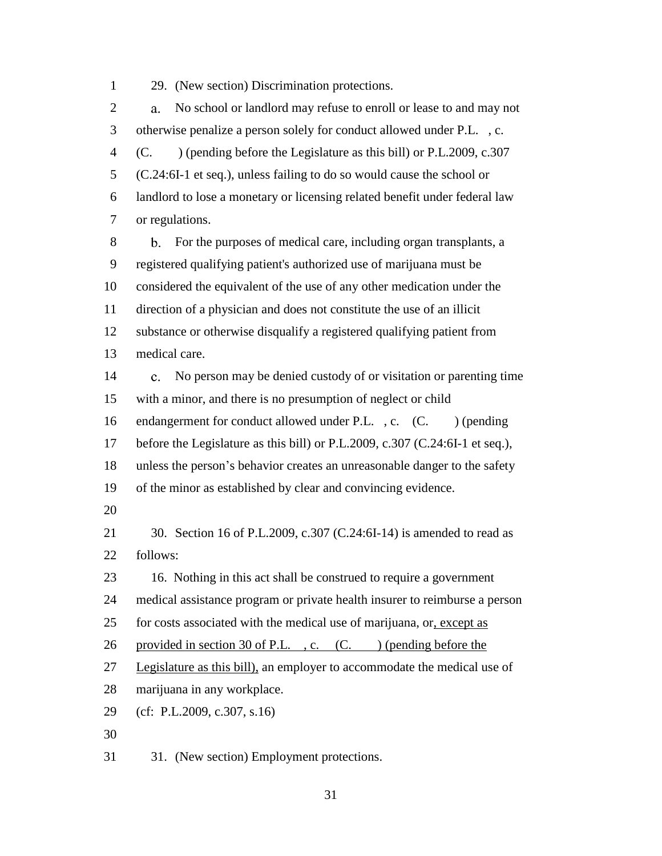29. (New section) Discrimination protections.

2 a. No school or landlord may refuse to enroll or lease to and may not

 otherwise penalize a person solely for conduct allowed under P.L. , c. (C. ) (pending before the Legislature as this bill) or P.L.2009, c.307 (C.24:6I-1 et seq.), unless failing to do so would cause the school or landlord to lose a monetary or licensing related benefit under federal law or regulations. 8 b. For the purposes of medical care, including organ transplants, a registered qualifying patient's authorized use of marijuana must be considered the equivalent of the use of any other medication under the direction of a physician and does not constitute the use of an illicit substance or otherwise disqualify a registered qualifying patient from medical care. 14 c. No person may be denied custody of or visitation or parenting time with a minor, and there is no presumption of neglect or child 16 endangerment for conduct allowed under P.L., c. (C. ) (pending before the Legislature as this bill) or P.L.2009, c.307 (C.24:6I-1 et seq.), unless the person's behavior creates an unreasonable danger to the safety of the minor as established by clear and convincing evidence. 30. Section 16 of P.L.2009, c.307 (C.24:6I-14) is amended to read as follows: 16. Nothing in this act shall be construed to require a government medical assistance program or private health insurer to reimburse a person 25 for costs associated with the medical use of marijuana, or, except as 26 provided in section 30 of P.L., c. (C. ) (pending before the Legislature as this bill), an employer to accommodate the medical use of marijuana in any workplace. (cf: P.L.2009, c.307, s.16) 31. (New section) Employment protections.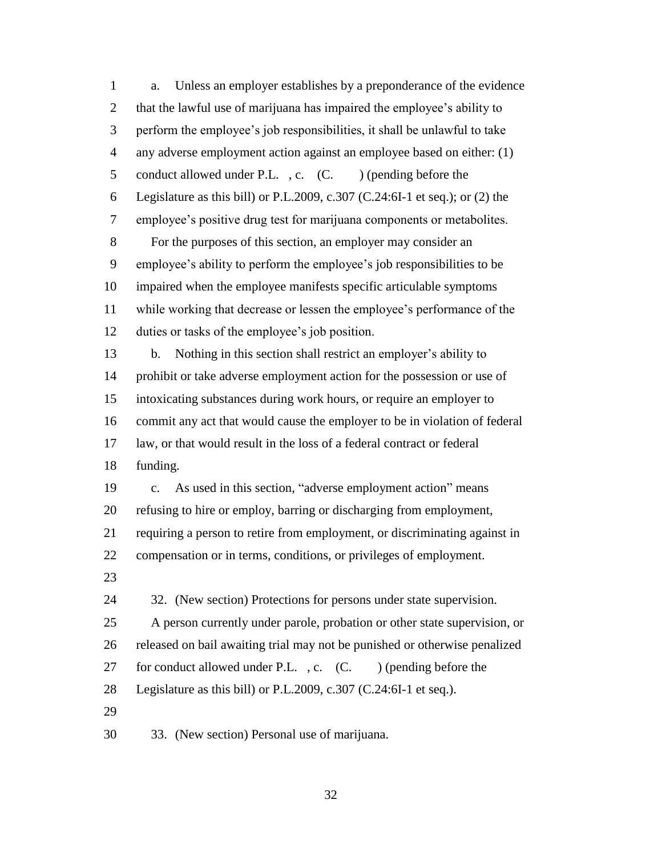a. Unless an employer establishes by a preponderance of the evidence that the lawful use of marijuana has impaired the employee's ability to perform the employee's job responsibilities, it shall be unlawful to take any adverse employment action against an employee based on either: (1) 5 conduct allowed under P.L., c. (C. ) (pending before the Legislature as this bill) or P.L.2009, c.307 (C.24:6I-1 et seq.); or (2) the employee's positive drug test for marijuana components or metabolites. For the purposes of this section, an employer may consider an employee's ability to perform the employee's job responsibilities to be impaired when the employee manifests specific articulable symptoms while working that decrease or lessen the employee's performance of the duties or tasks of the employee's job position. b. Nothing in this section shall restrict an employer's ability to prohibit or take adverse employment action for the possession or use of intoxicating substances during work hours, or require an employer to commit any act that would cause the employer to be in violation of federal law, or that would result in the loss of a federal contract or federal funding. c. As used in this section, "adverse employment action" means refusing to hire or employ, barring or discharging from employment, requiring a person to retire from employment, or discriminating against in compensation or in terms, conditions, or privileges of employment. 32. (New section) Protections for persons under state supervision. A person currently under parole, probation or other state supervision, or released on bail awaiting trial may not be punished or otherwise penalized 27 for conduct allowed under P.L., c.  $(C.$  (pending before the Legislature as this bill) or P.L.2009, c.307 (C.24:6I-1 et seq.). 33. (New section) Personal use of marijuana.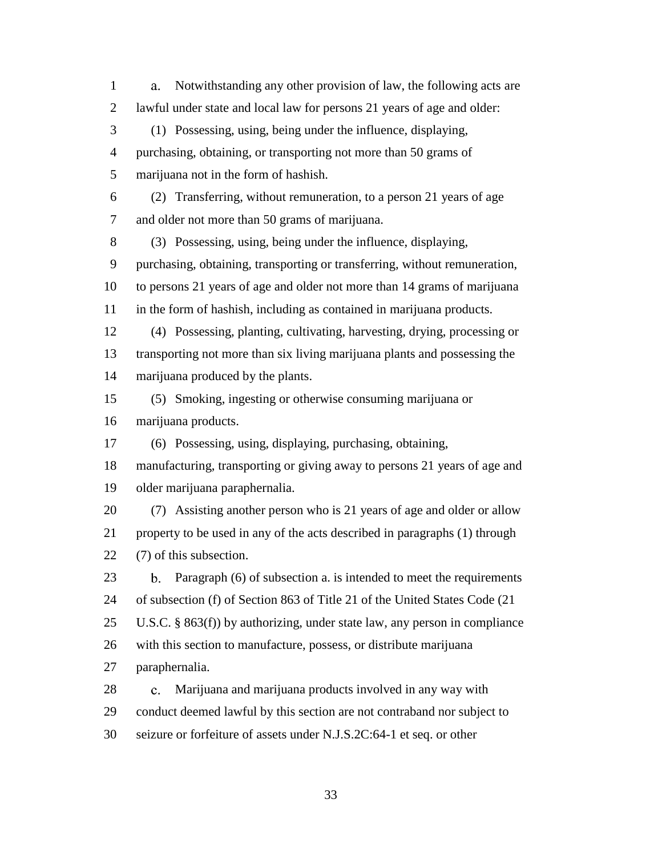1 a. Notwithstanding any other provision of law, the following acts are lawful under state and local law for persons 21 years of age and older: (1) Possessing, using, being under the influence, displaying, purchasing, obtaining, or transporting not more than 50 grams of marijuana not in the form of hashish. (2) Transferring, without remuneration, to a person 21 years of age and older not more than 50 grams of marijuana. (3) Possessing, using, being under the influence, displaying, purchasing, obtaining, transporting or transferring, without remuneration, to persons 21 years of age and older not more than 14 grams of marijuana in the form of hashish, including as contained in marijuana products. (4) Possessing, planting, cultivating, harvesting, drying, processing or transporting not more than six living marijuana plants and possessing the marijuana produced by the plants. (5) Smoking, ingesting or otherwise consuming marijuana or marijuana products. (6) Possessing, using, displaying, purchasing, obtaining, manufacturing, transporting or giving away to persons 21 years of age and older marijuana paraphernalia. (7) Assisting another person who is 21 years of age and older or allow property to be used in any of the acts described in paragraphs (1) through (7) of this subsection. 23 b. Paragraph (6) of subsection a. is intended to meet the requirements of subsection (f) of Section 863 of Title 21 of the United States Code (21 U.S.C. § 863(f)) by authorizing, under state law, any person in compliance with this section to manufacture, possess, or distribute marijuana paraphernalia. Marijuana and marijuana products involved in any way with conduct deemed lawful by this section are not contraband nor subject to seizure or forfeiture of assets under N.J.S.2C:64-1 et seq. or other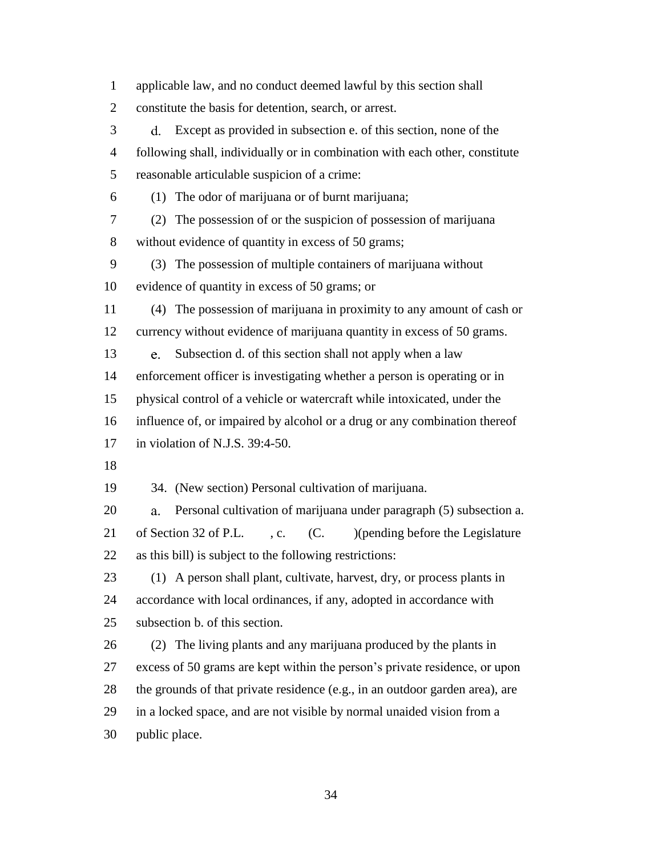| $\mathbf{1}$   | applicable law, and no conduct deemed lawful by this section shall           |
|----------------|------------------------------------------------------------------------------|
| $\overline{2}$ | constitute the basis for detention, search, or arrest.                       |
| 3              | Except as provided in subsection e. of this section, none of the<br>d.       |
| $\overline{4}$ | following shall, individually or in combination with each other, constitute  |
| 5              | reasonable articulable suspicion of a crime:                                 |
| 6              | The odor of marijuana or of burnt marijuana;<br>(1)                          |
| 7              | The possession of or the suspicion of possession of marijuana<br>(2)         |
| 8              | without evidence of quantity in excess of 50 grams;                          |
| 9              | (3) The possession of multiple containers of marijuana without               |
| 10             | evidence of quantity in excess of 50 grams; or                               |
| 11             | (4) The possession of marijuana in proximity to any amount of cash or        |
| 12             | currency without evidence of marijuana quantity in excess of 50 grams.       |
| 13             | Subsection d. of this section shall not apply when a law<br>e.               |
| 14             | enforcement officer is investigating whether a person is operating or in     |
| 15             | physical control of a vehicle or watercraft while intoxicated, under the     |
| 16             | influence of, or impaired by alcohol or a drug or any combination thereof    |
|                |                                                                              |
| 17             | in violation of N.J.S. 39:4-50.                                              |
| 18             |                                                                              |
| 19             | 34. (New section) Personal cultivation of marijuana.                         |
| 20             | Personal cultivation of marijuana under paragraph (5) subsection a.<br>a.    |
| 21             | of Section 32 of P.L.<br>(C.<br>)(pending before the Legislature<br>, c.     |
| 22             | as this bill) is subject to the following restrictions:                      |
| 23             | A person shall plant, cultivate, harvest, dry, or process plants in<br>(1)   |
| 24             | accordance with local ordinances, if any, adopted in accordance with         |
| 25             | subsection b. of this section.                                               |
| 26             | (2) The living plants and any marijuana produced by the plants in            |
| 27             | excess of 50 grams are kept within the person's private residence, or upon   |
| 28             | the grounds of that private residence (e.g., in an outdoor garden area), are |
| 29             | in a locked space, and are not visible by normal unaided vision from a       |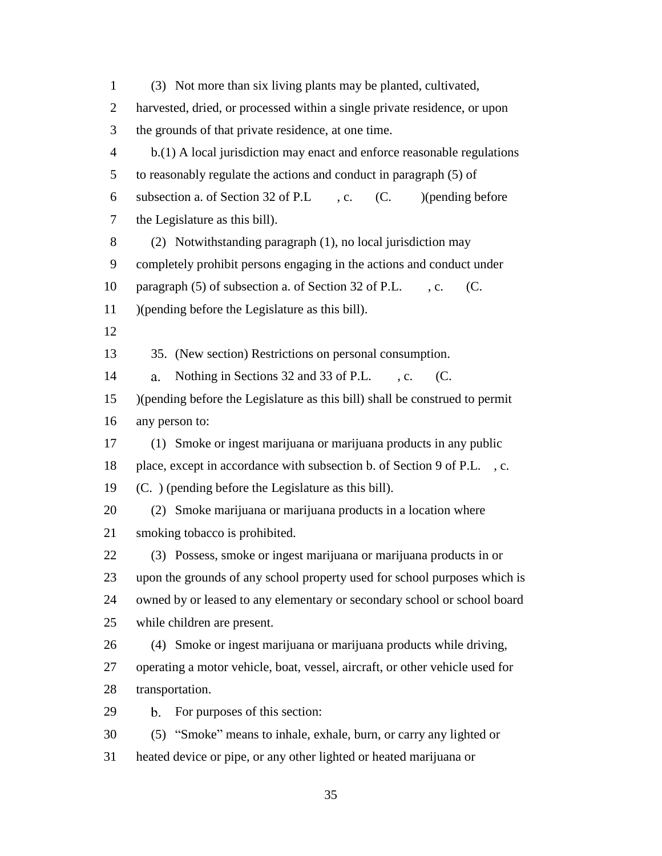| $\mathbf{1}$   | (3) Not more than six living plants may be planted, cultivated,              |  |  |
|----------------|------------------------------------------------------------------------------|--|--|
| $\overline{2}$ | harvested, dried, or processed within a single private residence, or upon    |  |  |
| 3              | the grounds of that private residence, at one time.                          |  |  |
| $\overline{4}$ | b.(1) A local jurisdiction may enact and enforce reasonable regulations      |  |  |
| 5              | to reasonably regulate the actions and conduct in paragraph (5) of           |  |  |
| 6              | subsection a. of Section 32 of P.L , c. (C.<br>)(pending before)             |  |  |
| $\tau$         | the Legislature as this bill).                                               |  |  |
| 8              | (2) Notwithstanding paragraph (1), no local jurisdiction may                 |  |  |
| 9              | completely prohibit persons engaging in the actions and conduct under        |  |  |
| 10             | paragraph (5) of subsection a. of Section 32 of P.L., c.<br>(C.              |  |  |
| 11             | )(pending before the Legislature as this bill).                              |  |  |
| 12             |                                                                              |  |  |
| 13             | 35. (New section) Restrictions on personal consumption.                      |  |  |
| 14             | Nothing in Sections 32 and 33 of P.L.<br>(C.<br>a.<br>, c.                   |  |  |
| 15             | )(pending before the Legislature as this bill) shall be construed to permit  |  |  |
| 16             | any person to:                                                               |  |  |
| 17             | (1) Smoke or ingest marijuana or marijuana products in any public            |  |  |
| 18             | place, except in accordance with subsection b. of Section 9 of P.L., c.      |  |  |
| 19             | (C.) (pending before the Legislature as this bill).                          |  |  |
| 20             | (2) Smoke marijuana or marijuana products in a location where                |  |  |
| 21             | smoking tobacco is prohibited.                                               |  |  |
| 22             | (3) Possess, smoke or ingest marijuana or marijuana products in or           |  |  |
| 23             | upon the grounds of any school property used for school purposes which is    |  |  |
| 24             | owned by or leased to any elementary or secondary school or school board     |  |  |
| 25             | while children are present.                                                  |  |  |
| 26             | (4) Smoke or ingest marijuana or marijuana products while driving,           |  |  |
| 27             | operating a motor vehicle, boat, vessel, aircraft, or other vehicle used for |  |  |
| 28             | transportation.                                                              |  |  |
| 29             | For purposes of this section:<br>$\mathbf{b}$ .                              |  |  |
| 30             | (5) "Smoke" means to inhale, exhale, burn, or carry any lighted or           |  |  |
| 31             | heated device or pipe, or any other lighted or heated marijuana or           |  |  |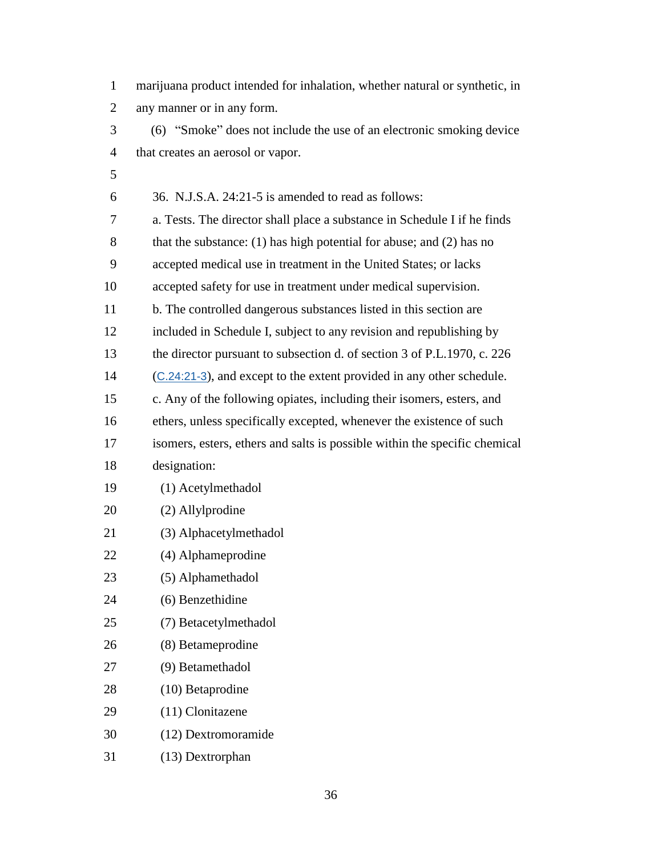| $\mathbf{1}$   | marijuana product intended for inhalation, whether natural or synthetic, in |
|----------------|-----------------------------------------------------------------------------|
| $\overline{2}$ | any manner or in any form.                                                  |
| 3              | (6) "Smoke" does not include the use of an electronic smoking device        |
| $\overline{4}$ | that creates an aerosol or vapor.                                           |
| 5              |                                                                             |
| 6              | 36. N.J.S.A. 24:21-5 is amended to read as follows:                         |
| 7              | a. Tests. The director shall place a substance in Schedule I if he finds    |
| 8              | that the substance: $(1)$ has high potential for abuse; and $(2)$ has no    |
| 9              | accepted medical use in treatment in the United States; or lacks            |
| 10             | accepted safety for use in treatment under medical supervision.             |
| 11             | b. The controlled dangerous substances listed in this section are           |
| 12             | included in Schedule I, subject to any revision and republishing by         |
| 13             | the director pursuant to subsection d. of section 3 of P.L.1970, c. 226     |
| 14             | (C.24:21-3), and except to the extent provided in any other schedule.       |
| 15             | c. Any of the following opiates, including their isomers, esters, and       |
| 16             | ethers, unless specifically excepted, whenever the existence of such        |
| 17             | isomers, esters, ethers and salts is possible within the specific chemical  |
| 18             | designation:                                                                |
| 19             | (1) Acetylmethadol                                                          |
| 20             | (2) Allylprodine                                                            |
| 21             | (3) Alphacetylmethadol                                                      |
| 22             | (4) Alphameprodine                                                          |
| 23             | (5) Alphamethadol                                                           |
| 24             | (6) Benzethidine                                                            |
| 25             | (7) Betacetylmethadol                                                       |
| 26             | (8) Betameprodine                                                           |
| 27             | (9) Betamethadol                                                            |
| 28             | (10) Betaprodine                                                            |
| 29             | (11) Clonitazene                                                            |
| 30             | (12) Dextromoramide                                                         |
| 31             | (13) Dextrorphan                                                            |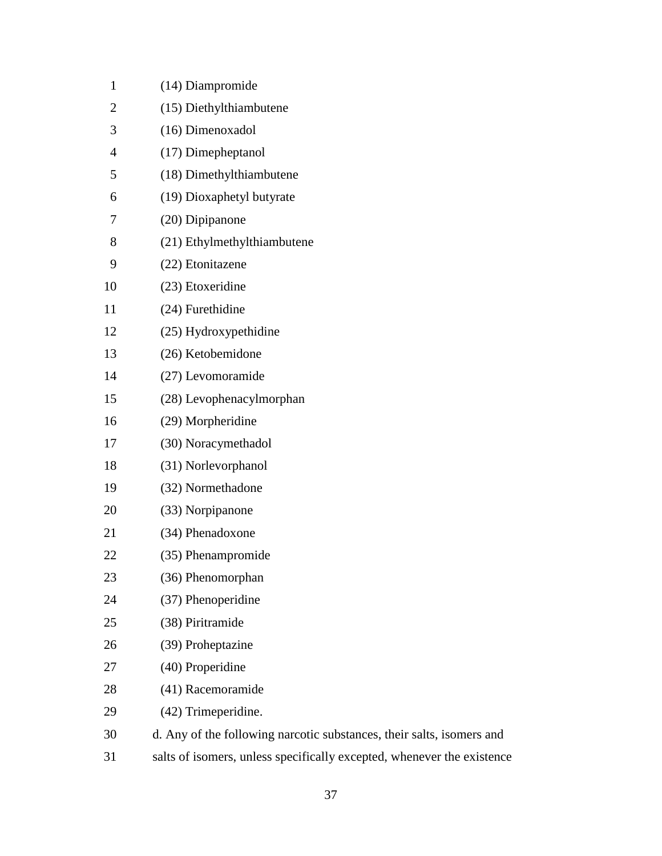| $\mathbf{1}$   | (14) Diampromide                                                       |
|----------------|------------------------------------------------------------------------|
| $\overline{2}$ | (15) Diethylthiambutene                                                |
| 3              | (16) Dimenoxadol                                                       |
| $\overline{4}$ | (17) Dimepheptanol                                                     |
| 5              | (18) Dimethylthiambutene                                               |
| 6              | (19) Dioxaphetyl butyrate                                              |
| 7              | (20) Dipipanone                                                        |
| 8              | (21) Ethylmethylthiambutene                                            |
| 9              | (22) Etonitazene                                                       |
| 10             | (23) Etoxeridine                                                       |
| 11             | (24) Furethidine                                                       |
| 12             | (25) Hydroxypethidine                                                  |
| 13             | (26) Ketobemidone                                                      |
| 14             | (27) Levomoramide                                                      |
| 15             | (28) Levophenacylmorphan                                               |
| 16             | (29) Morpheridine                                                      |
| 17             | (30) Noracymethadol                                                    |
| 18             | (31) Norlevorphanol                                                    |
| 19             | (32) Normethadone                                                      |
| 20             | (33) Norpipanone                                                       |
| 21             | (34) Phenadoxone                                                       |
| 22             | (35) Phenampromide                                                     |
| 23             | (36) Phenomorphan                                                      |
| 24             | (37) Phenoperidine                                                     |
| 25             | (38) Piritramide                                                       |
| 26             | (39) Proheptazine                                                      |
| 27             | (40) Properidine                                                       |
| 28             | (41) Racemoramide                                                      |
| 29             | (42) Trimeperidine.                                                    |
| 30             | d. Any of the following narcotic substances, their salts, isomers and  |
| 31             | salts of isomers, unless specifically excepted, whenever the existence |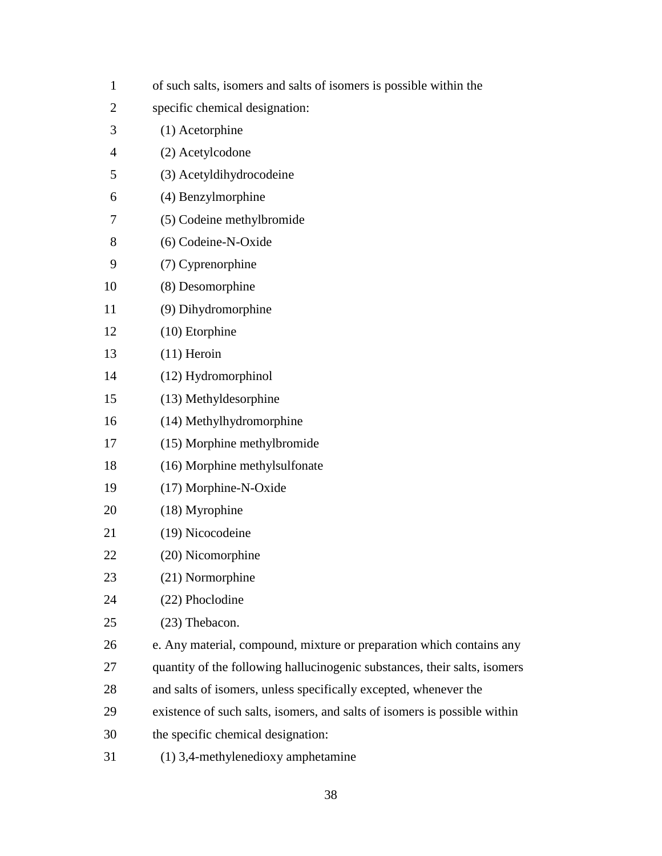| $\mathbf{1}$   | of such salts, isomers and salts of isomers is possible within the        |
|----------------|---------------------------------------------------------------------------|
| $\overline{2}$ | specific chemical designation:                                            |
| 3              | (1) Acetorphine                                                           |
| 4              | (2) Acetylcodone                                                          |
| 5              | (3) Acetyldihydrocodeine                                                  |
| 6              | (4) Benzylmorphine                                                        |
| 7              | (5) Codeine methylbromide                                                 |
| 8              | (6) Codeine-N-Oxide                                                       |
| 9              | (7) Cyprenorphine                                                         |
| 10             | (8) Desomorphine                                                          |
| 11             | (9) Dihydromorphine                                                       |
| 12             | $(10)$ Etorphine                                                          |
| 13             | $(11)$ Heroin                                                             |
| 14             | (12) Hydromorphinol                                                       |
| 15             | (13) Methyldesorphine                                                     |
| 16             | (14) Methylhydromorphine                                                  |
| 17             | (15) Morphine methylbromide                                               |
| 18             | (16) Morphine methylsulfonate                                             |
| 19             | (17) Morphine-N-Oxide                                                     |
| 20             | (18) Myrophine                                                            |
| 21             | (19) Nicocodeine                                                          |
| 22             | (20) Nicomorphine                                                         |
| 23             | (21) Normorphine                                                          |
| 24             | (22) Phoclodine                                                           |
| 25             | (23) Thebacon.                                                            |
| 26             | e. Any material, compound, mixture or preparation which contains any      |
| 27             | quantity of the following hallucinogenic substances, their salts, isomers |
| 28             | and salts of isomers, unless specifically excepted, whenever the          |
| 29             | existence of such salts, isomers, and salts of isomers is possible within |
| 30             | the specific chemical designation:                                        |
| 31             | $(1)$ 3,4-methylenedioxy amphetamine                                      |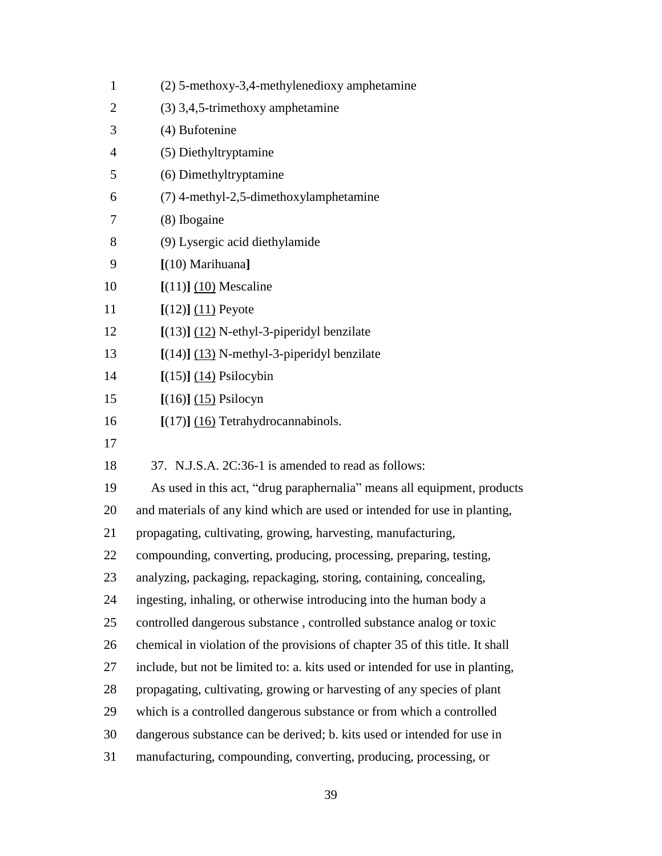| $\mathbf{1}$   | (2) 5-methoxy-3,4-methylenedioxy amphetamine                                  |
|----------------|-------------------------------------------------------------------------------|
| $\overline{2}$ | $(3)$ 3,4,5-trimethoxy amphetamine                                            |
| 3              | (4) Bufotenine                                                                |
| $\overline{4}$ | (5) Diethyltryptamine                                                         |
| 5              | (6) Dimethyltryptamine                                                        |
| 6              | (7) 4-methyl-2,5-dimethoxylamphetamine                                        |
| 7              | (8) Ibogaine                                                                  |
| 8              | (9) Lysergic acid diethylamide                                                |
| 9              | $[(10)$ Marihuana]                                                            |
| 10             | $[(11)]$ $(10)$ Mescaline                                                     |
| 11             | $[(12)] (11)$ Peyote                                                          |
| 12             | $[(13)]$ $(12)$ N-ethyl-3-piperidyl benzilate                                 |
| 13             | $[(14)]$ $(13)$ N-methyl-3-piperidyl benzilate                                |
| 14             | $[(15)]$ $(14)$ Psilocybin                                                    |
| 15             | $[(16)]$ $(15)$ Psilocyn                                                      |
| 16             | $[(17)]$ $(16)$ Tetrahydrocannabinols.                                        |
| 17             |                                                                               |
| 18             | 37. N.J.S.A. 2C:36-1 is amended to read as follows:                           |
| 19             | As used in this act, "drug paraphernalia" means all equipment, products       |
| 20             | and materials of any kind which are used or intended for use in planting,     |
| 21             | propagating, cultivating, growing, harvesting, manufacturing,                 |
| 22             | compounding, converting, producing, processing, preparing, testing,           |
| 23             | analyzing, packaging, repackaging, storing, containing, concealing,           |
| 24             | ingesting, inhaling, or otherwise introducing into the human body a           |
| 25             | controlled dangerous substance, controlled substance analog or toxic          |
| 26             | chemical in violation of the provisions of chapter 35 of this title. It shall |
| 27             | include, but not be limited to: a. kits used or intended for use in planting, |
| 28             | propagating, cultivating, growing or harvesting of any species of plant       |
| 29             | which is a controlled dangerous substance or from which a controlled          |
| 30             | dangerous substance can be derived; b. kits used or intended for use in       |
| 31             | manufacturing, compounding, converting, producing, processing, or             |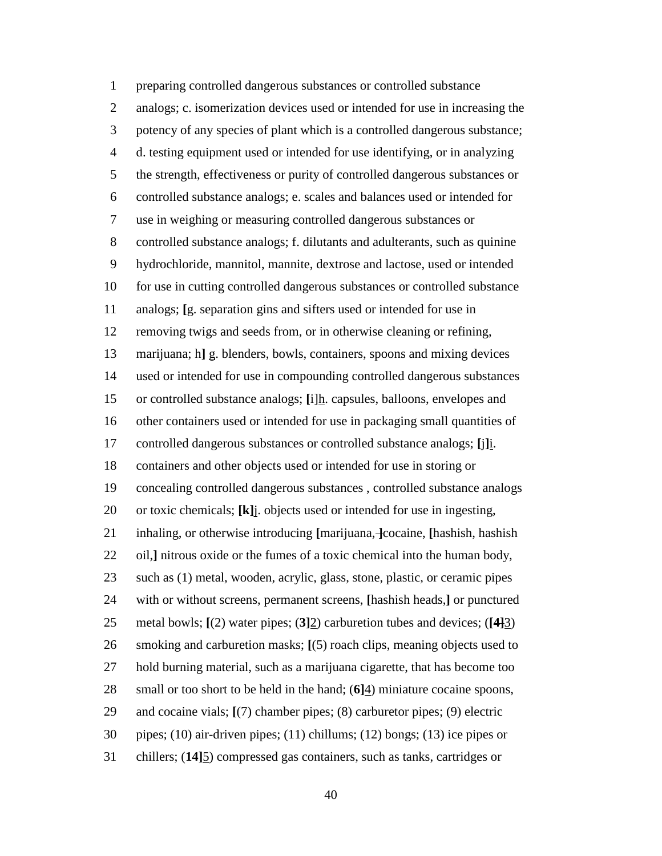preparing controlled dangerous substances or controlled substance analogs; c. isomerization devices used or intended for use in increasing the potency of any species of plant which is a controlled dangerous substance; d. testing equipment used or intended for use identifying, or in analyzing the strength, effectiveness or purity of controlled dangerous substances or controlled substance analogs; e. scales and balances used or intended for use in weighing or measuring controlled dangerous substances or controlled substance analogs; f. dilutants and adulterants, such as quinine hydrochloride, mannitol, mannite, dextrose and lactose, used or intended for use in cutting controlled dangerous substances or controlled substance analogs; **[**g. separation gins and sifters used or intended for use in removing twigs and seeds from, or in otherwise cleaning or refining, marijuana; h**]** g. blenders, bowls, containers, spoons and mixing devices used or intended for use in compounding controlled dangerous substances or controlled substance analogs; **[**i]h. capsules, balloons, envelopes and other containers used or intended for use in packaging small quantities of controlled dangerous substances or controlled substance analogs; **[**j**]**i. containers and other objects used or intended for use in storing or concealing controlled dangerous substances , controlled substance analogs or toxic chemicals; **[k]**j. objects used or intended for use in ingesting, 21 inhaling, or otherwise introducing [marijuana, **-l**<sub>c</sub>ocaine, [hashish, hashish] oil,**]** nitrous oxide or the fumes of a toxic chemical into the human body, such as (1) metal, wooden, acrylic, glass, stone, plastic, or ceramic pipes with or without screens, permanent screens, **[**hashish heads,**]** or punctured metal bowls; **[**(2) water pipes; (**3]**2) carburetion tubes and devices; (**[4]**3) smoking and carburetion masks; **[**(5) roach clips, meaning objects used to hold burning material, such as a marijuana cigarette, that has become too small or too short to be held in the hand; (**6]**4) miniature cocaine spoons, and cocaine vials; **[**(7) chamber pipes; (8) carburetor pipes; (9) electric pipes; (10) air-driven pipes; (11) chillums; (12) bongs; (13) ice pipes or chillers; (**14]**5) compressed gas containers, such as tanks, cartridges or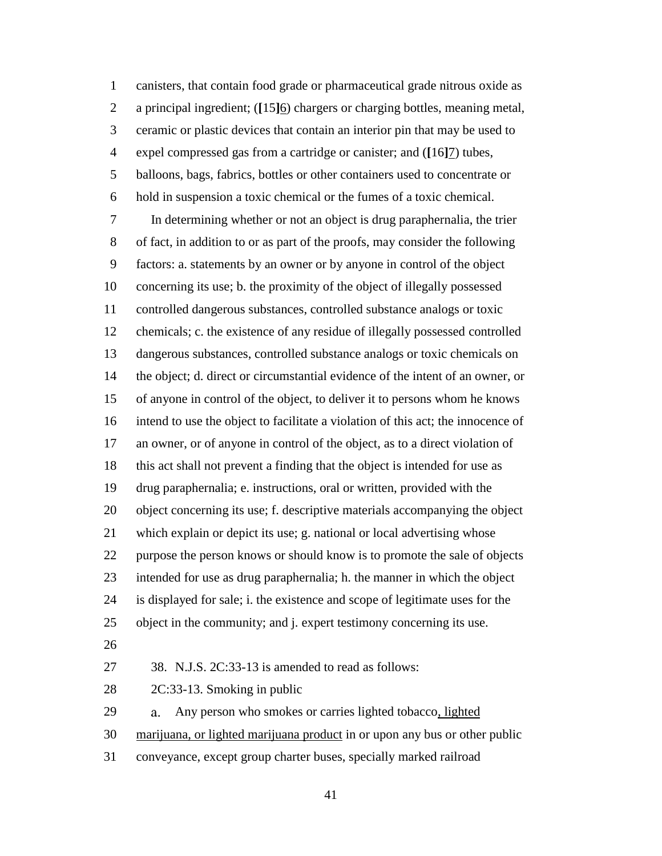canisters, that contain food grade or pharmaceutical grade nitrous oxide as a principal ingredient; (**[**15**]**6) chargers or charging bottles, meaning metal, ceramic or plastic devices that contain an interior pin that may be used to expel compressed gas from a cartridge or canister; and (**[**16**]**7) tubes, balloons, bags, fabrics, bottles or other containers used to concentrate or hold in suspension a toxic chemical or the fumes of a toxic chemical.

 In determining whether or not an object is drug paraphernalia, the trier of fact, in addition to or as part of the proofs, may consider the following factors: a. statements by an owner or by anyone in control of the object concerning its use; b. the proximity of the object of illegally possessed controlled dangerous substances, controlled substance analogs or toxic chemicals; c. the existence of any residue of illegally possessed controlled dangerous substances, controlled substance analogs or toxic chemicals on the object; d. direct or circumstantial evidence of the intent of an owner, or of anyone in control of the object, to deliver it to persons whom he knows intend to use the object to facilitate a violation of this act; the innocence of an owner, or of anyone in control of the object, as to a direct violation of this act shall not prevent a finding that the object is intended for use as drug paraphernalia; e. instructions, oral or written, provided with the object concerning its use; f. descriptive materials accompanying the object which explain or depict its use; g. national or local advertising whose purpose the person knows or should know is to promote the sale of objects intended for use as drug paraphernalia; h. the manner in which the object is displayed for sale; i. the existence and scope of legitimate uses for the object in the community; and j. expert testimony concerning its use.

38. N.J.S. 2C:33-13 is amended to read as follows:

2C:33-13. Smoking in public

29 a. Any person who smokes or carries lighted tobacco, lighted

marijuana, or lighted marijuana product in or upon any bus or other public

conveyance, except group charter buses, specially marked railroad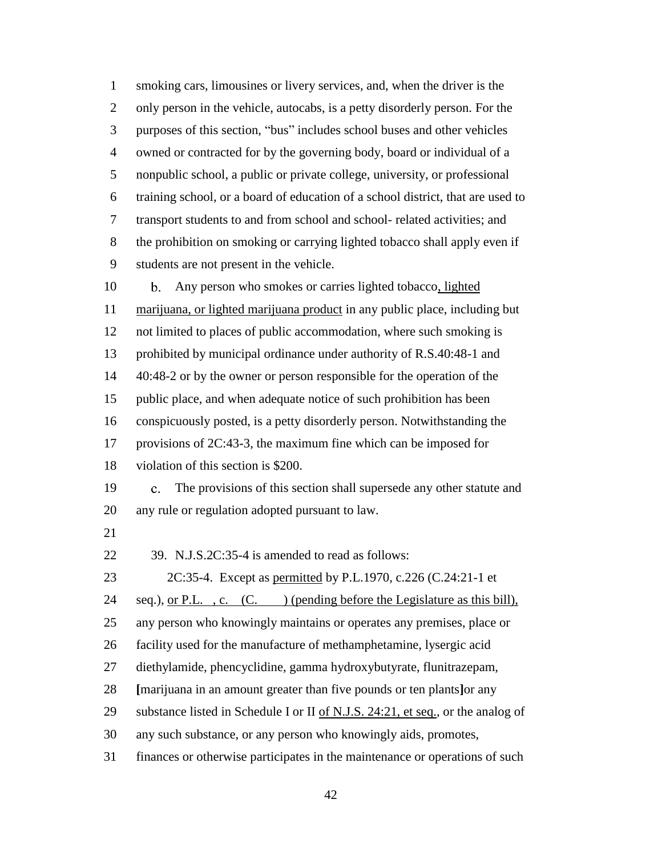smoking cars, limousines or livery services, and, when the driver is the only person in the vehicle, autocabs, is a petty disorderly person. For the purposes of this section, "bus" includes school buses and other vehicles owned or contracted for by the governing body, board or individual of a nonpublic school, a public or private college, university, or professional training school, or a board of education of a school district, that are used to transport students to and from school and school- related activities; and the prohibition on smoking or carrying lighted tobacco shall apply even if students are not present in the vehicle. Any person who smokes or carries lighted tobacco, lighted marijuana, or lighted marijuana product in any public place, including but not limited to places of public accommodation, where such smoking is prohibited by municipal ordinance under authority of R.S.40:48-1 and 40:48-2 or by the owner or person responsible for the operation of the public place, and when adequate notice of such prohibition has been conspicuously posted, is a petty disorderly person. Notwithstanding the provisions of 2C:43-3, the maximum fine which can be imposed for violation of this section is \$200. 19 c. The provisions of this section shall supersede any other statute and any rule or regulation adopted pursuant to law. 39. N.J.S.2C:35-4 is amended to read as follows: 23 2C:35-4. Except as permitted by P.L.1970, c.226 (C.24:21-1 et 24 seq.), <u>or P.L., c.</u> (C. ) (pending before the Legislature as this bill), any person who knowingly maintains or operates any premises, place or facility used for the manufacture of methamphetamine, lysergic acid diethylamide, phencyclidine, gamma hydroxybutyrate, flunitrazepam, **[**marijuana in an amount greater than five pounds or ten plants**]**or any substance listed in Schedule I or II of N.J.S. 24:21, et seq., or the analog of

any such substance, or any person who knowingly aids, promotes,

finances or otherwise participates in the maintenance or operations of such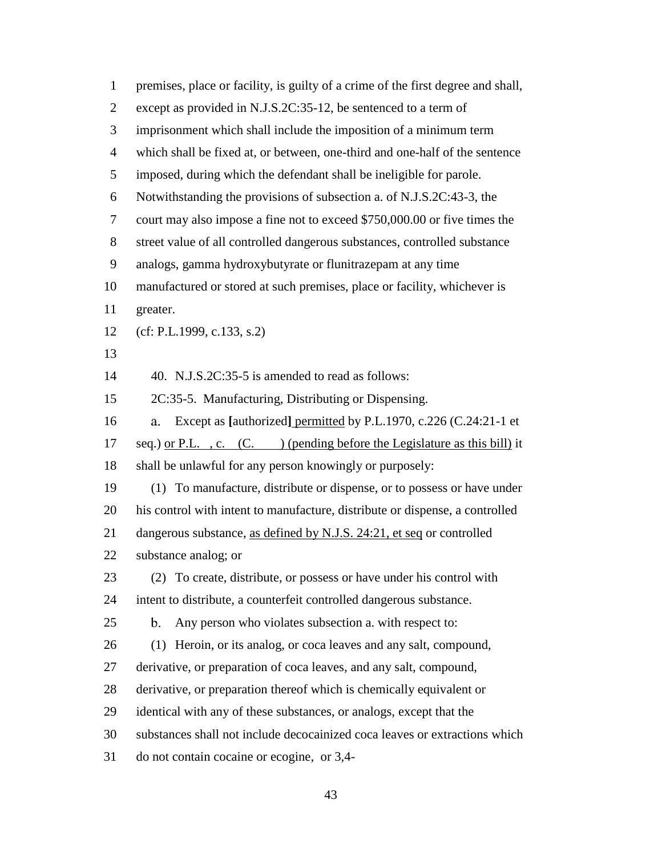| $\mathbf{1}$   | premises, place or facility, is guilty of a crime of the first degree and shall, |
|----------------|----------------------------------------------------------------------------------|
| $\overline{2}$ | except as provided in N.J.S.2C:35-12, be sentenced to a term of                  |
| 3              | imprisonment which shall include the imposition of a minimum term                |
| $\overline{4}$ | which shall be fixed at, or between, one-third and one-half of the sentence      |
| 5              | imposed, during which the defendant shall be ineligible for parole.              |
| 6              | Notwithstanding the provisions of subsection a. of N.J.S.2C:43-3, the            |
| 7              | court may also impose a fine not to exceed \$750,000.00 or five times the        |
| 8              | street value of all controlled dangerous substances, controlled substance        |
| 9              | analogs, gamma hydroxybutyrate or flunitrazepam at any time                      |
| 10             | manufactured or stored at such premises, place or facility, whichever is         |
| 11             | greater.                                                                         |
| 12             | (cf: P.L.1999, c.133, s.2)                                                       |
| 13             |                                                                                  |
| 14             | 40. N.J.S.2C:35-5 is amended to read as follows:                                 |
| 15             | 2C:35-5. Manufacturing, Distributing or Dispensing.                              |
| 16             | Except as [authorized] permitted by P.L.1970, c.226 (C.24:21-1 et<br>a.          |
| 17             | seq.) or P.L., c. $(C.$ (pending before the Legislature as this bill) it         |
| 18             | shall be unlawful for any person knowingly or purposely:                         |
| 19             | (1) To manufacture, distribute or dispense, or to possess or have under          |
| 20             | his control with intent to manufacture, distribute or dispense, a controlled     |
| 21             | dangerous substance, as defined by N.J.S. 24:21, et seq or controlled            |
| 22             | substance analog; or                                                             |
| 23             | (2) To create, distribute, or possess or have under his control with             |
| 24             | intent to distribute, a counterfeit controlled dangerous substance.              |
| 25             | Any person who violates subsection a. with respect to:<br>$\mathbf{b}$ .         |
| 26             | (1) Heroin, or its analog, or coca leaves and any salt, compound,                |
| 27             | derivative, or preparation of coca leaves, and any salt, compound,               |
| 28             | derivative, or preparation thereof which is chemically equivalent or             |
| 29             | identical with any of these substances, or analogs, except that the              |
| 30             | substances shall not include decocainized coca leaves or extractions which       |
| 31             | do not contain cocaine or ecogine, or 3,4-                                       |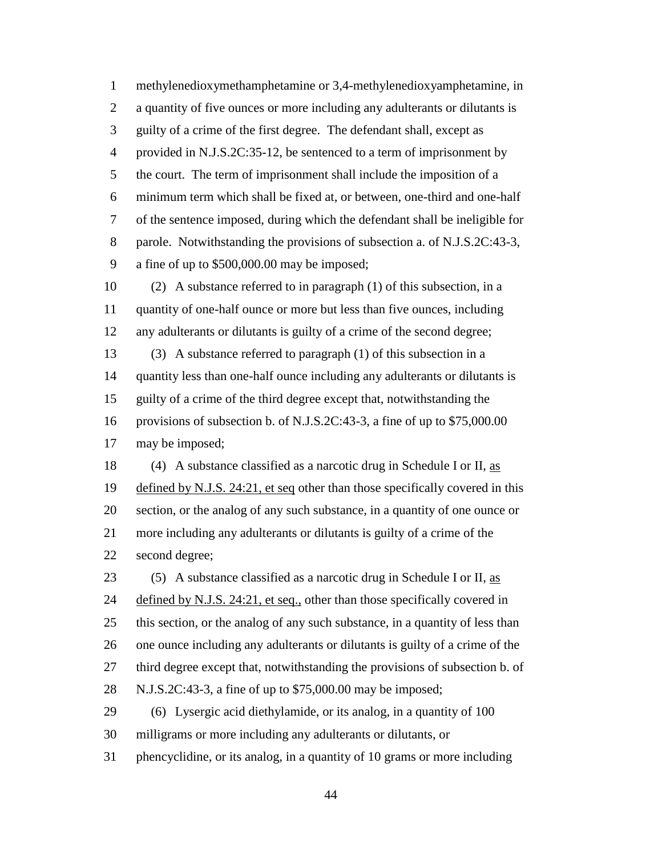methylenedioxymethamphetamine or 3,4-methylenedioxyamphetamine, in a quantity of five ounces or more including any adulterants or dilutants is guilty of a crime of the first degree. The defendant shall, except as provided in N.J.S.2C:35-12, be sentenced to a term of imprisonment by the court. The term of imprisonment shall include the imposition of a minimum term which shall be fixed at, or between, one-third and one-half of the sentence imposed, during which the defendant shall be ineligible for parole. Notwithstanding the provisions of subsection a. of N.J.S.2C:43-3, a fine of up to \$500,000.00 may be imposed; (2) A substance referred to in paragraph (1) of this subsection, in a quantity of one-half ounce or more but less than five ounces, including any adulterants or dilutants is guilty of a crime of the second degree; (3) A substance referred to paragraph (1) of this subsection in a quantity less than one-half ounce including any adulterants or dilutants is guilty of a crime of the third degree except that, notwithstanding the provisions of subsection b. of N.J.S.2C:43-3, a fine of up to \$75,000.00 may be imposed; 18 (4) A substance classified as a narcotic drug in Schedule I or II, as defined by N.J.S. 24:21, et seq other than those specifically covered in this section, or the analog of any such substance, in a quantity of one ounce or more including any adulterants or dilutants is guilty of a crime of the second degree; (5) A substance classified as a narcotic drug in Schedule I or II, as 24 defined by N.J.S. 24:21, et seq., other than those specifically covered in this section, or the analog of any such substance, in a quantity of less than one ounce including any adulterants or dilutants is guilty of a crime of the third degree except that, notwithstanding the provisions of subsection b. of N.J.S.2C:43-3, a fine of up to \$75,000.00 may be imposed; (6) Lysergic acid diethylamide, or its analog, in a quantity of 100 milligrams or more including any adulterants or dilutants, or phencyclidine, or its analog, in a quantity of 10 grams or more including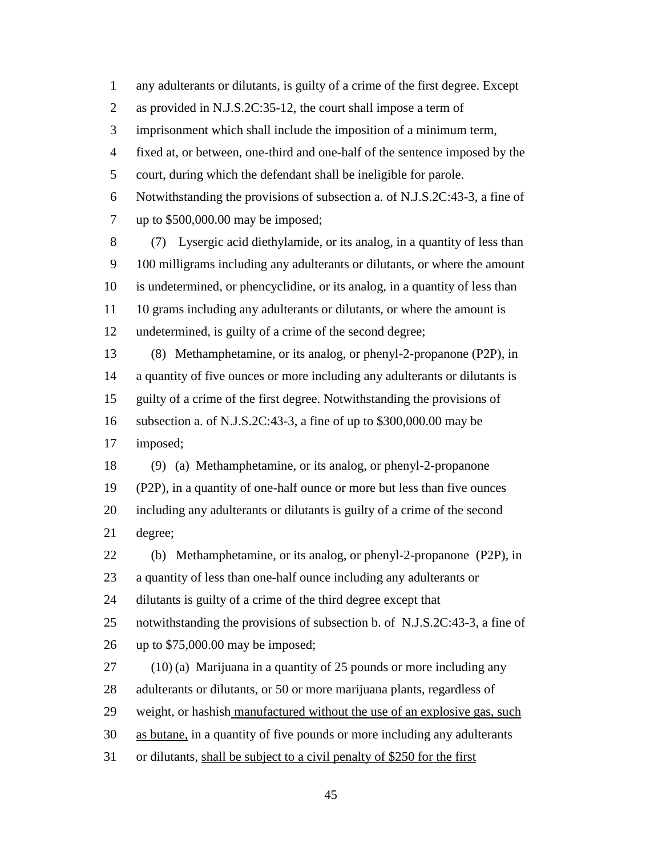any adulterants or dilutants, is guilty of a crime of the first degree. Except as provided in N.J.S.2C:35-12, the court shall impose a term of imprisonment which shall include the imposition of a minimum term, fixed at, or between, one-third and one-half of the sentence imposed by the court, during which the defendant shall be ineligible for parole. Notwithstanding the provisions of subsection a. of N.J.S.2C:43-3, a fine of up to \$500,000.00 may be imposed; (7) Lysergic acid diethylamide, or its analog, in a quantity of less than 100 milligrams including any adulterants or dilutants, or where the amount is undetermined, or phencyclidine, or its analog, in a quantity of less than 11 10 grams including any adulterants or dilutants, or where the amount is undetermined, is guilty of a crime of the second degree; (8) Methamphetamine, or its analog, or phenyl-2-propanone (P2P), in a quantity of five ounces or more including any adulterants or dilutants is guilty of a crime of the first degree. Notwithstanding the provisions of subsection a. of N.J.S.2C:43-3, a fine of up to \$300,000.00 may be imposed; (9) (a) Methamphetamine, or its analog, or phenyl-2-propanone (P2P), in a quantity of one-half ounce or more but less than five ounces including any adulterants or dilutants is guilty of a crime of the second degree; (b) Methamphetamine, or its analog, or phenyl-2-propanone (P2P), in a quantity of less than one-half ounce including any adulterants or dilutants is guilty of a crime of the third degree except that notwithstanding the provisions of subsection b. of N.J.S.2C:43-3, a fine of up to \$75,000.00 may be imposed; (10) (a) Marijuana in a quantity of 25 pounds or more including any adulterants or dilutants, or 50 or more marijuana plants, regardless of weight, or hashish manufactured without the use of an explosive gas, such as butane, in a quantity of five pounds or more including any adulterants or dilutants, shall be subject to a civil penalty of \$250 for the first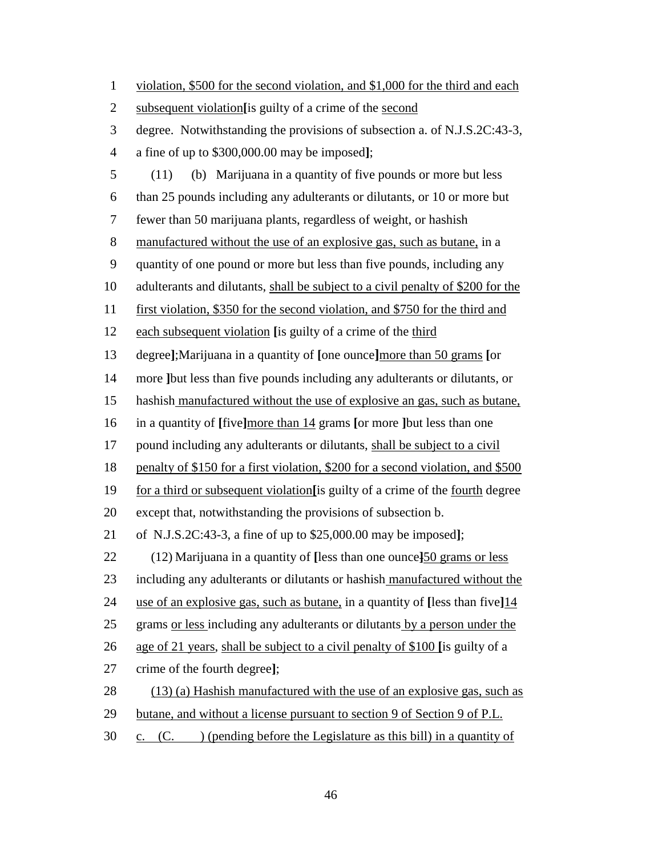violation, \$500 for the second violation, and \$1,000 for the third and each subsequent violation**[**is guilty of a crime of the second degree. Notwithstanding the provisions of subsection a. of N.J.S.2C:43-3, a fine of up to \$300,000.00 may be imposed**]**; (11) (b) Marijuana in a quantity of five pounds or more but less than 25 pounds including any adulterants or dilutants, or 10 or more but fewer than 50 marijuana plants, regardless of weight, or hashish manufactured without the use of an explosive gas, such as butane, in a quantity of one pound or more but less than five pounds, including any adulterants and dilutants, shall be subject to a civil penalty of \$200 for the first violation, \$350 for the second violation, and \$750 for the third and each subsequent violation **[**is guilty of a crime of the third degree**]**;Marijuana in a quantity of **[**one ounce**]**more than 50 grams **[**or more **]**but less than five pounds including any adulterants or dilutants, or hashish manufactured without the use of explosive an gas, such as butane, in a quantity of **[**five**]**more than 14 grams **[**or more **]**but less than one pound including any adulterants or dilutants, shall be subject to a civil penalty of \$150 for a first violation, \$200 for a second violation, and \$500 for a third or subsequent violation**[**is guilty of a crime of the fourth degree except that, notwithstanding the provisions of subsection b. of N.J.S.2C:43-3, a fine of up to \$25,000.00 may be imposed**]**; (12) Marijuana in a quantity of **[**less than one ounce**]**50 grams or less including any adulterants or dilutants or hashish manufactured without the use of an explosive gas, such as butane, in a quantity of **[**less than five**]**14 grams or less including any adulterants or dilutants by a person under the age of 21 years, shall be subject to a civil penalty of \$100 **[**is guilty of a crime of the fourth degree**]**; (13) (a) Hashish manufactured with the use of an explosive gas, such as butane, and without a license pursuant to section 9 of Section 9 of P.L. c. (C. ) (pending before the Legislature as this bill) in a quantity of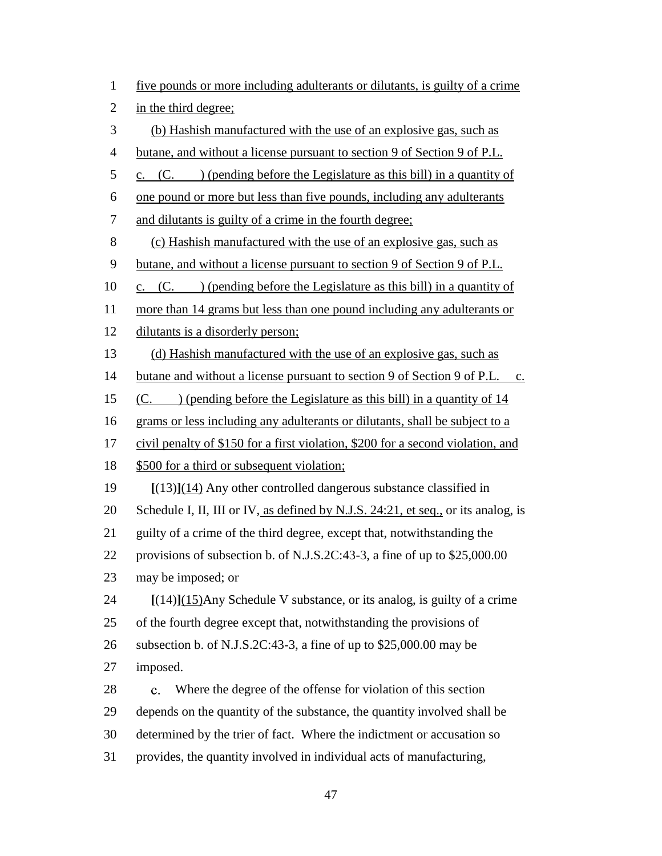| $\mathbf{1}$   | five pounds or more including adulterants or dilutants, is guilty of a crime      |
|----------------|-----------------------------------------------------------------------------------|
| $\mathbf{2}$   | in the third degree;                                                              |
| 3              | (b) Hashish manufactured with the use of an explosive gas, such as                |
| $\overline{4}$ | butane, and without a license pursuant to section 9 of Section 9 of P.L.          |
| 5              | c. $(C.$ (pending before the Legislature as this bill) in a quantity of           |
| 6              | one pound or more but less than five pounds, including any adulterants            |
| $\tau$         | and dilutants is guilty of a crime in the fourth degree;                          |
| $8\,$          | (c) Hashish manufactured with the use of an explosive gas, such as                |
| 9              | butane, and without a license pursuant to section 9 of Section 9 of P.L.          |
| 10             | c. $(C.$ (pending before the Legislature as this bill) in a quantity of           |
| 11             | more than 14 grams but less than one pound including any adulterants or           |
| 12             | dilutants is a disorderly person;                                                 |
| 13             | (d) Hashish manufactured with the use of an explosive gas, such as                |
| 14             | butane and without a license pursuant to section 9 of Section 9 of P.L. c.        |
| 15             | $(C.$ (pending before the Legislature as this bill) in a quantity of 14           |
| 16             | grams or less including any adulterants or dilutants, shall be subject to a       |
| 17             | civil penalty of \$150 for a first violation, \$200 for a second violation, and   |
| 18             | \$500 for a third or subsequent violation;                                        |
| 19             | $[(13)](14)$ Any other controlled dangerous substance classified in               |
| 20             | Schedule I, II, III or IV, as defined by N.J.S. 24:21, et seq., or its analog, is |
| 21             | guilty of a crime of the third degree, except that, notwithstanding the           |
| 22             | provisions of subsection b. of N.J.S.2C:43-3, a fine of up to \$25,000.00         |
| 23             | may be imposed; or                                                                |
| 24             | $[(14)](15)$ Any Schedule V substance, or its analog, is guilty of a crime        |
| 25             | of the fourth degree except that, notwithstanding the provisions of               |
| 26             | subsection b. of N.J.S.2C:43-3, a fine of up to $$25,000.00$ may be               |
| 27             | imposed.                                                                          |
| 28             | Where the degree of the offense for violation of this section<br>c.               |
| 29             | depends on the quantity of the substance, the quantity involved shall be          |
| 30             | determined by the trier of fact. Where the indictment or accusation so            |
| 31             | provides, the quantity involved in individual acts of manufacturing,              |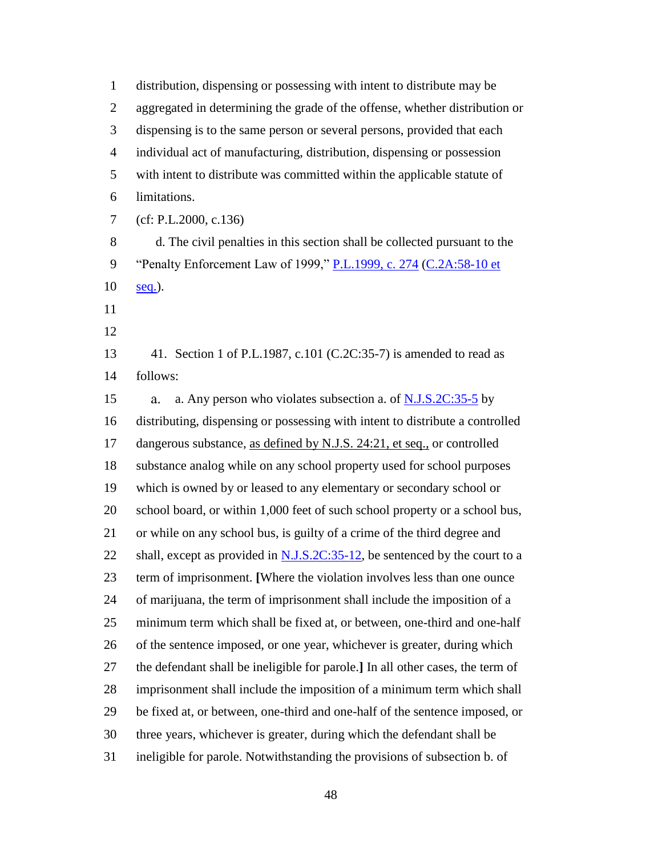distribution, dispensing or possessing with intent to distribute may be aggregated in determining the grade of the offense, whether distribution or dispensing is to the same person or several persons, provided that each individual act of manufacturing, distribution, dispensing or possession with intent to distribute was committed within the applicable statute of limitations. (cf: P.L.2000, c.136) d. The civil penalties in this section shall be collected pursuant to the 9 "Penalty Enforcement Law of 1999," [P.L.1999, c. 274](https://1.next.westlaw.com/Link/Document/FullText?findType=l&pubNum=1077005&cite=UUID(I0718A606DE-A641EDAEFAE-15A66010634)&originatingDoc=N5BF85E50970411DD8E3AF3CB9E177F9B&refType=SL&originationContext=document&transitionType=DocumentItem&contextData=(sc.History*oc.Search)) (C.2A:58-10 et [seq.\)](https://1.next.westlaw.com/Link/Document/FullText?findType=L&pubNum=1000045&cite=NJST2A%3a58-10&originatingDoc=N5BF85E50970411DD8E3AF3CB9E177F9B&refType=LQ&originationContext=document&transitionType=DocumentItem&contextData=(sc.History*oc.Search)). 41. Section 1 of P.L.1987, c.101 (C.2C:35-7) is amended to read as follows: 15 a. a. Any person who violates subsection a. of [N.J.S.2C:35-5](https://1.next.westlaw.com/Link/Document/FullText?findType=L&pubNum=1000045&cite=NJST2C%3a35-5&originatingDoc=NE01D7210079211DFB7EDF4E37AE44727&refType=LQ&originationContext=document&transitionType=DocumentItem&contextData=(sc.Category)) by distributing, dispensing or possessing with intent to distribute a controlled dangerous substance, as defined by N.J.S. 24:21, et seq., or controlled substance analog while on any school property used for school purposes which is owned by or leased to any elementary or secondary school or school board, or within 1,000 feet of such school property or a school bus, or while on any school bus, is guilty of a crime of the third degree and 22 shall, except as provided in [N.J.S.2C:35-12,](https://1.next.westlaw.com/Link/Document/FullText?findType=L&pubNum=1000045&cite=NJST2C%3a35-12&originatingDoc=NE01D7210079211DFB7EDF4E37AE44727&refType=LQ&originationContext=document&transitionType=DocumentItem&contextData=(sc.Category)) be sentenced by the court to a term of imprisonment. **[**Where the violation involves less than one ounce of marijuana, the term of imprisonment shall include the imposition of a minimum term which shall be fixed at, or between, one-third and one-half of the sentence imposed, or one year, whichever is greater, during which the defendant shall be ineligible for parole.**]** In all other cases, the term of imprisonment shall include the imposition of a minimum term which shall be fixed at, or between, one-third and one-half of the sentence imposed, or three years, whichever is greater, during which the defendant shall be ineligible for parole. Notwithstanding the provisions of subsection b. of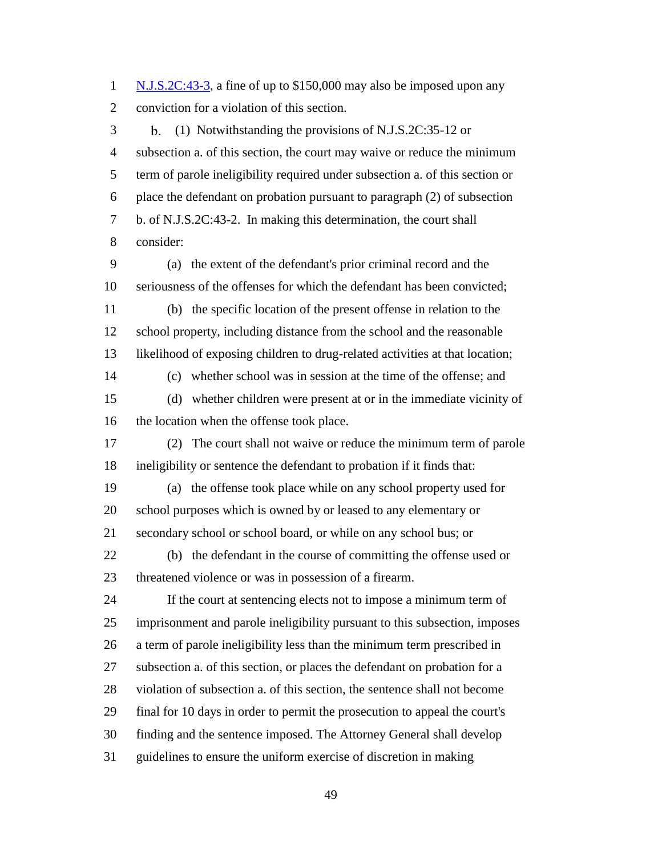[N.J.S.2C:43-3,](https://1.next.westlaw.com/Link/Document/FullText?findType=L&pubNum=1000045&cite=NJST2C%3a43-3&originatingDoc=NE01D7210079211DFB7EDF4E37AE44727&refType=LQ&originationContext=document&transitionType=DocumentItem&contextData=(sc.Category)) a fine of up to \$150,000 may also be imposed upon any conviction for a violation of this section.

 (1) Notwithstanding the provisions of N.J.S.2C:35-12 or subsection a. of this section, the court may waive or reduce the minimum term of parole ineligibility required under subsection a. of this section or place the defendant on probation pursuant to paragraph (2) of subsection b. of N.J.S.2C:43-2. In making this determination, the court shall consider:

9 (a) the extent of the defendant's prior criminal record and the seriousness of the offenses for which the defendant has been convicted;

11 (b) the specific location of the present offense in relation to the school property, including distance from the school and the reasonable likelihood of exposing children to drug-related activities at that location;

14 (c) whether school was in session at the time of the offense; and

15 (d) whether children were present at or in the immediate vicinity of 16 the location when the offense took place.

17 (2) The court shall not waive or reduce the minimum term of parole ineligibility or sentence the defendant to probation if it finds that:

19 (a) the offense took place while on any school property used for school purposes which is owned by or leased to any elementary or secondary school or school board, or while on any school bus; or

22 (b) the defendant in the course of committing the offense used or threatened violence or was in possession of a firearm.

24 If the court at sentencing elects not to impose a minimum term of imprisonment and parole ineligibility pursuant to this subsection, imposes a term of parole ineligibility less than the minimum term prescribed in subsection a. of this section, or places the defendant on probation for a violation of subsection a. of this section, the sentence shall not become final for 10 days in order to permit the prosecution to appeal the court's finding and the sentence imposed. The Attorney General shall develop guidelines to ensure the uniform exercise of discretion in making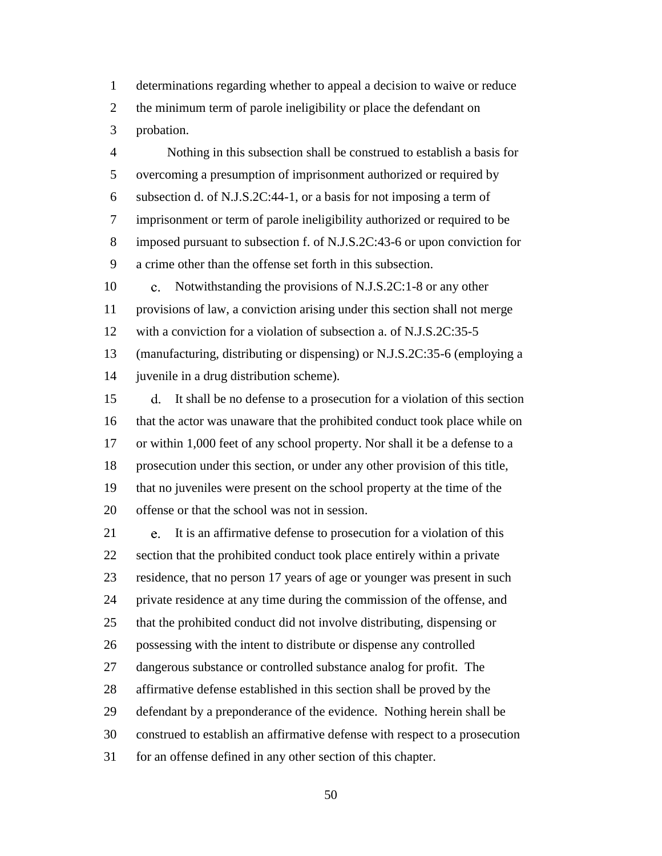determinations regarding whether to appeal a decision to waive or reduce the minimum term of parole ineligibility or place the defendant on probation.

4 Nothing in this subsection shall be construed to establish a basis for overcoming a presumption of imprisonment authorized or required by subsection d. of N.J.S.2C:44-1, or a basis for not imposing a term of imprisonment or term of parole ineligibility authorized or required to be imposed pursuant to subsection f. of N.J.S.2C:43-6 or upon conviction for a crime other than the offense set forth in this subsection.

10 c. Notwithstanding the provisions of N.J.S.2C:1-8 or any other provisions of law, a conviction arising under this section shall not merge with a conviction for a violation of subsection a. of N.J.S.2C:35-5 (manufacturing, distributing or dispensing) or N.J.S.2C:35-6 (employing a 14 juvenile in a drug distribution scheme).

 It shall be no defense to a prosecution for a violation of this section that the actor was unaware that the prohibited conduct took place while on or within 1,000 feet of any school property. Nor shall it be a defense to a prosecution under this section, or under any other provision of this title, that no juveniles were present on the school property at the time of the offense or that the school was not in session.

21 e. It is an affirmative defense to prosecution for a violation of this section that the prohibited conduct took place entirely within a private residence, that no person 17 years of age or younger was present in such private residence at any time during the commission of the offense, and that the prohibited conduct did not involve distributing, dispensing or possessing with the intent to distribute or dispense any controlled dangerous substance or controlled substance analog for profit. The affirmative defense established in this section shall be proved by the defendant by a preponderance of the evidence. Nothing herein shall be construed to establish an affirmative defense with respect to a prosecution for an offense defined in any other section of this chapter.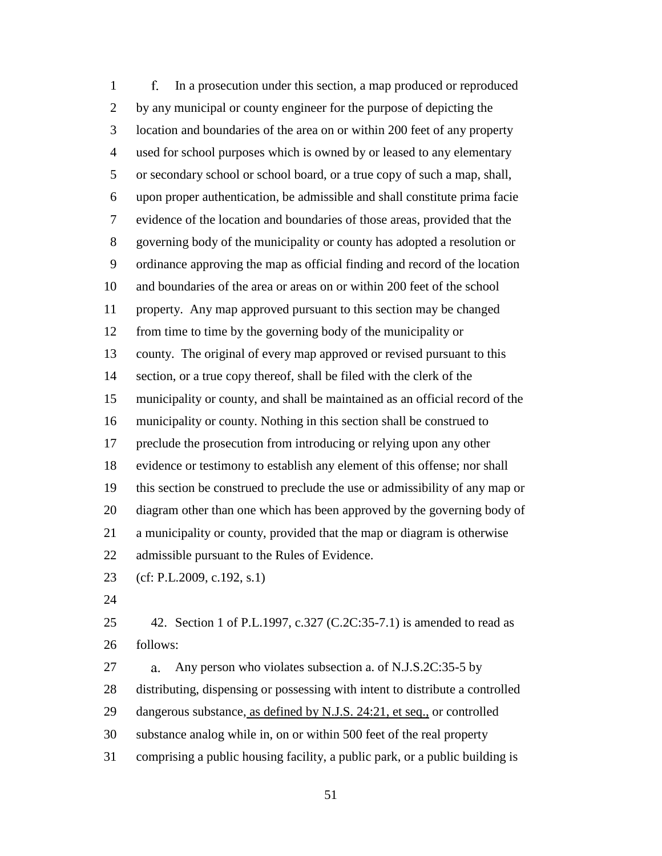1 In a prosecution under this section, a map produced or reproduced by any municipal or county engineer for the purpose of depicting the location and boundaries of the area on or within 200 feet of any property used for school purposes which is owned by or leased to any elementary or secondary school or school board, or a true copy of such a map, shall, upon proper authentication, be admissible and shall constitute prima facie evidence of the location and boundaries of those areas, provided that the governing body of the municipality or county has adopted a resolution or ordinance approving the map as official finding and record of the location and boundaries of the area or areas on or within 200 feet of the school property. Any map approved pursuant to this section may be changed from time to time by the governing body of the municipality or county. The original of every map approved or revised pursuant to this section, or a true copy thereof, shall be filed with the clerk of the municipality or county, and shall be maintained as an official record of the municipality or county. Nothing in this section shall be construed to preclude the prosecution from introducing or relying upon any other evidence or testimony to establish any element of this offense; nor shall this section be construed to preclude the use or admissibility of any map or diagram other than one which has been approved by the governing body of a municipality or county, provided that the map or diagram is otherwise admissible pursuant to the Rules of Evidence. (cf: P.L.2009, c.192, s.1) 42. Section 1 of P.L.1997, c.327 (C.2C:35-7.1) is amended to read as follows: 27 a. Any person who violates subsection a. of N.J.S.2C:35-5 by distributing, dispensing or possessing with intent to distribute a controlled dangerous substance, as defined by N.J.S. 24:21, et seq., or controlled substance analog while in, on or within 500 feet of the real property comprising a public housing facility, a public park, or a public building is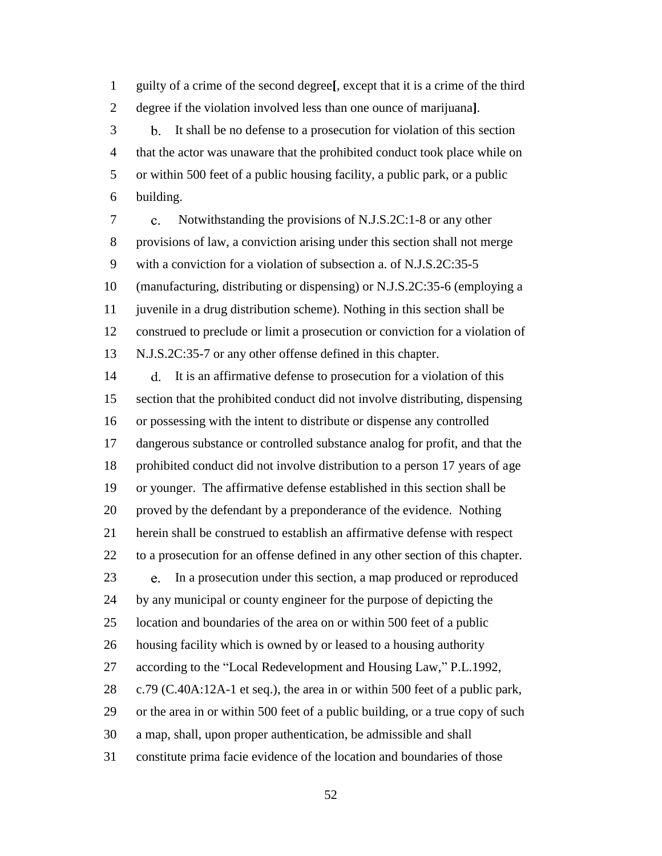guilty of a crime of the second degree**[**, except that it is a crime of the third degree if the violation involved less than one ounce of marijuana**]**.

3 b. It shall be no defense to a prosecution for violation of this section that the actor was unaware that the prohibited conduct took place while on or within 500 feet of a public housing facility, a public park, or a public building.

 Notwithstanding the provisions of N.J.S.2C:1-8 or any other provisions of law, a conviction arising under this section shall not merge with a conviction for a violation of subsection a. of N.J.S.2C:35-5 (manufacturing, distributing or dispensing) or N.J.S.2C:35-6 (employing a juvenile in a drug distribution scheme). Nothing in this section shall be construed to preclude or limit a prosecution or conviction for a violation of N.J.S.2C:35-7 or any other offense defined in this chapter.

14 d. It is an affirmative defense to prosecution for a violation of this section that the prohibited conduct did not involve distributing, dispensing or possessing with the intent to distribute or dispense any controlled dangerous substance or controlled substance analog for profit, and that the prohibited conduct did not involve distribution to a person 17 years of age or younger. The affirmative defense established in this section shall be proved by the defendant by a preponderance of the evidence. Nothing herein shall be construed to establish an affirmative defense with respect to a prosecution for an offense defined in any other section of this chapter. In a prosecution under this section, a map produced or reproduced by any municipal or county engineer for the purpose of depicting the location and boundaries of the area on or within 500 feet of a public housing facility which is owned by or leased to a housing authority according to the "Local Redevelopment and Housing Law," P.L.1992, c.79 (C.40A:12A-1 et seq.), the area in or within 500 feet of a public park, or the area in or within 500 feet of a public building, or a true copy of such a map, shall, upon proper authentication, be admissible and shall constitute prima facie evidence of the location and boundaries of those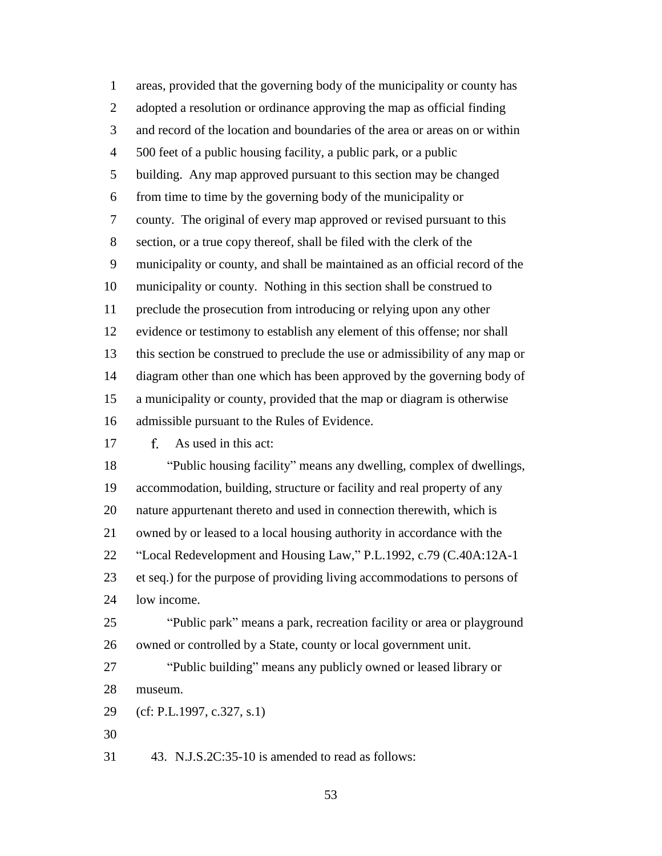areas, provided that the governing body of the municipality or county has adopted a resolution or ordinance approving the map as official finding and record of the location and boundaries of the area or areas on or within 500 feet of a public housing facility, a public park, or a public building. Any map approved pursuant to this section may be changed from time to time by the governing body of the municipality or county. The original of every map approved or revised pursuant to this section, or a true copy thereof, shall be filed with the clerk of the municipality or county, and shall be maintained as an official record of the municipality or county. Nothing in this section shall be construed to preclude the prosecution from introducing or relying upon any other evidence or testimony to establish any element of this offense; nor shall this section be construed to preclude the use or admissibility of any map or diagram other than one which has been approved by the governing body of a municipality or county, provided that the map or diagram is otherwise admissible pursuant to the Rules of Evidence. 17 f. As used in this act: 18 "Public housing facility" means any dwelling, complex of dwellings, accommodation, building, structure or facility and real property of any nature appurtenant thereto and used in connection therewith, which is owned by or leased to a local housing authority in accordance with the "Local Redevelopment and Housing Law," P.L.1992, c.79 (C.40A:12A-1 et seq.) for the purpose of providing living accommodations to persons of low income. 25 "Public park" means a park, recreation facility or area or playground owned or controlled by a State, county or local government unit. 27 "Public building" means any publicly owned or leased library or museum. (cf: P.L.1997, c.327, s.1) 43. N.J.S.2C:35-10 is amended to read as follows: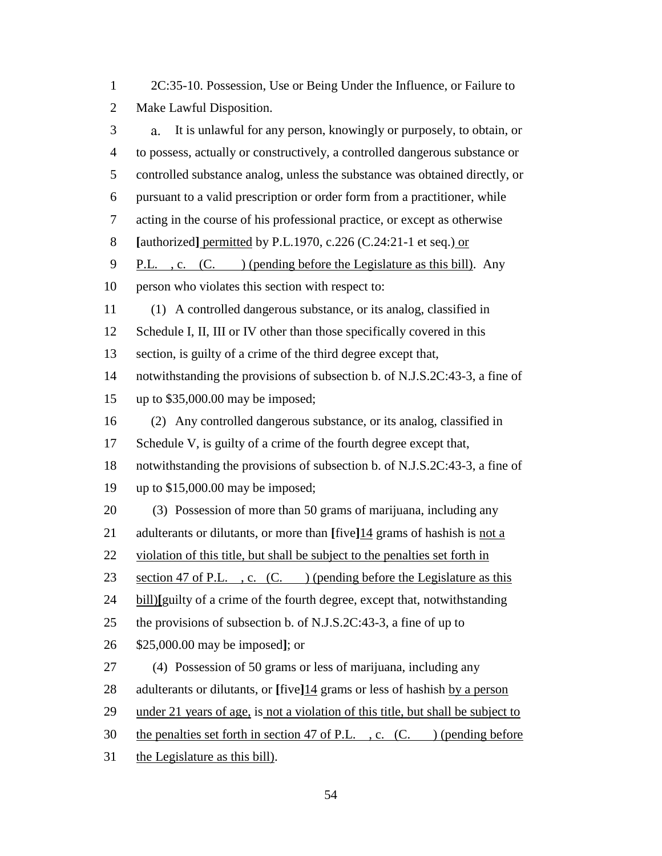2C:35-10. Possession, Use or Being Under the Influence, or Failure to Make Lawful Disposition. 3 a. It is unlawful for any person, knowingly or purposely, to obtain, or to possess, actually or constructively, a controlled dangerous substance or controlled substance analog, unless the substance was obtained directly, or pursuant to a valid prescription or order form from a practitioner, while acting in the course of his professional practice, or except as otherwise **[**authorized**]** permitted by P.L.1970, c.226 (C.24:21-1 et seq.) or P.L. , c. (C. ) (pending before the Legislature as this bill). Any person who violates this section with respect to: (1) A controlled dangerous substance, or its analog, classified in 12 Schedule I, II, III or IV other than those specifically covered in this section, is guilty of a crime of the third degree except that, notwithstanding the provisions of subsection b. of N.J.S.2C:43-3, a fine of up to \$35,000.00 may be imposed; (2) Any controlled dangerous substance, or its analog, classified in Schedule V, is guilty of a crime of the fourth degree except that, notwithstanding the provisions of subsection b. of N.J.S.2C:43-3, a fine of up to \$15,000.00 may be imposed; (3) Possession of more than 50 grams of marijuana, including any adulterants or dilutants, or more than **[**five**]**14 grams of hashish is not a violation of this title, but shall be subject to the penalties set forth in 23 section 47 of P.L., c. (C. ) (pending before the Legislature as this bill)**[**guilty of a crime of the fourth degree, except that, notwithstanding the provisions of subsection b. of N.J.S.2C:43-3, a fine of up to

\$25,000.00 may be imposed**]**; or

(4) Possession of 50 grams or less of marijuana, including any

- adulterants or dilutants, or **[**five**]**14 grams or less of hashish by a person
- under 21 years of age, is not a violation of this title, but shall be subject to

the penalties set forth in section 47 of P.L. , c. (C. ) (pending before

the Legislature as this bill).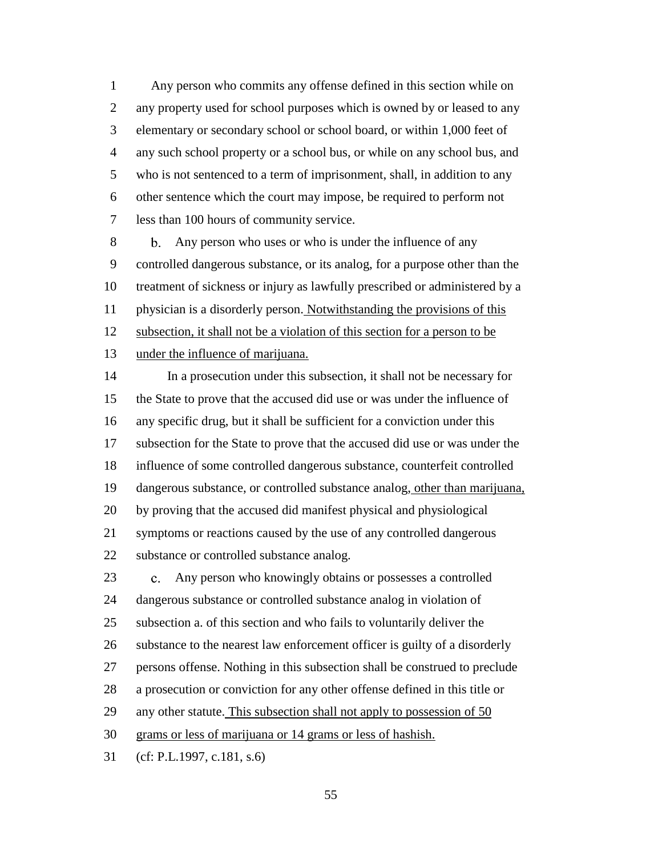Any person who commits any offense defined in this section while on any property used for school purposes which is owned by or leased to any elementary or secondary school or school board, or within 1,000 feet of any such school property or a school bus, or while on any school bus, and who is not sentenced to a term of imprisonment, shall, in addition to any other sentence which the court may impose, be required to perform not less than 100 hours of community service.

8 b. Any person who uses or who is under the influence of any controlled dangerous substance, or its analog, for a purpose other than the treatment of sickness or injury as lawfully prescribed or administered by a physician is a disorderly person. Notwithstanding the provisions of this subsection, it shall not be a violation of this section for a person to be under the influence of marijuana.

14 In a prosecution under this subsection, it shall not be necessary for the State to prove that the accused did use or was under the influence of any specific drug, but it shall be sufficient for a conviction under this subsection for the State to prove that the accused did use or was under the influence of some controlled dangerous substance, counterfeit controlled dangerous substance, or controlled substance analog, other than marijuana, by proving that the accused did manifest physical and physiological symptoms or reactions caused by the use of any controlled dangerous substance or controlled substance analog. 23 c. Any person who knowingly obtains or possesses a controlled dangerous substance or controlled substance analog in violation of subsection a. of this section and who fails to voluntarily deliver the

substance to the nearest law enforcement officer is guilty of a disorderly

persons offense. Nothing in this subsection shall be construed to preclude

a prosecution or conviction for any other offense defined in this title or

any other statute. This subsection shall not apply to possession of 50

grams or less of marijuana or 14 grams or less of hashish.

(cf: P.L.1997, c.181, s.6)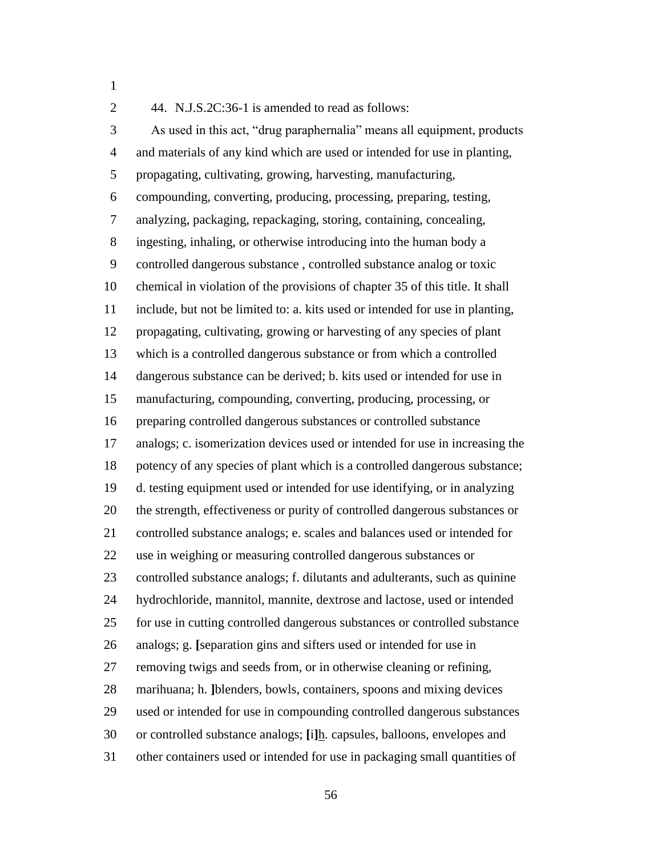44. N.J.S.2C:36-1 is amended to read as follows: As used in this act, "drug paraphernalia" means all equipment, products and materials of any kind which are used or intended for use in planting, propagating, cultivating, growing, harvesting, manufacturing, compounding, converting, producing, processing, preparing, testing, analyzing, packaging, repackaging, storing, containing, concealing, ingesting, inhaling, or otherwise introducing into the human body a controlled dangerous substance , controlled substance analog or toxic chemical in violation of the provisions of chapter 35 of this title. It shall include, but not be limited to: a. kits used or intended for use in planting, propagating, cultivating, growing or harvesting of any species of plant which is a controlled dangerous substance or from which a controlled dangerous substance can be derived; b. kits used or intended for use in manufacturing, compounding, converting, producing, processing, or preparing controlled dangerous substances or controlled substance analogs; c. isomerization devices used or intended for use in increasing the potency of any species of plant which is a controlled dangerous substance; d. testing equipment used or intended for use identifying, or in analyzing the strength, effectiveness or purity of controlled dangerous substances or controlled substance analogs; e. scales and balances used or intended for use in weighing or measuring controlled dangerous substances or controlled substance analogs; f. dilutants and adulterants, such as quinine hydrochloride, mannitol, mannite, dextrose and lactose, used or intended for use in cutting controlled dangerous substances or controlled substance analogs; g. **[**separation gins and sifters used or intended for use in removing twigs and seeds from, or in otherwise cleaning or refining, marihuana; h. **]**blenders, bowls, containers, spoons and mixing devices used or intended for use in compounding controlled dangerous substances or controlled substance analogs; **[**i**]**h. capsules, balloons, envelopes and other containers used or intended for use in packaging small quantities of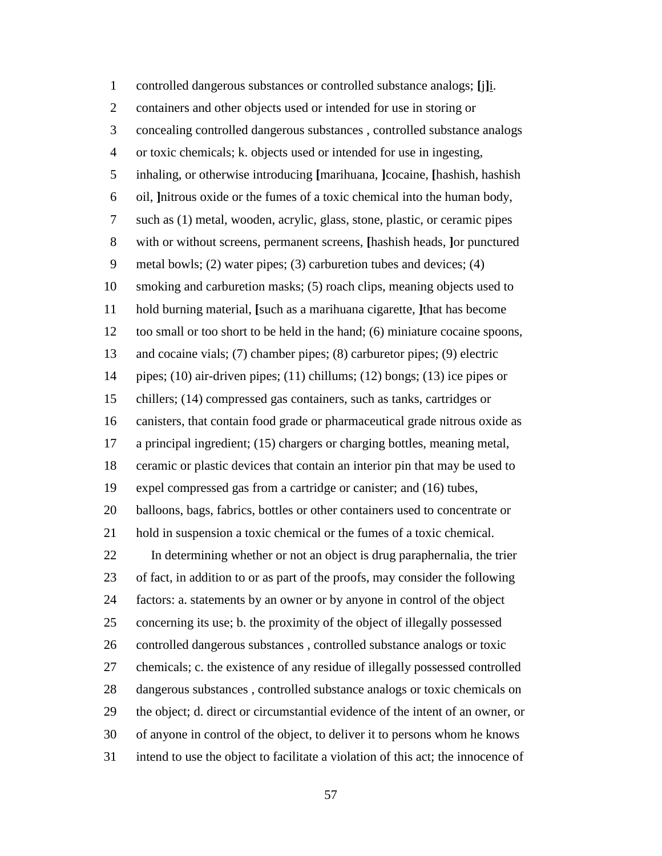controlled dangerous substances or controlled substance analogs; **[**j**]**i. containers and other objects used or intended for use in storing or concealing controlled dangerous substances , controlled substance analogs or toxic chemicals; k. objects used or intended for use in ingesting, inhaling, or otherwise introducing **[**marihuana, **]**cocaine, **[**hashish, hashish oil, **]**nitrous oxide or the fumes of a toxic chemical into the human body, such as (1) metal, wooden, acrylic, glass, stone, plastic, or ceramic pipes with or without screens, permanent screens, **[**hashish heads, **]**or punctured metal bowls; (2) water pipes; (3) carburetion tubes and devices; (4) smoking and carburetion masks; (5) roach clips, meaning objects used to hold burning material, **[**such as a marihuana cigarette, **]**that has become too small or too short to be held in the hand; (6) miniature cocaine spoons, and cocaine vials; (7) chamber pipes; (8) carburetor pipes; (9) electric pipes; (10) air-driven pipes; (11) chillums; (12) bongs; (13) ice pipes or chillers; (14) compressed gas containers, such as tanks, cartridges or canisters, that contain food grade or pharmaceutical grade nitrous oxide as a principal ingredient; (15) chargers or charging bottles, meaning metal, ceramic or plastic devices that contain an interior pin that may be used to expel compressed gas from a cartridge or canister; and (16) tubes, balloons, bags, fabrics, bottles or other containers used to concentrate or hold in suspension a toxic chemical or the fumes of a toxic chemical. In determining whether or not an object is drug paraphernalia, the trier of fact, in addition to or as part of the proofs, may consider the following factors: a. statements by an owner or by anyone in control of the object concerning its use; b. the proximity of the object of illegally possessed controlled dangerous substances , controlled substance analogs or toxic chemicals; c. the existence of any residue of illegally possessed controlled dangerous substances , controlled substance analogs or toxic chemicals on the object; d. direct or circumstantial evidence of the intent of an owner, or of anyone in control of the object, to deliver it to persons whom he knows intend to use the object to facilitate a violation of this act; the innocence of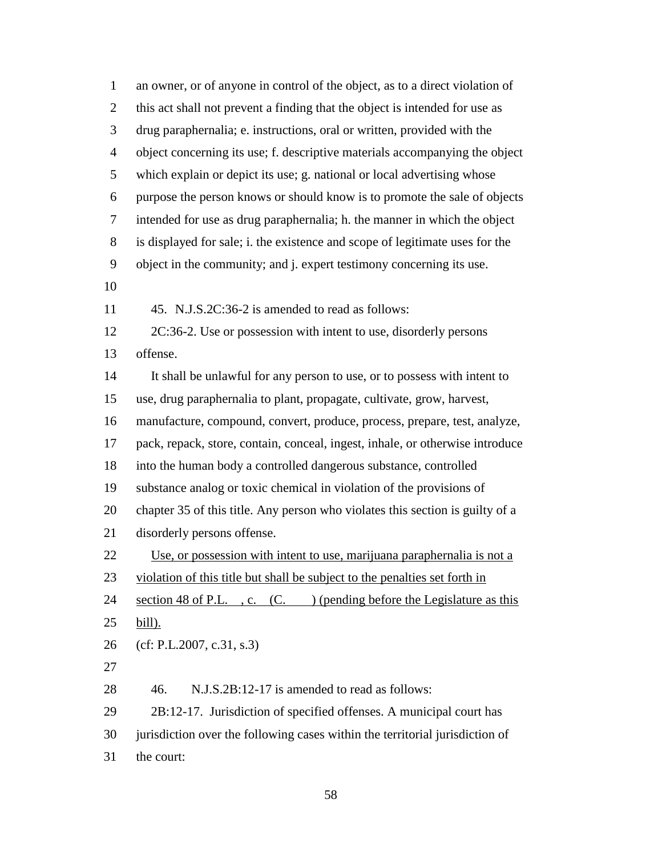| $\mathbf{1}$   | an owner, or of anyone in control of the object, as to a direct violation of  |
|----------------|-------------------------------------------------------------------------------|
| $\overline{2}$ | this act shall not prevent a finding that the object is intended for use as   |
| 3              | drug paraphernalia; e. instructions, oral or written, provided with the       |
| $\overline{4}$ | object concerning its use; f. descriptive materials accompanying the object   |
| 5              | which explain or depict its use; g. national or local advertising whose       |
| 6              | purpose the person knows or should know is to promote the sale of objects     |
| 7              | intended for use as drug paraphernalia; h. the manner in which the object     |
| $8\,$          | is displayed for sale; i. the existence and scope of legitimate uses for the  |
| 9              | object in the community; and j. expert testimony concerning its use.          |
| 10             |                                                                               |
| 11             | 45. N.J.S.2C:36-2 is amended to read as follows:                              |
| 12             | 2C:36-2. Use or possession with intent to use, disorderly persons             |
| 13             | offense.                                                                      |
| 14             | It shall be unlawful for any person to use, or to possess with intent to      |
| 15             | use, drug paraphernalia to plant, propagate, cultivate, grow, harvest,        |
| 16             | manufacture, compound, convert, produce, process, prepare, test, analyze,     |
| 17             | pack, repack, store, contain, conceal, ingest, inhale, or otherwise introduce |
| 18             | into the human body a controlled dangerous substance, controlled              |
| 19             | substance analog or toxic chemical in violation of the provisions of          |
| 20             | chapter 35 of this title. Any person who violates this section is guilty of a |
| 21             | disorderly persons offense.                                                   |
| 22             | Use, or possession with intent to use, marijuana paraphernalia is not a       |
| 23             | violation of this title but shall be subject to the penalties set forth in    |
| 24             | section 48 of P.L., c. $(C.$ (pending before the Legislature as this          |
| 25             | <u>bill).</u>                                                                 |
| 26             | (cf: P.L.2007, c.31, s.3)                                                     |
| 27             |                                                                               |
| 28             | N.J.S.2B:12-17 is amended to read as follows:<br>46.                          |
| 29             | 2B:12-17. Jurisdiction of specified offenses. A municipal court has           |
| 30             | jurisdiction over the following cases within the territorial jurisdiction of  |
| 31             | the court:                                                                    |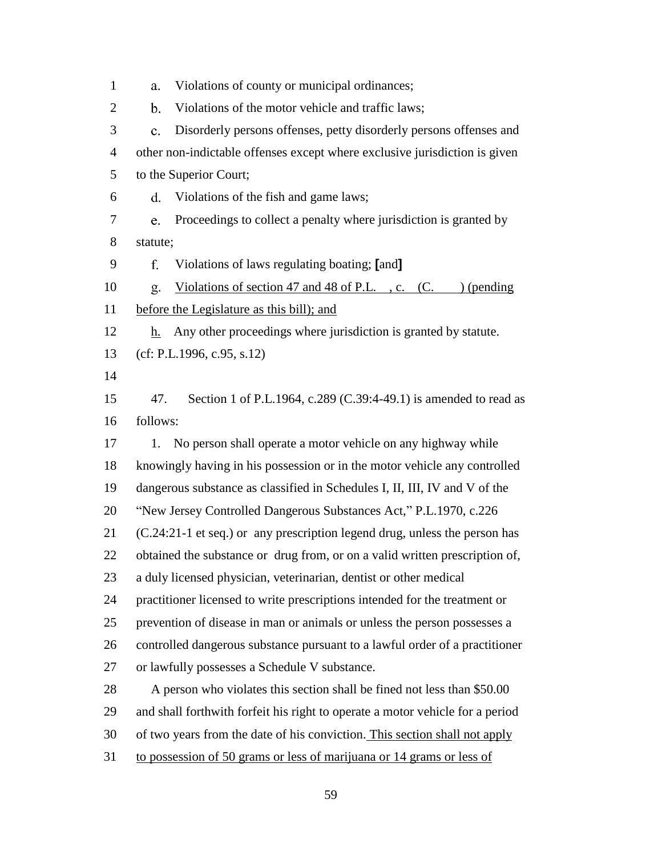| $\mathbf{1}$   | Violations of county or municipal ordinances;<br>a.                           |  |
|----------------|-------------------------------------------------------------------------------|--|
| $\overline{2}$ | Violations of the motor vehicle and traffic laws;<br>b.                       |  |
| 3              | Disorderly persons offenses, petty disorderly persons offenses and<br>c.      |  |
| $\overline{4}$ | other non-indictable offenses except where exclusive jurisdiction is given    |  |
| 5              | to the Superior Court;                                                        |  |
| 6              | Violations of the fish and game laws;<br>d.                                   |  |
| 7              | Proceedings to collect a penalty where jurisdiction is granted by<br>e.       |  |
| 8              | statute;                                                                      |  |
| 9              | f.<br>Violations of laws regulating boating; [and]                            |  |
| 10             | Violations of section 47 and 48 of P.L., c. $(C.$ (pending<br>g.              |  |
| 11             | before the Legislature as this bill); and                                     |  |
| 12             | Any other proceedings where jurisdiction is granted by statute.<br>h.         |  |
| 13             | (cf: P.L.1996, c.95, s.12)                                                    |  |
| 14             |                                                                               |  |
| 15             | Section 1 of P.L.1964, c.289 (C.39:4-49.1) is amended to read as<br>47.       |  |
| 16             | follows:                                                                      |  |
| 17             | No person shall operate a motor vehicle on any highway while<br>1.            |  |
| 18             | knowingly having in his possession or in the motor vehicle any controlled     |  |
| 19             | dangerous substance as classified in Schedules I, II, III, IV and V of the    |  |
| 20             | "New Jersey Controlled Dangerous Substances Act," P.L.1970, c.226             |  |
| 21             | (C.24:21-1 et seq.) or any prescription legend drug, unless the person has    |  |
| 22             | obtained the substance or drug from, or on a valid written prescription of,   |  |
| 23             | a duly licensed physician, veterinarian, dentist or other medical             |  |
| 24             | practitioner licensed to write prescriptions intended for the treatment or    |  |
| 25             | prevention of disease in man or animals or unless the person possesses a      |  |
| 26             | controlled dangerous substance pursuant to a lawful order of a practitioner   |  |
| 27             | or lawfully possesses a Schedule V substance.                                 |  |
| 28             | A person who violates this section shall be fined not less than \$50.00       |  |
| 29             | and shall forthwith forfeit his right to operate a motor vehicle for a period |  |
| 30             | of two years from the date of his conviction. This section shall not apply    |  |
| 31             | to possession of 50 grams or less of marijuana or 14 grams or less of         |  |
|                |                                                                               |  |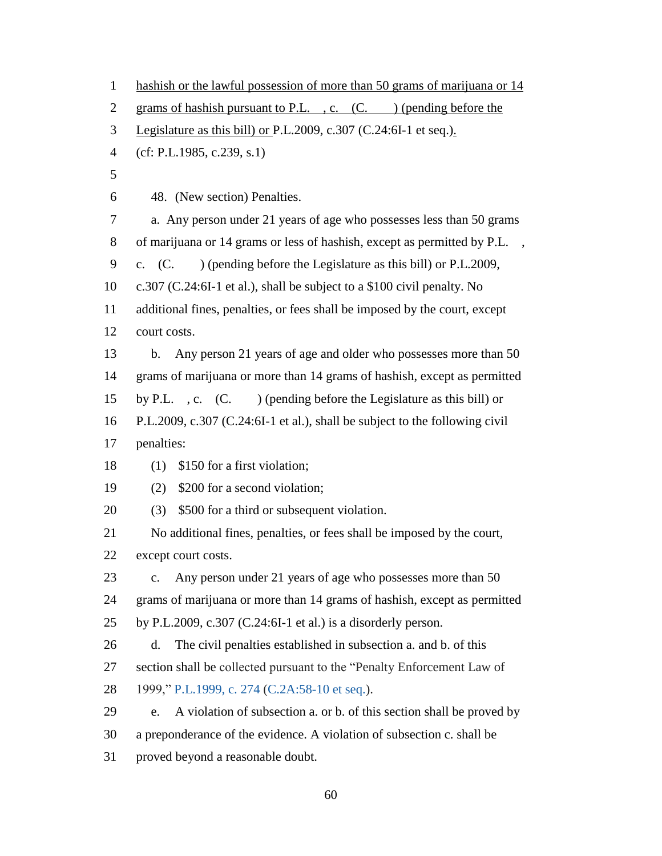| $\mathbf{1}$   | hashish or the lawful possession of more than 50 grams of marijuana or 14        |
|----------------|----------------------------------------------------------------------------------|
| $\overline{2}$ | grams of hashish pursuant to P.L., c. $(C.$ (c. ) (pending before the            |
| 3              | Legislature as this bill) or P.L.2009, c.307 (C.24:6I-1 et seq.).                |
| $\overline{4}$ | (cf: P.L.1985, c.239, s.1)                                                       |
| 5              |                                                                                  |
| 6              | 48. (New section) Penalties.                                                     |
| 7              | a. Any person under 21 years of age who possesses less than 50 grams             |
| 8              | of marijuana or 14 grams or less of hashish, except as permitted by P.L.         |
| 9              | ) (pending before the Legislature as this bill) or P.L.2009,<br>c. $(C.$         |
| 10             | c.307 (C.24:6I-1 et al.), shall be subject to a \$100 civil penalty. No          |
| 11             | additional fines, penalties, or fees shall be imposed by the court, except       |
| 12             | court costs.                                                                     |
| 13             | Any person 21 years of age and older who possesses more than 50<br>$\mathbf b$ . |
| 14             | grams of marijuana or more than 14 grams of hashish, except as permitted         |
| 15             | ) (pending before the Legislature as this bill) or<br>by P.L., c. $(C.$          |
| 16             | P.L.2009, c.307 (C.24:6I-1 et al.), shall be subject to the following civil      |
| 17             | penalties:                                                                       |
| 18             | \$150 for a first violation;<br>(1)                                              |
| 19             | \$200 for a second violation;<br>(2)                                             |
| 20             | (3)<br>\$500 for a third or subsequent violation.                                |
| 21             | No additional fines, penalties, or fees shall be imposed by the court,           |
| 22             | except court costs.                                                              |
| 23             | Any person under 21 years of age who possesses more than 50<br>c.                |
| 24             | grams of marijuana or more than 14 grams of hashish, except as permitted         |
| 25             | by P.L.2009, c.307 (C.24:6I-1 et al.) is a disorderly person.                    |
| 26             | The civil penalties established in subsection a. and b. of this<br>d.            |
| 27             | section shall be collected pursuant to the "Penalty Enforcement Law of           |
| 28             | 1999," P.L.1999, c. 274 (C.2A:58-10 et seq.).                                    |
| 29             | A violation of subsection a. or b. of this section shall be proved by<br>e.      |
| 30             | a preponderance of the evidence. A violation of subsection c. shall be           |
| 31             | proved beyond a reasonable doubt.                                                |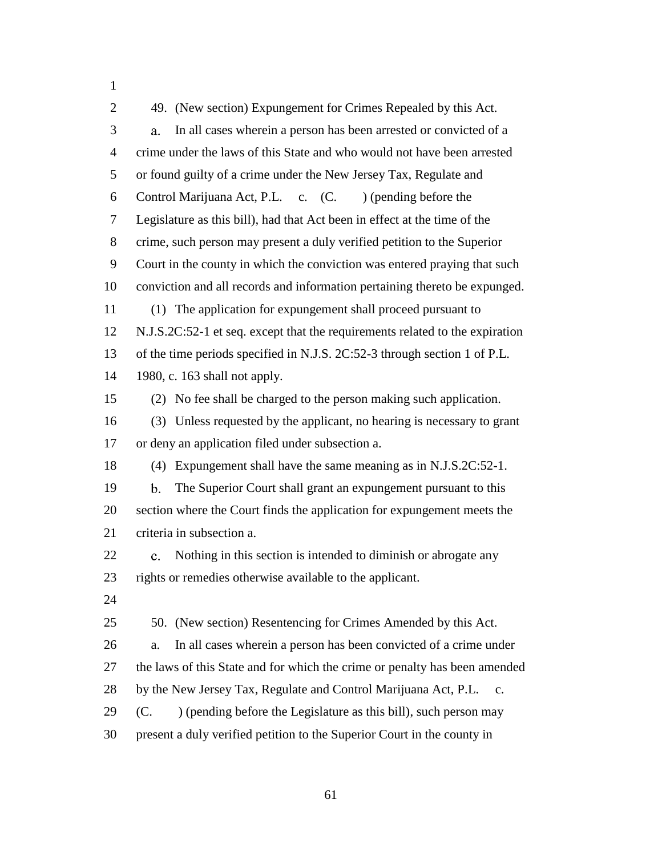| $\mathbf{1}$   |                                                                                   |
|----------------|-----------------------------------------------------------------------------------|
| $\overline{2}$ | 49. (New section) Expungement for Crimes Repealed by this Act.                    |
| 3              | In all cases wherein a person has been arrested or convicted of a<br>a.           |
| $\overline{4}$ | crime under the laws of this State and who would not have been arrested           |
| 5              | or found guilty of a crime under the New Jersey Tax, Regulate and                 |
| 6              | Control Marijuana Act, P.L. c. (C. ) (pending before the                          |
| 7              | Legislature as this bill), had that Act been in effect at the time of the         |
| 8              | crime, such person may present a duly verified petition to the Superior           |
| 9              | Court in the county in which the conviction was entered praying that such         |
| 10             | conviction and all records and information pertaining thereto be expunged.        |
| 11             | (1) The application for expungement shall proceed pursuant to                     |
| 12             | N.J.S.2C:52-1 et seq. except that the requirements related to the expiration      |
| 13             | of the time periods specified in N.J.S. 2C:52-3 through section 1 of P.L.         |
| 14             | 1980, c. 163 shall not apply.                                                     |
| 15             | (2) No fee shall be charged to the person making such application.                |
| 16             | (3) Unless requested by the applicant, no hearing is necessary to grant           |
| 17             | or deny an application filed under subsection a.                                  |
| 18             | (4) Expungement shall have the same meaning as in N.J.S.2C:52-1.                  |
| 19             | The Superior Court shall grant an expungement pursuant to this<br>$\mathbf{b}$ .  |
| 20             | section where the Court finds the application for expungement meets the           |
| 21             | criteria in subsection a.                                                         |
| 22             | Nothing in this section is intended to diminish or abrogate any<br>$c_{\cdot}$    |
| 23             | rights or remedies otherwise available to the applicant.                          |
| 24             |                                                                                   |
| 25             | 50. (New section) Resentencing for Crimes Amended by this Act.                    |
| 26             | In all cases wherein a person has been convicted of a crime under<br>a.           |
| 27             | the laws of this State and for which the crime or penalty has been amended        |
| 28             | by the New Jersey Tax, Regulate and Control Marijuana Act, P.L.<br>$\mathbf{c}$ . |
| 29             | ) (pending before the Legislature as this bill), such person may<br>(C.           |
| 30             | present a duly verified petition to the Superior Court in the county in           |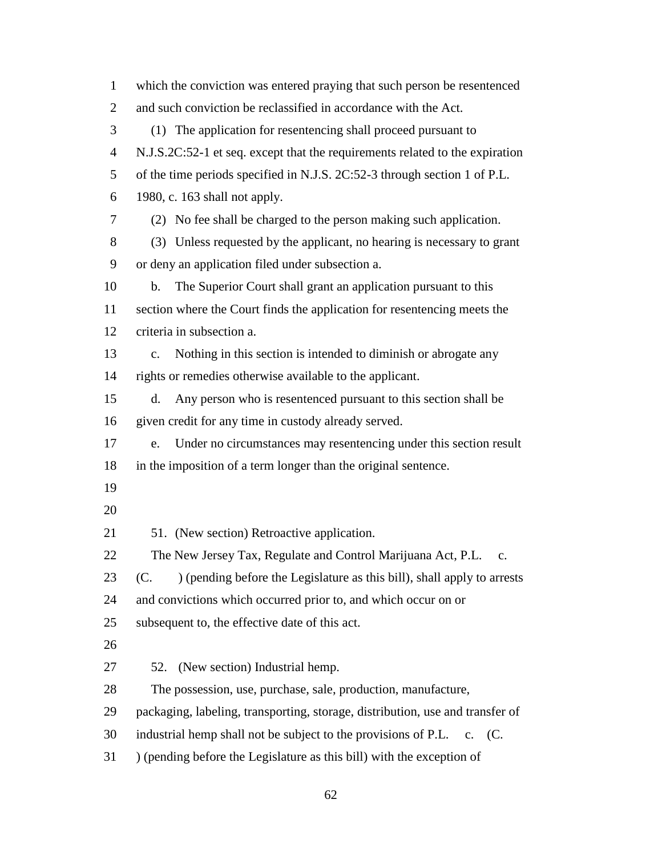| $\mathbf{1}$   | which the conviction was entered praying that such person be resentenced       |
|----------------|--------------------------------------------------------------------------------|
| $\overline{2}$ | and such conviction be reclassified in accordance with the Act.                |
| 3              | (1) The application for resentencing shall proceed pursuant to                 |
| $\overline{4}$ | N.J.S.2C:52-1 et seq. except that the requirements related to the expiration   |
| 5              | of the time periods specified in N.J.S. 2C:52-3 through section 1 of P.L.      |
| 6              | 1980, c. 163 shall not apply.                                                  |
| 7              | (2) No fee shall be charged to the person making such application.             |
| 8              | (3) Unless requested by the applicant, no hearing is necessary to grant        |
| 9              | or deny an application filed under subsection a.                               |
| 10             | The Superior Court shall grant an application pursuant to this<br>b.           |
| 11             | section where the Court finds the application for resentencing meets the       |
| 12             | criteria in subsection a.                                                      |
| 13             | Nothing in this section is intended to diminish or abrogate any<br>c.          |
| 14             | rights or remedies otherwise available to the applicant.                       |
| 15             | Any person who is resentenced pursuant to this section shall be<br>d.          |
| 16             | given credit for any time in custody already served.                           |
| 17             | Under no circumstances may resentencing under this section result<br>e.        |
| 18             | in the imposition of a term longer than the original sentence.                 |
| 19             |                                                                                |
| 20             |                                                                                |
| 21             | 51. (New section) Retroactive application.                                     |
| 22             | The New Jersey Tax, Regulate and Control Marijuana Act, P.L.<br>$\mathbf{c}$ . |
| 23             | ) (pending before the Legislature as this bill), shall apply to arrests<br>(C. |
| 24             | and convictions which occurred prior to, and which occur on or                 |
| 25             | subsequent to, the effective date of this act.                                 |
| 26             |                                                                                |
| 27             | (New section) Industrial hemp.<br>52.                                          |
| 28             | The possession, use, purchase, sale, production, manufacture,                  |
| 29             | packaging, labeling, transporting, storage, distribution, use and transfer of  |
| 30             | industrial hemp shall not be subject to the provisions of P.L. c. (C.          |
| 31             | ) (pending before the Legislature as this bill) with the exception of          |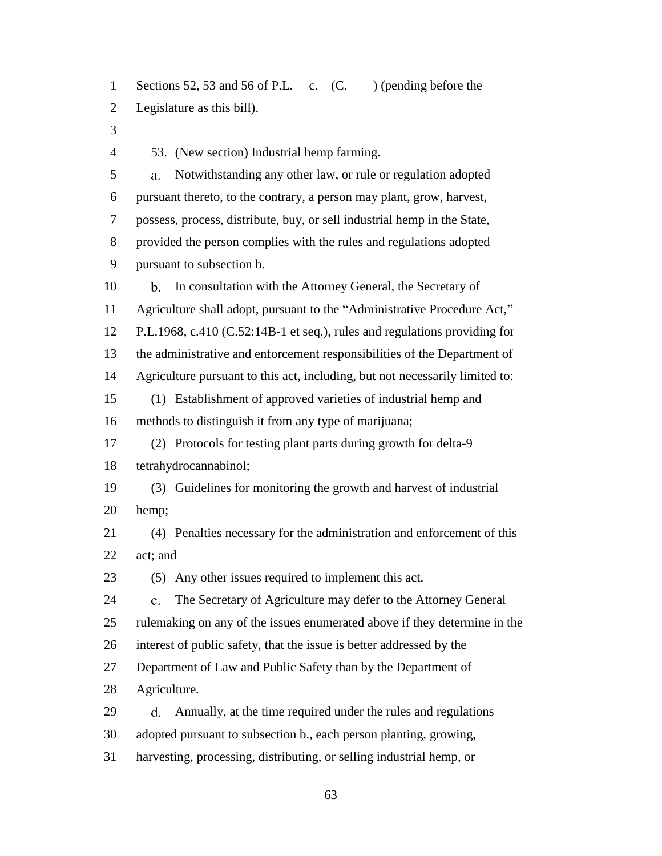1 Sections 52, 53 and 56 of P.L. c. (C. ) (pending before the Legislature as this bill).

53. (New section) Industrial hemp farming.

 Notwithstanding any other law, or rule or regulation adopted pursuant thereto, to the contrary, a person may plant, grow, harvest, possess, process, distribute, buy, or sell industrial hemp in the State, provided the person complies with the rules and regulations adopted pursuant to subsection b.

10 b. In consultation with the Attorney General, the Secretary of Agriculture shall adopt, pursuant to the "Administrative Procedure Act," P.L.1968, c.410 (C.52:14B-1 et seq.), rules and regulations providing for the administrative and enforcement responsibilities of the Department of Agriculture pursuant to this act, including, but not necessarily limited to: (1) Establishment of approved varieties of industrial hemp and

methods to distinguish it from any type of marijuana;

(2) Protocols for testing plant parts during growth for delta-9

- tetrahydrocannabinol;
- (3) Guidelines for monitoring the growth and harvest of industrial hemp;
- (4) Penalties necessary for the administration and enforcement of this act; and

(5) Any other issues required to implement this act.

24 c. The Secretary of Agriculture may defer to the Attorney General rulemaking on any of the issues enumerated above if they determine in the

interest of public safety, that the issue is better addressed by the

Department of Law and Public Safety than by the Department of

Agriculture.

29 d. Annually, at the time required under the rules and regulations

- adopted pursuant to subsection b., each person planting, growing,
- harvesting, processing, distributing, or selling industrial hemp, or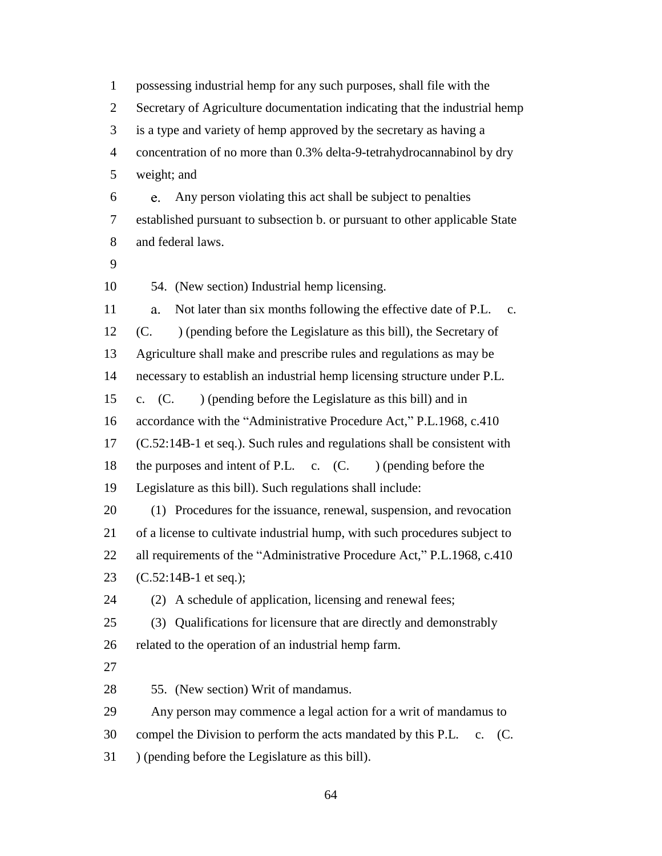possessing industrial hemp for any such purposes, shall file with the Secretary of Agriculture documentation indicating that the industrial hemp is a type and variety of hemp approved by the secretary as having a concentration of no more than 0.3% delta-9-tetrahydrocannabinol by dry weight; and Any person violating this act shall be subject to penalties established pursuant to subsection b. or pursuant to other applicable State and federal laws. 54. (New section) Industrial hemp licensing. 11 a. Not later than six months following the effective date of P.L. c. (C. ) (pending before the Legislature as this bill), the Secretary of Agriculture shall make and prescribe rules and regulations as may be necessary to establish an industrial hemp licensing structure under P.L. c. (C. ) (pending before the Legislature as this bill) and in accordance with the "Administrative Procedure Act," P.L.1968, c.410 (C.52:14B-1 et seq.). Such rules and regulations shall be consistent with 18 the purposes and intent of P.L. c. (C. ) (pending before the Legislature as this bill). Such regulations shall include: (1) Procedures for the issuance, renewal, suspension, and revocation of a license to cultivate industrial hump, with such procedures subject to 22 all requirements of the "Administrative Procedure Act," P.L.1968, c.410 (C.52:14B-1 et seq.); (2) A schedule of application, licensing and renewal fees; (3) Qualifications for licensure that are directly and demonstrably related to the operation of an industrial hemp farm. 55. (New section) Writ of mandamus. Any person may commence a legal action for a writ of mandamus to compel the Division to perform the acts mandated by this P.L. c. (C. ) (pending before the Legislature as this bill).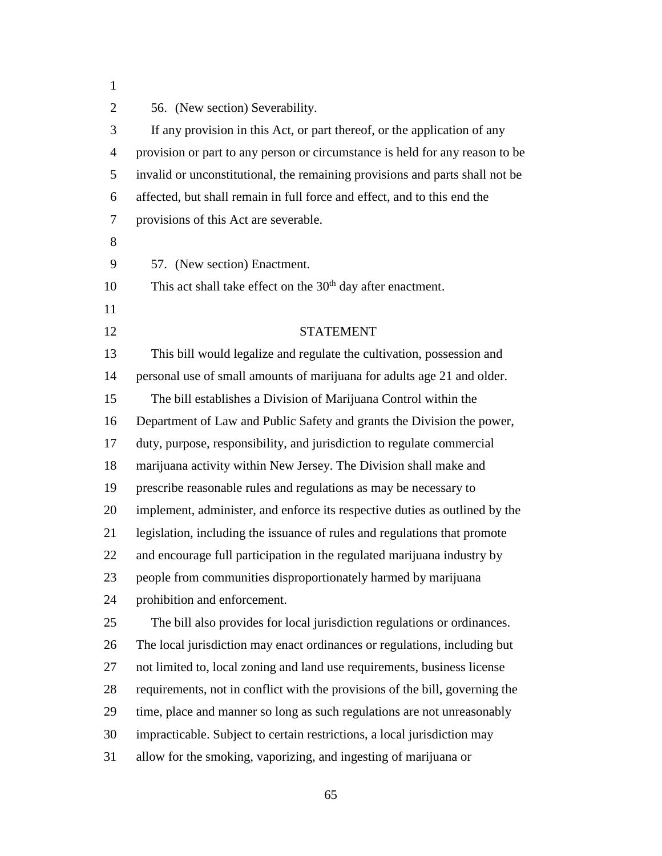56. (New section) Severability.

 If any provision in this Act, or part thereof, or the application of any provision or part to any person or circumstance is held for any reason to be invalid or unconstitutional, the remaining provisions and parts shall not be affected, but shall remain in full force and effect, and to this end the provisions of this Act are severable.

57. (New section) Enactment.

10 This act shall take effect on the  $30<sup>th</sup>$  day after enactment.

## STATEMENT

 This bill would legalize and regulate the cultivation, possession and personal use of small amounts of marijuana for adults age 21 and older. The bill establishes a Division of Marijuana Control within the Department of Law and Public Safety and grants the Division the power, duty, purpose, responsibility, and jurisdiction to regulate commercial marijuana activity within New Jersey. The Division shall make and prescribe reasonable rules and regulations as may be necessary to implement, administer, and enforce its respective duties as outlined by the legislation, including the issuance of rules and regulations that promote and encourage full participation in the regulated marijuana industry by people from communities disproportionately harmed by marijuana prohibition and enforcement. The bill also provides for local jurisdiction regulations or ordinances. The local jurisdiction may enact ordinances or regulations, including but not limited to, local zoning and land use requirements, business license requirements, not in conflict with the provisions of the bill, governing the time, place and manner so long as such regulations are not unreasonably impracticable. Subject to certain restrictions, a local jurisdiction may

allow for the smoking, vaporizing, and ingesting of marijuana or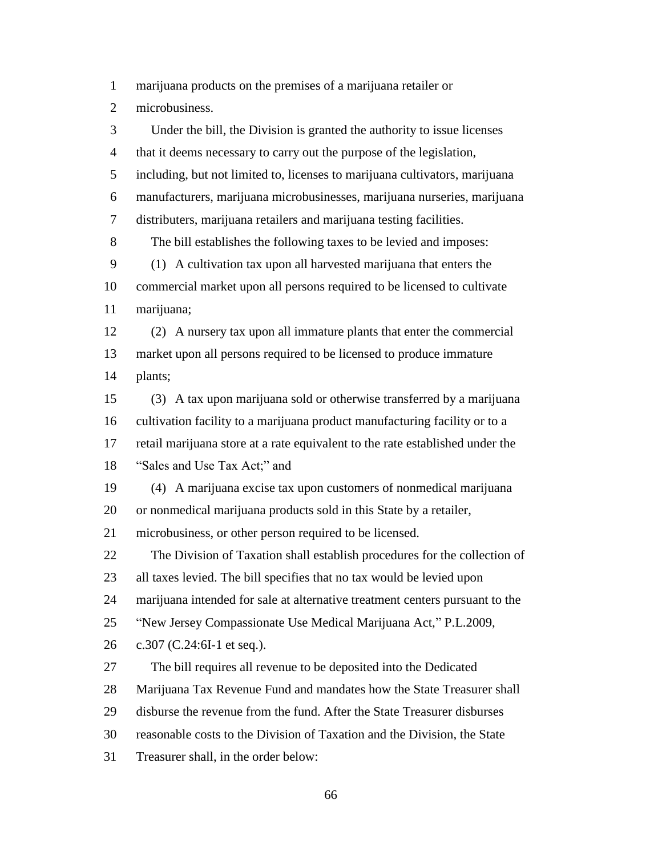marijuana products on the premises of a marijuana retailer or

microbusiness.

 Under the bill, the Division is granted the authority to issue licenses that it deems necessary to carry out the purpose of the legislation, including, but not limited to, licenses to marijuana cultivators, marijuana manufacturers, marijuana microbusinesses, marijuana nurseries, marijuana distributers, marijuana retailers and marijuana testing facilities. The bill establishes the following taxes to be levied and imposes: (1) A cultivation tax upon all harvested marijuana that enters the commercial market upon all persons required to be licensed to cultivate marijuana; (2) A nursery tax upon all immature plants that enter the commercial market upon all persons required to be licensed to produce immature plants; (3) A tax upon marijuana sold or otherwise transferred by a marijuana cultivation facility to a marijuana product manufacturing facility or to a retail marijuana store at a rate equivalent to the rate established under the "Sales and Use Tax Act;" and (4) A marijuana excise tax upon customers of nonmedical marijuana or nonmedical marijuana products sold in this State by a retailer, microbusiness, or other person required to be licensed. The Division of Taxation shall establish procedures for the collection of all taxes levied. The bill specifies that no tax would be levied upon marijuana intended for sale at alternative treatment centers pursuant to the "New Jersey Compassionate Use Medical Marijuana Act," P.L.2009, c.307 (C.24:6I-1 et seq.). The bill requires all revenue to be deposited into the Dedicated Marijuana Tax Revenue Fund and mandates how the State Treasurer shall disburse the revenue from the fund. After the State Treasurer disburses reasonable costs to the Division of Taxation and the Division, the State Treasurer shall, in the order below: